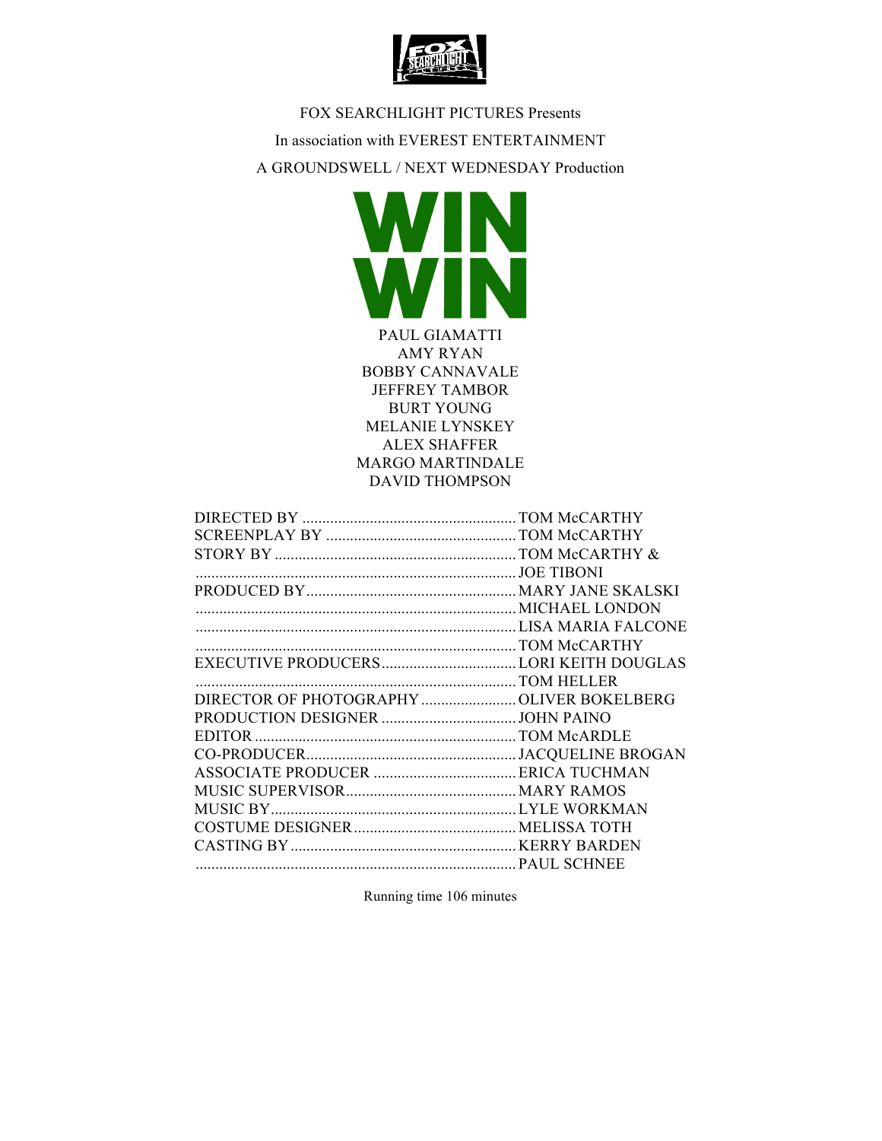

FOX SEARCHLIGHT PICTURES Presents In association with EVEREST ENTERTAINMENT A GROUNDSWELL / NEXT WEDNESDAY Production



PAUL GIAMATTI AMY RYAN BOBBY CANNAVALE JEFFREY TAMBOR BURT YOUNG MELANIE LYNSKEY ALEX SHAFFER MARGO MARTINDALE DAVID THOMPSON

| DIRECTOR OF PHOTOGRAPHY OLIVER BOKELBERG |  |
|------------------------------------------|--|
|                                          |  |
|                                          |  |
|                                          |  |
|                                          |  |
|                                          |  |
|                                          |  |
|                                          |  |
|                                          |  |
|                                          |  |

Running time 106 minutes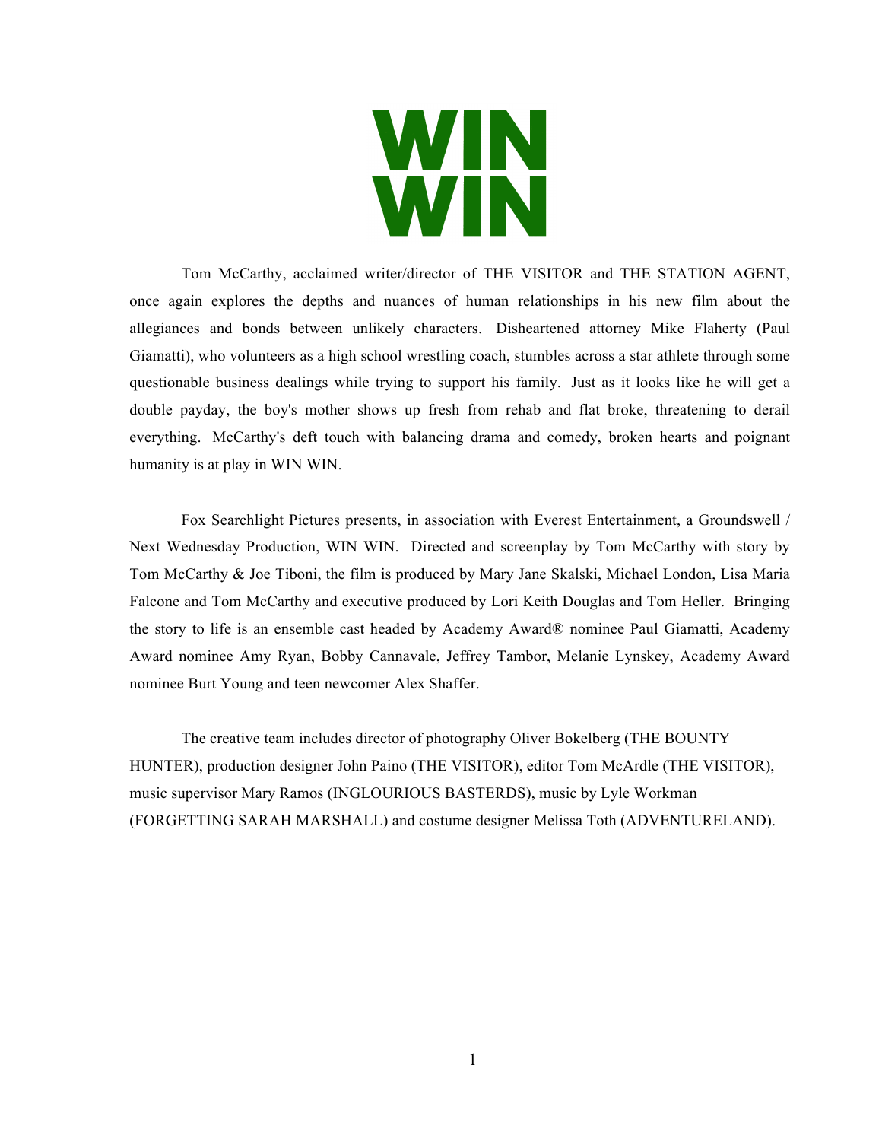

Tom McCarthy, acclaimed writer/director of THE VISITOR and THE STATION AGENT, once again explores the depths and nuances of human relationships in his new film about the allegiances and bonds between unlikely characters. Disheartened attorney Mike Flaherty (Paul Giamatti), who volunteers as a high school wrestling coach, stumbles across a star athlete through some questionable business dealings while trying to support his family. Just as it looks like he will get a double payday, the boy's mother shows up fresh from rehab and flat broke, threatening to derail everything. McCarthy's deft touch with balancing drama and comedy, broken hearts and poignant humanity is at play in WIN WIN.

Fox Searchlight Pictures presents, in association with Everest Entertainment, a Groundswell / Next Wednesday Production, WIN WIN. Directed and screenplay by Tom McCarthy with story by Tom McCarthy & Joe Tiboni, the film is produced by Mary Jane Skalski, Michael London, Lisa Maria Falcone and Tom McCarthy and executive produced by Lori Keith Douglas and Tom Heller. Bringing the story to life is an ensemble cast headed by Academy Award® nominee Paul Giamatti, Academy Award nominee Amy Ryan, Bobby Cannavale, Jeffrey Tambor, Melanie Lynskey, Academy Award nominee Burt Young and teen newcomer Alex Shaffer.

The creative team includes director of photography Oliver Bokelberg (THE BOUNTY HUNTER), production designer John Paino (THE VISITOR), editor Tom McArdle (THE VISITOR), music supervisor Mary Ramos (INGLOURIOUS BASTERDS), music by Lyle Workman (FORGETTING SARAH MARSHALL) and costume designer Melissa Toth (ADVENTURELAND).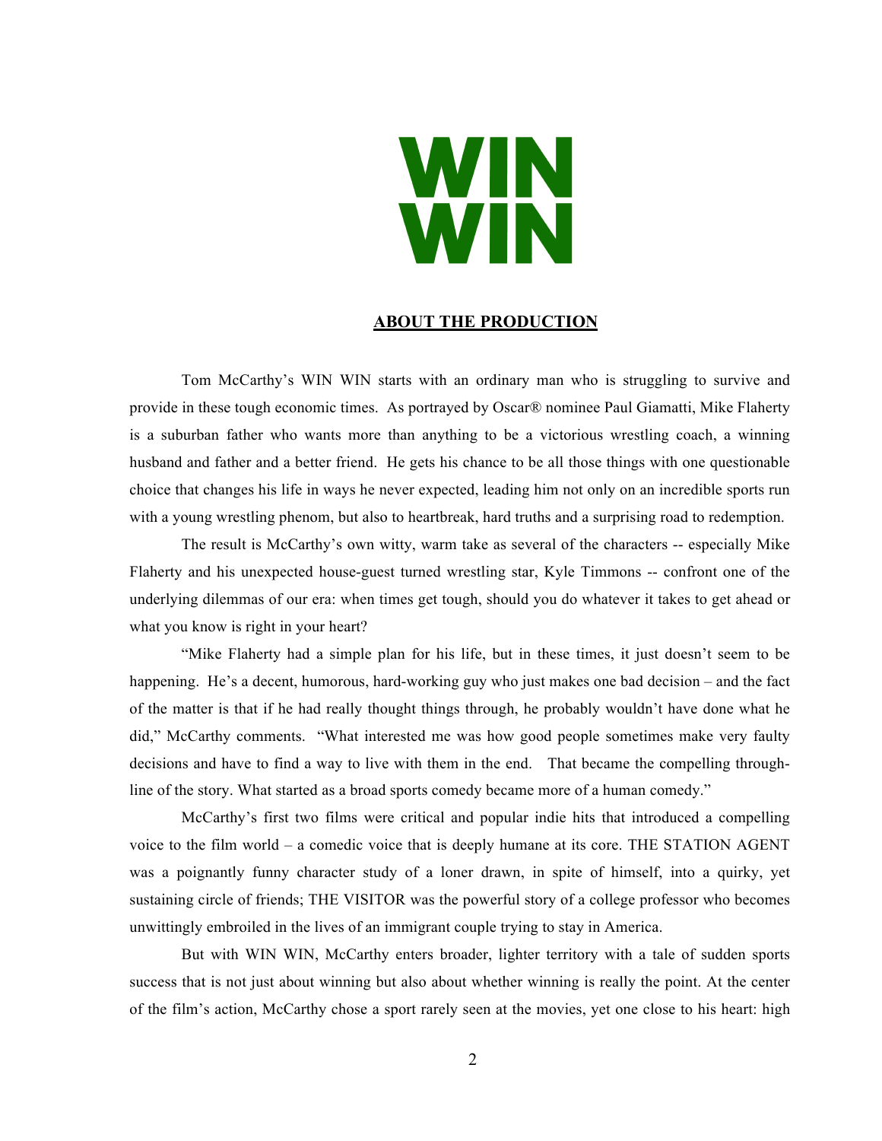# WIN

## **ABOUT THE PRODUCTION**

Tom McCarthy's WIN WIN starts with an ordinary man who is struggling to survive and provide in these tough economic times. As portrayed by Oscar® nominee Paul Giamatti, Mike Flaherty is a suburban father who wants more than anything to be a victorious wrestling coach, a winning husband and father and a better friend. He gets his chance to be all those things with one questionable choice that changes his life in ways he never expected, leading him not only on an incredible sports run with a young wrestling phenom, but also to heartbreak, hard truths and a surprising road to redemption.

The result is McCarthy's own witty, warm take as several of the characters -- especially Mike Flaherty and his unexpected house-guest turned wrestling star, Kyle Timmons -- confront one of the underlying dilemmas of our era: when times get tough, should you do whatever it takes to get ahead or what you know is right in your heart?

"Mike Flaherty had a simple plan for his life, but in these times, it just doesn't seem to be happening. He's a decent, humorous, hard-working guy who just makes one bad decision – and the fact of the matter is that if he had really thought things through, he probably wouldn't have done what he did," McCarthy comments. "What interested me was how good people sometimes make very faulty decisions and have to find a way to live with them in the end. That became the compelling throughline of the story. What started as a broad sports comedy became more of a human comedy."

McCarthy's first two films were critical and popular indie hits that introduced a compelling voice to the film world – a comedic voice that is deeply humane at its core. THE STATION AGENT was a poignantly funny character study of a loner drawn, in spite of himself, into a quirky, yet sustaining circle of friends; THE VISITOR was the powerful story of a college professor who becomes unwittingly embroiled in the lives of an immigrant couple trying to stay in America.

But with WIN WIN, McCarthy enters broader, lighter territory with a tale of sudden sports success that is not just about winning but also about whether winning is really the point. At the center of the film's action, McCarthy chose a sport rarely seen at the movies, yet one close to his heart: high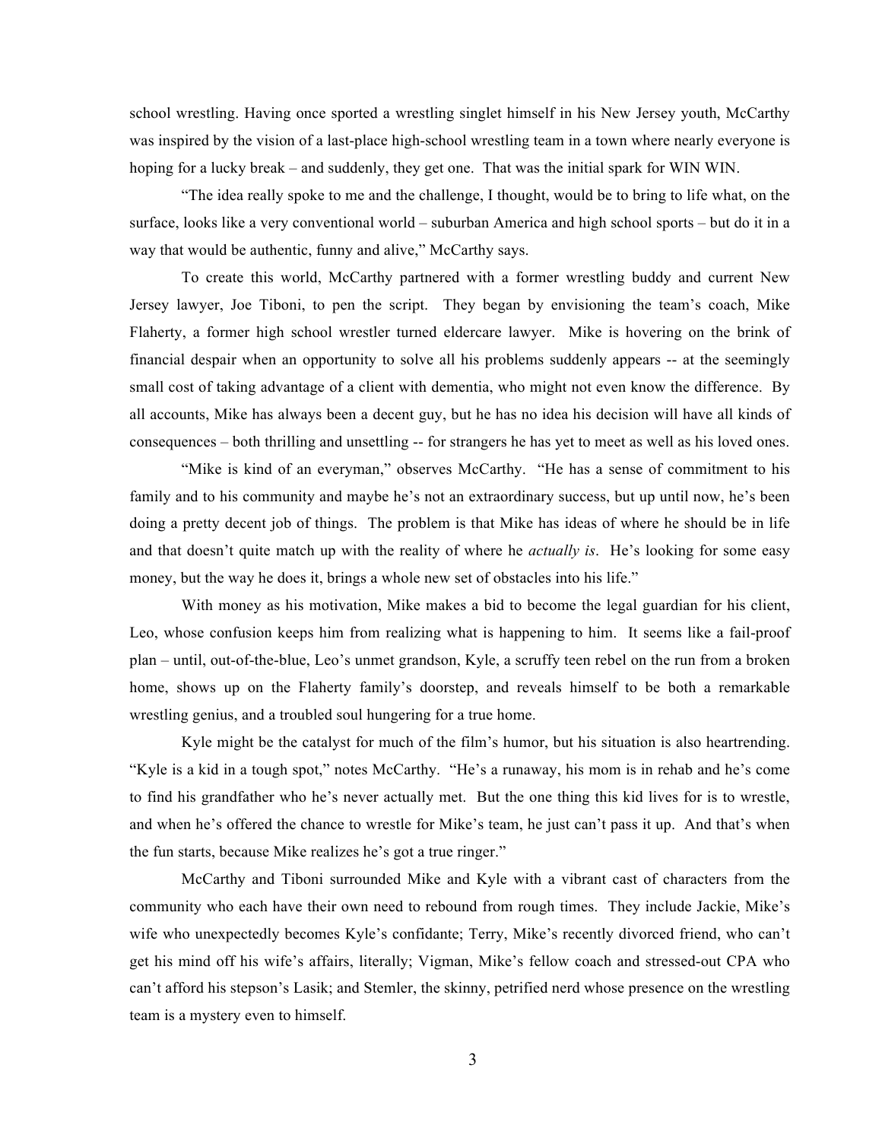school wrestling. Having once sported a wrestling singlet himself in his New Jersey youth, McCarthy was inspired by the vision of a last-place high-school wrestling team in a town where nearly everyone is hoping for a lucky break – and suddenly, they get one. That was the initial spark for WIN WIN.

"The idea really spoke to me and the challenge, I thought, would be to bring to life what, on the surface, looks like a very conventional world – suburban America and high school sports – but do it in a way that would be authentic, funny and alive," McCarthy says.

To create this world, McCarthy partnered with a former wrestling buddy and current New Jersey lawyer, Joe Tiboni, to pen the script. They began by envisioning the team's coach, Mike Flaherty, a former high school wrestler turned eldercare lawyer. Mike is hovering on the brink of financial despair when an opportunity to solve all his problems suddenly appears -- at the seemingly small cost of taking advantage of a client with dementia, who might not even know the difference. By all accounts, Mike has always been a decent guy, but he has no idea his decision will have all kinds of consequences – both thrilling and unsettling -- for strangers he has yet to meet as well as his loved ones.

"Mike is kind of an everyman," observes McCarthy. "He has a sense of commitment to his family and to his community and maybe he's not an extraordinary success, but up until now, he's been doing a pretty decent job of things. The problem is that Mike has ideas of where he should be in life and that doesn't quite match up with the reality of where he *actually is*. He's looking for some easy money, but the way he does it, brings a whole new set of obstacles into his life."

With money as his motivation, Mike makes a bid to become the legal guardian for his client, Leo, whose confusion keeps him from realizing what is happening to him. It seems like a fail-proof plan – until, out-of-the-blue, Leo's unmet grandson, Kyle, a scruffy teen rebel on the run from a broken home, shows up on the Flaherty family's doorstep, and reveals himself to be both a remarkable wrestling genius, and a troubled soul hungering for a true home.

Kyle might be the catalyst for much of the film's humor, but his situation is also heartrending. "Kyle is a kid in a tough spot," notes McCarthy. "He's a runaway, his mom is in rehab and he's come to find his grandfather who he's never actually met. But the one thing this kid lives for is to wrestle, and when he's offered the chance to wrestle for Mike's team, he just can't pass it up. And that's when the fun starts, because Mike realizes he's got a true ringer."

McCarthy and Tiboni surrounded Mike and Kyle with a vibrant cast of characters from the community who each have their own need to rebound from rough times. They include Jackie, Mike's wife who unexpectedly becomes Kyle's confidante; Terry, Mike's recently divorced friend, who can't get his mind off his wife's affairs, literally; Vigman, Mike's fellow coach and stressed-out CPA who can't afford his stepson's Lasik; and Stemler, the skinny, petrified nerd whose presence on the wrestling team is a mystery even to himself.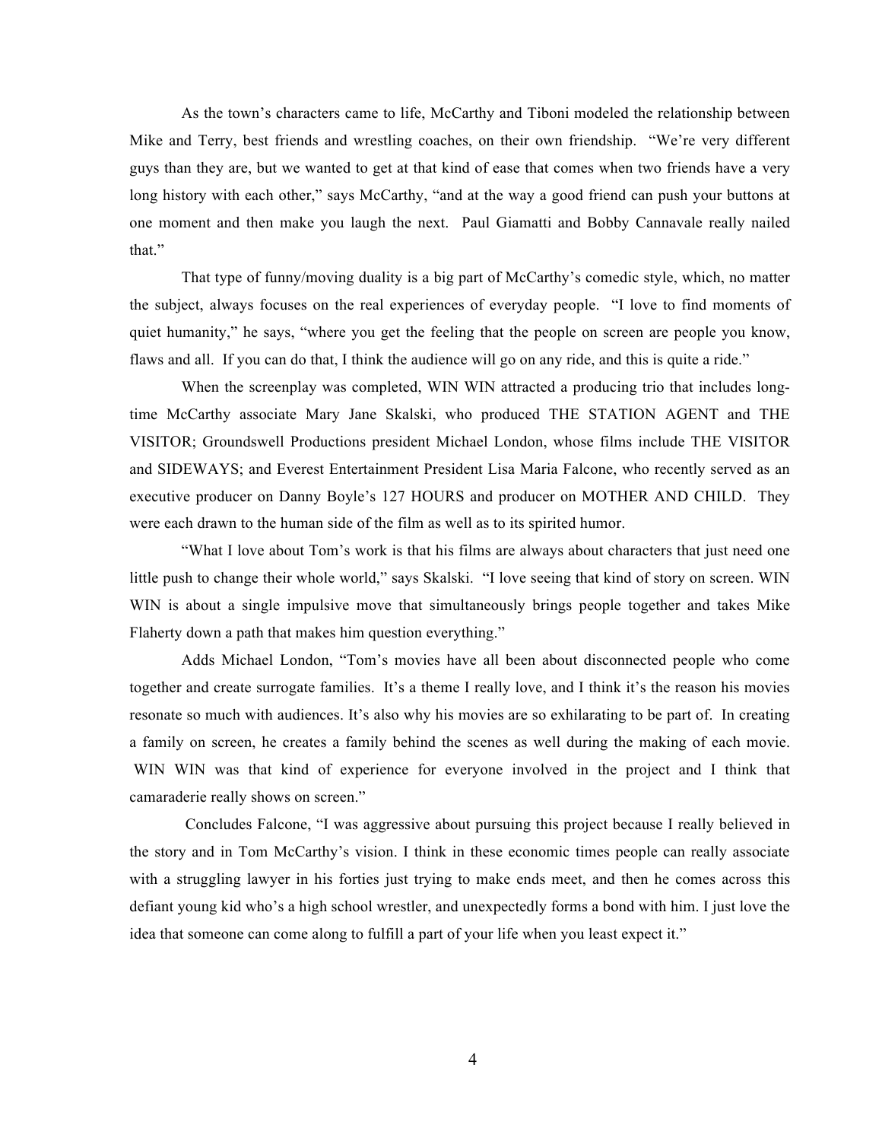As the town's characters came to life, McCarthy and Tiboni modeled the relationship between Mike and Terry, best friends and wrestling coaches, on their own friendship. "We're very different guys than they are, but we wanted to get at that kind of ease that comes when two friends have a very long history with each other," says McCarthy, "and at the way a good friend can push your buttons at one moment and then make you laugh the next. Paul Giamatti and Bobby Cannavale really nailed that."

That type of funny/moving duality is a big part of McCarthy's comedic style, which, no matter the subject, always focuses on the real experiences of everyday people. "I love to find moments of quiet humanity," he says, "where you get the feeling that the people on screen are people you know, flaws and all. If you can do that, I think the audience will go on any ride, and this is quite a ride."

When the screenplay was completed, WIN WIN attracted a producing trio that includes longtime McCarthy associate Mary Jane Skalski, who produced THE STATION AGENT and THE VISITOR; Groundswell Productions president Michael London, whose films include THE VISITOR and SIDEWAYS; and Everest Entertainment President Lisa Maria Falcone, who recently served as an executive producer on Danny Boyle's 127 HOURS and producer on MOTHER AND CHILD. They were each drawn to the human side of the film as well as to its spirited humor.

"What I love about Tom's work is that his films are always about characters that just need one little push to change their whole world," says Skalski. "I love seeing that kind of story on screen. WIN WIN is about a single impulsive move that simultaneously brings people together and takes Mike Flaherty down a path that makes him question everything."

Adds Michael London, "Tom's movies have all been about disconnected people who come together and create surrogate families. It's a theme I really love, and I think it's the reason his movies resonate so much with audiences. It's also why his movies are so exhilarating to be part of. In creating a family on screen, he creates a family behind the scenes as well during the making of each movie. WIN WIN was that kind of experience for everyone involved in the project and I think that camaraderie really shows on screen."

Concludes Falcone, "I was aggressive about pursuing this project because I really believed in the story and in Tom McCarthy's vision. I think in these economic times people can really associate with a struggling lawyer in his forties just trying to make ends meet, and then he comes across this defiant young kid who's a high school wrestler, and unexpectedly forms a bond with him. I just love the idea that someone can come along to fulfill a part of your life when you least expect it."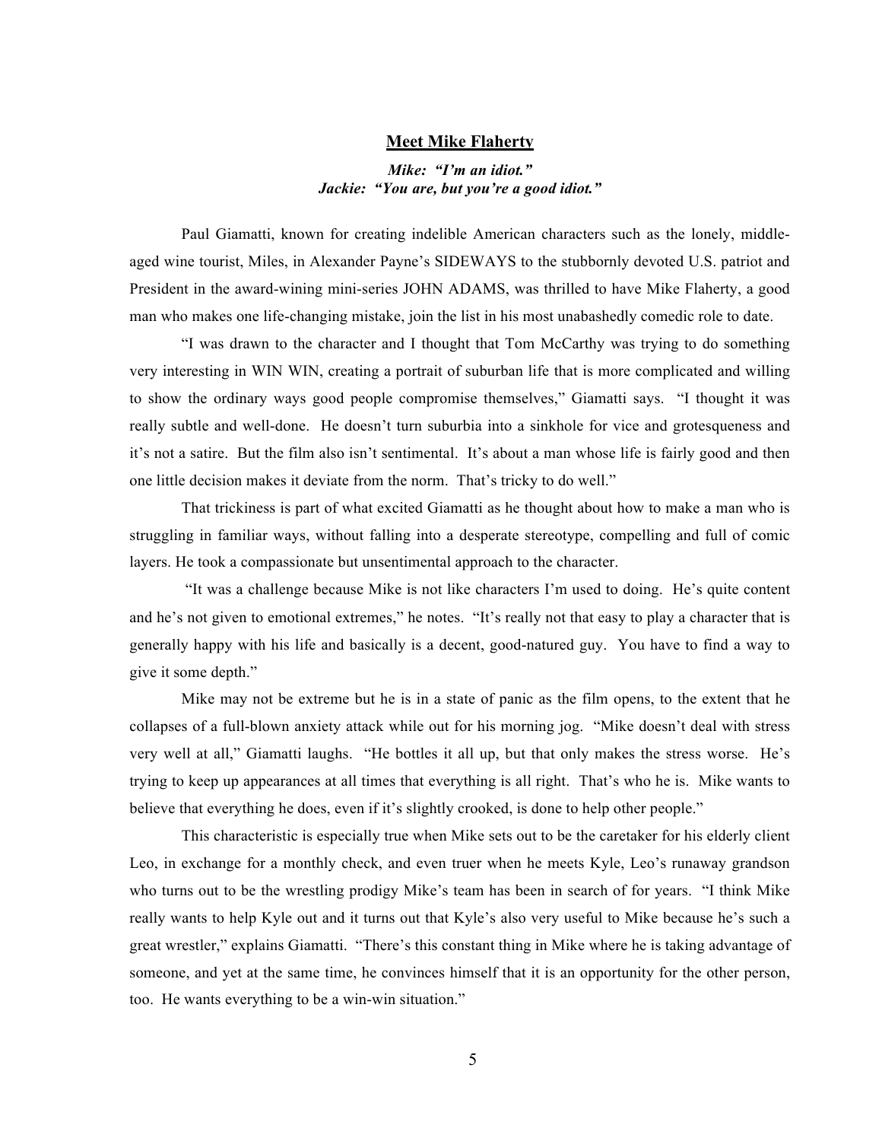#### **Meet Mike Flaherty**

## *Mike: "I'm an idiot." Jackie: "You are, but you're a good idiot."*

Paul Giamatti, known for creating indelible American characters such as the lonely, middleaged wine tourist, Miles, in Alexander Payne's SIDEWAYS to the stubbornly devoted U.S. patriot and President in the award-wining mini-series JOHN ADAMS, was thrilled to have Mike Flaherty, a good man who makes one life-changing mistake, join the list in his most unabashedly comedic role to date.

"I was drawn to the character and I thought that Tom McCarthy was trying to do something very interesting in WIN WIN, creating a portrait of suburban life that is more complicated and willing to show the ordinary ways good people compromise themselves," Giamatti says. "I thought it was really subtle and well-done. He doesn't turn suburbia into a sinkhole for vice and grotesqueness and it's not a satire. But the film also isn't sentimental. It's about a man whose life is fairly good and then one little decision makes it deviate from the norm. That's tricky to do well."

That trickiness is part of what excited Giamatti as he thought about how to make a man who is struggling in familiar ways, without falling into a desperate stereotype, compelling and full of comic layers. He took a compassionate but unsentimental approach to the character.

 "It was a challenge because Mike is not like characters I'm used to doing. He's quite content and he's not given to emotional extremes," he notes. "It's really not that easy to play a character that is generally happy with his life and basically is a decent, good-natured guy. You have to find a way to give it some depth."

Mike may not be extreme but he is in a state of panic as the film opens, to the extent that he collapses of a full-blown anxiety attack while out for his morning jog. "Mike doesn't deal with stress very well at all," Giamatti laughs. "He bottles it all up, but that only makes the stress worse. He's trying to keep up appearances at all times that everything is all right. That's who he is. Mike wants to believe that everything he does, even if it's slightly crooked, is done to help other people."

This characteristic is especially true when Mike sets out to be the caretaker for his elderly client Leo, in exchange for a monthly check, and even truer when he meets Kyle, Leo's runaway grandson who turns out to be the wrestling prodigy Mike's team has been in search of for years. "I think Mike really wants to help Kyle out and it turns out that Kyle's also very useful to Mike because he's such a great wrestler," explains Giamatti. "There's this constant thing in Mike where he is taking advantage of someone, and yet at the same time, he convinces himself that it is an opportunity for the other person, too. He wants everything to be a win-win situation."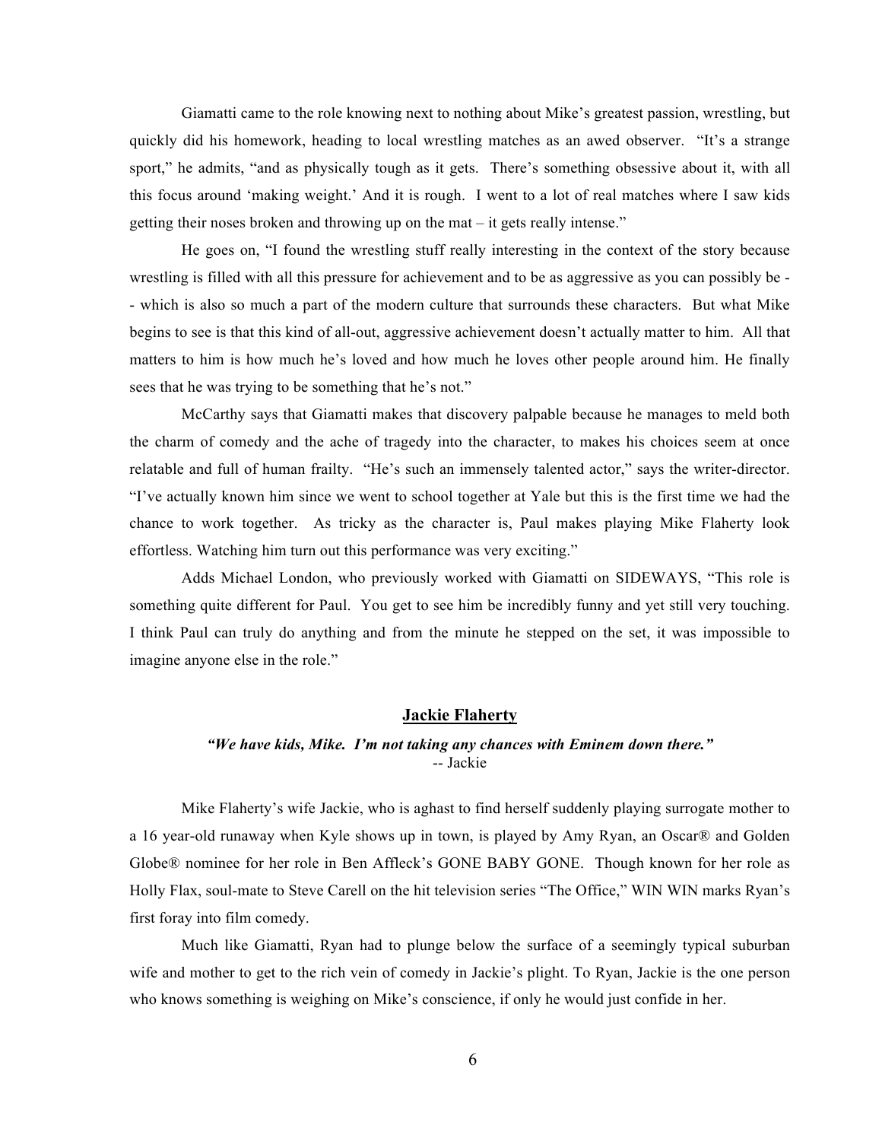Giamatti came to the role knowing next to nothing about Mike's greatest passion, wrestling, but quickly did his homework, heading to local wrestling matches as an awed observer. "It's a strange sport," he admits, "and as physically tough as it gets. There's something obsessive about it, with all this focus around 'making weight.' And it is rough. I went to a lot of real matches where I saw kids getting their noses broken and throwing up on the mat – it gets really intense."

He goes on, "I found the wrestling stuff really interesting in the context of the story because wrestling is filled with all this pressure for achievement and to be as aggressive as you can possibly be - - which is also so much a part of the modern culture that surrounds these characters. But what Mike begins to see is that this kind of all-out, aggressive achievement doesn't actually matter to him. All that matters to him is how much he's loved and how much he loves other people around him. He finally sees that he was trying to be something that he's not."

McCarthy says that Giamatti makes that discovery palpable because he manages to meld both the charm of comedy and the ache of tragedy into the character, to makes his choices seem at once relatable and full of human frailty. "He's such an immensely talented actor," says the writer-director. "I've actually known him since we went to school together at Yale but this is the first time we had the chance to work together. As tricky as the character is, Paul makes playing Mike Flaherty look effortless. Watching him turn out this performance was very exciting."

Adds Michael London, who previously worked with Giamatti on SIDEWAYS, "This role is something quite different for Paul. You get to see him be incredibly funny and yet still very touching. I think Paul can truly do anything and from the minute he stepped on the set, it was impossible to imagine anyone else in the role."

## **Jackie Flaherty**

## *"We have kids, Mike. I'm not taking any chances with Eminem down there."* -- Jackie

Mike Flaherty's wife Jackie, who is aghast to find herself suddenly playing surrogate mother to a 16 year-old runaway when Kyle shows up in town, is played by Amy Ryan, an Oscar® and Golden Globe® nominee for her role in Ben Affleck's GONE BABY GONE. Though known for her role as Holly Flax, soul-mate to Steve Carell on the hit television series "The Office," WIN WIN marks Ryan's first foray into film comedy.

Much like Giamatti, Ryan had to plunge below the surface of a seemingly typical suburban wife and mother to get to the rich vein of comedy in Jackie's plight. To Ryan, Jackie is the one person who knows something is weighing on Mike's conscience, if only he would just confide in her.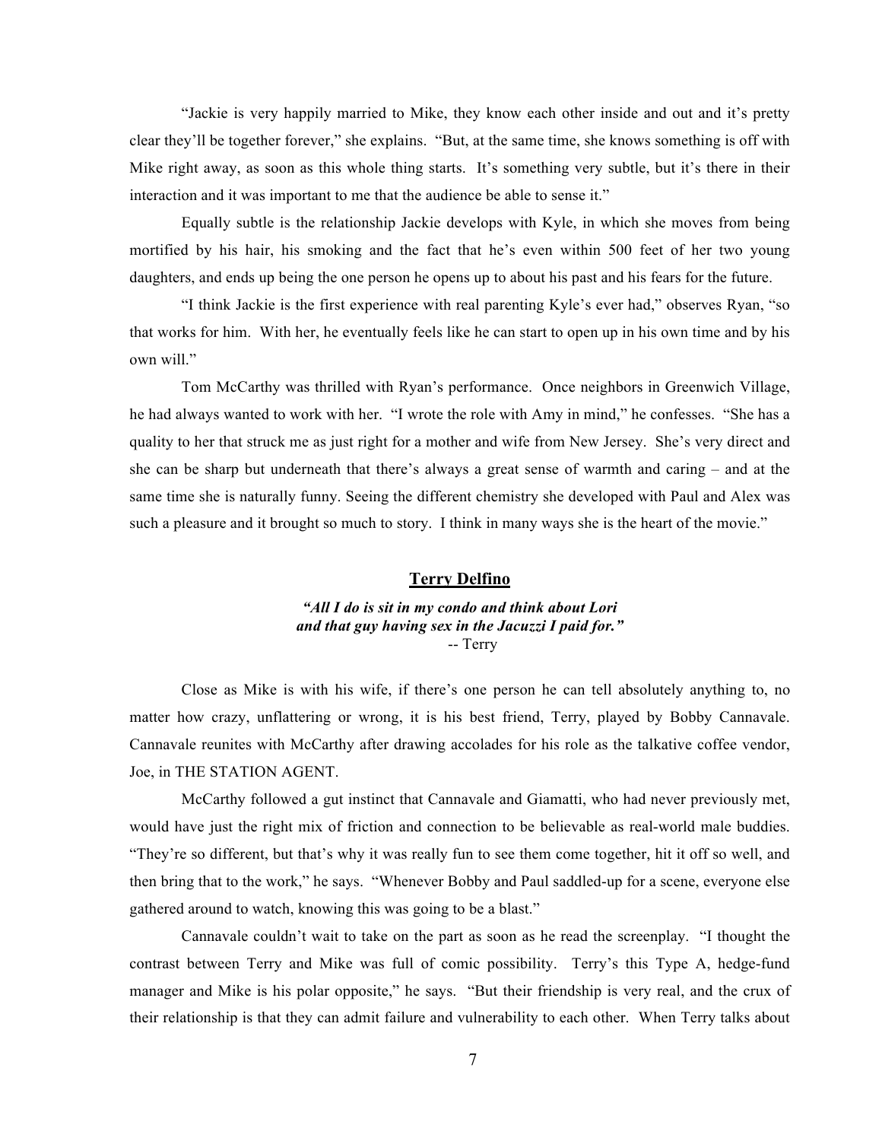"Jackie is very happily married to Mike, they know each other inside and out and it's pretty clear they'll be together forever," she explains. "But, at the same time, she knows something is off with Mike right away, as soon as this whole thing starts. It's something very subtle, but it's there in their interaction and it was important to me that the audience be able to sense it."

Equally subtle is the relationship Jackie develops with Kyle, in which she moves from being mortified by his hair, his smoking and the fact that he's even within 500 feet of her two young daughters, and ends up being the one person he opens up to about his past and his fears for the future.

"I think Jackie is the first experience with real parenting Kyle's ever had," observes Ryan, "so that works for him. With her, he eventually feels like he can start to open up in his own time and by his own will."

Tom McCarthy was thrilled with Ryan's performance. Once neighbors in Greenwich Village, he had always wanted to work with her. "I wrote the role with Amy in mind," he confesses. "She has a quality to her that struck me as just right for a mother and wife from New Jersey. She's very direct and she can be sharp but underneath that there's always a great sense of warmth and caring – and at the same time she is naturally funny. Seeing the different chemistry she developed with Paul and Alex was such a pleasure and it brought so much to story. I think in many ways she is the heart of the movie."

## **Terry Delfino**

*"All I do is sit in my condo and think about Lori and that guy having sex in the Jacuzzi I paid for."*  -- Terry

Close as Mike is with his wife, if there's one person he can tell absolutely anything to, no matter how crazy, unflattering or wrong, it is his best friend, Terry, played by Bobby Cannavale. Cannavale reunites with McCarthy after drawing accolades for his role as the talkative coffee vendor, Joe, in THE STATION AGENT.

McCarthy followed a gut instinct that Cannavale and Giamatti, who had never previously met, would have just the right mix of friction and connection to be believable as real-world male buddies. "They're so different, but that's why it was really fun to see them come together, hit it off so well, and then bring that to the work," he says. "Whenever Bobby and Paul saddled-up for a scene, everyone else gathered around to watch, knowing this was going to be a blast."

Cannavale couldn't wait to take on the part as soon as he read the screenplay. "I thought the contrast between Terry and Mike was full of comic possibility. Terry's this Type A, hedge-fund manager and Mike is his polar opposite," he says. "But their friendship is very real, and the crux of their relationship is that they can admit failure and vulnerability to each other. When Terry talks about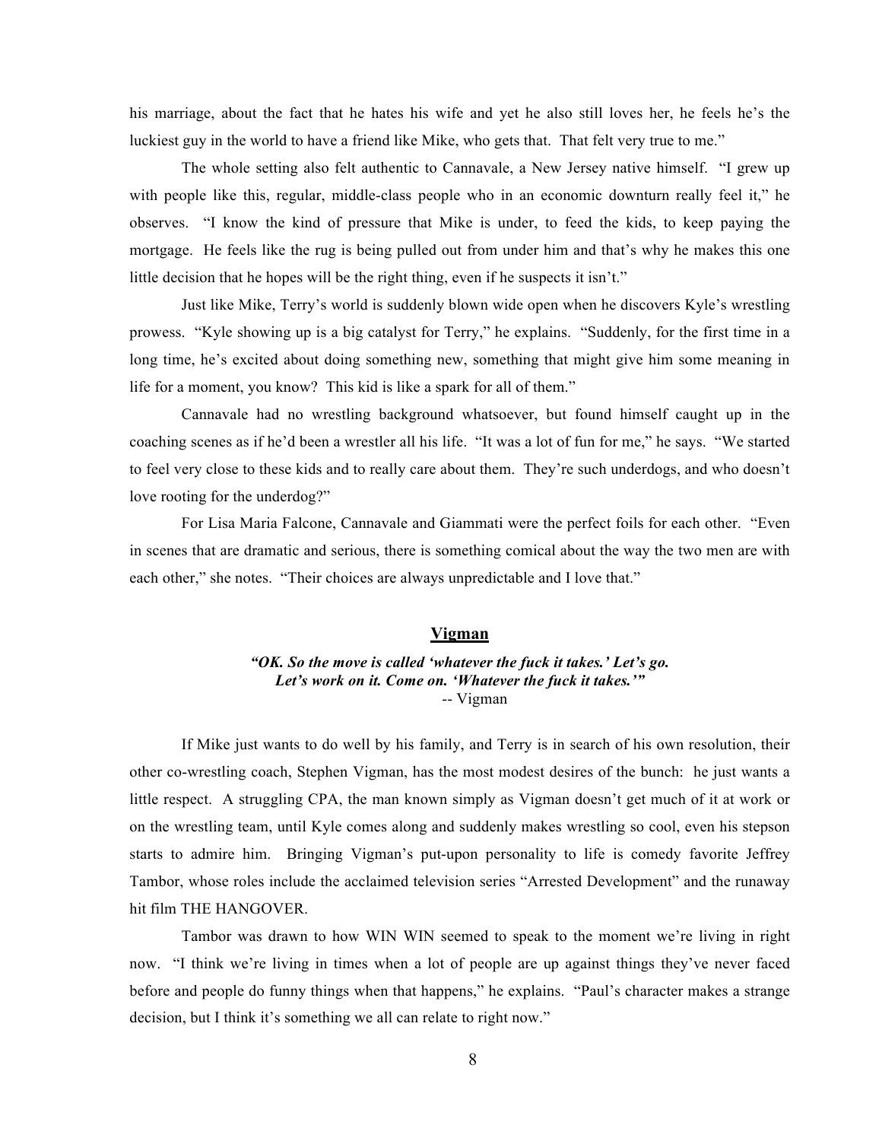his marriage, about the fact that he hates his wife and yet he also still loves her, he feels he's the luckiest guy in the world to have a friend like Mike, who gets that. That felt very true to me."

The whole setting also felt authentic to Cannavale, a New Jersey native himself. "I grew up with people like this, regular, middle-class people who in an economic downturn really feel it," he observes. "I know the kind of pressure that Mike is under, to feed the kids, to keep paying the mortgage. He feels like the rug is being pulled out from under him and that's why he makes this one little decision that he hopes will be the right thing, even if he suspects it isn't."

Just like Mike, Terry's world is suddenly blown wide open when he discovers Kyle's wrestling prowess. "Kyle showing up is a big catalyst for Terry," he explains. "Suddenly, for the first time in a long time, he's excited about doing something new, something that might give him some meaning in life for a moment, you know? This kid is like a spark for all of them."

Cannavale had no wrestling background whatsoever, but found himself caught up in the coaching scenes as if he'd been a wrestler all his life. "It was a lot of fun for me," he says. "We started to feel very close to these kids and to really care about them. They're such underdogs, and who doesn't love rooting for the underdog?"

For Lisa Maria Falcone, Cannavale and Giammati were the perfect foils for each other. "Even in scenes that are dramatic and serious, there is something comical about the way the two men are with each other," she notes. "Their choices are always unpredictable and I love that."

# **Vigman**

## *"OK. So the move is called 'whatever the fuck it takes.' Let's go. Let's work on it. Come on. 'Whatever the fuck it takes.'"* -- Vigman

If Mike just wants to do well by his family, and Terry is in search of his own resolution, their other co-wrestling coach, Stephen Vigman, has the most modest desires of the bunch: he just wants a little respect. A struggling CPA, the man known simply as Vigman doesn't get much of it at work or on the wrestling team, until Kyle comes along and suddenly makes wrestling so cool, even his stepson starts to admire him. Bringing Vigman's put-upon personality to life is comedy favorite Jeffrey Tambor, whose roles include the acclaimed television series "Arrested Development" and the runaway hit film THE HANGOVER.

Tambor was drawn to how WIN WIN seemed to speak to the moment we're living in right now. "I think we're living in times when a lot of people are up against things they've never faced before and people do funny things when that happens," he explains. "Paul's character makes a strange decision, but I think it's something we all can relate to right now."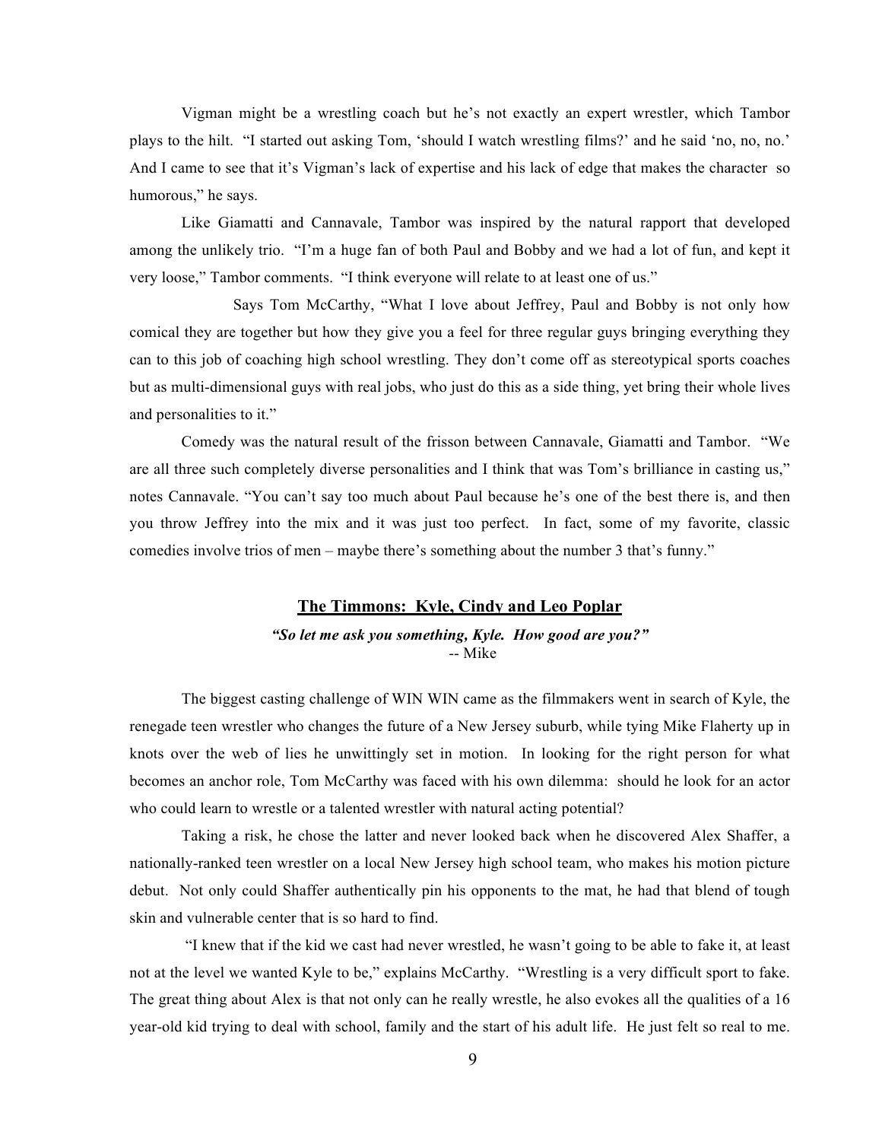Vigman might be a wrestling coach but he's not exactly an expert wrestler, which Tambor plays to the hilt. "I started out asking Tom, 'should I watch wrestling films?' and he said 'no, no, no.' And I came to see that it's Vigman's lack of expertise and his lack of edge that makes the character so humorous," he says.

Like Giamatti and Cannavale, Tambor was inspired by the natural rapport that developed among the unlikely trio. "I'm a huge fan of both Paul and Bobby and we had a lot of fun, and kept it very loose," Tambor comments. "I think everyone will relate to at least one of us."

Says Tom McCarthy, "What I love about Jeffrey, Paul and Bobby is not only how comical they are together but how they give you a feel for three regular guys bringing everything they can to this job of coaching high school wrestling. They don't come off as stereotypical sports coaches but as multi-dimensional guys with real jobs, who just do this as a side thing, yet bring their whole lives and personalities to it."

Comedy was the natural result of the frisson between Cannavale, Giamatti and Tambor. "We are all three such completely diverse personalities and I think that was Tom's brilliance in casting us," notes Cannavale. "You can't say too much about Paul because he's one of the best there is, and then you throw Jeffrey into the mix and it was just too perfect. In fact, some of my favorite, classic comedies involve trios of men – maybe there's something about the number 3 that's funny."

## **The Timmons: Kyle, Cindy and Leo Poplar**

*"So let me ask you something, Kyle. How good are you?"* -- Mike

The biggest casting challenge of WIN WIN came as the filmmakers went in search of Kyle, the renegade teen wrestler who changes the future of a New Jersey suburb, while tying Mike Flaherty up in knots over the web of lies he unwittingly set in motion. In looking for the right person for what becomes an anchor role, Tom McCarthy was faced with his own dilemma: should he look for an actor who could learn to wrestle or a talented wrestler with natural acting potential?

Taking a risk, he chose the latter and never looked back when he discovered Alex Shaffer, a nationally-ranked teen wrestler on a local New Jersey high school team, who makes his motion picture debut. Not only could Shaffer authentically pin his opponents to the mat, he had that blend of tough skin and vulnerable center that is so hard to find.

 "I knew that if the kid we cast had never wrestled, he wasn't going to be able to fake it, at least not at the level we wanted Kyle to be," explains McCarthy. "Wrestling is a very difficult sport to fake. The great thing about Alex is that not only can he really wrestle, he also evokes all the qualities of a 16 year-old kid trying to deal with school, family and the start of his adult life. He just felt so real to me.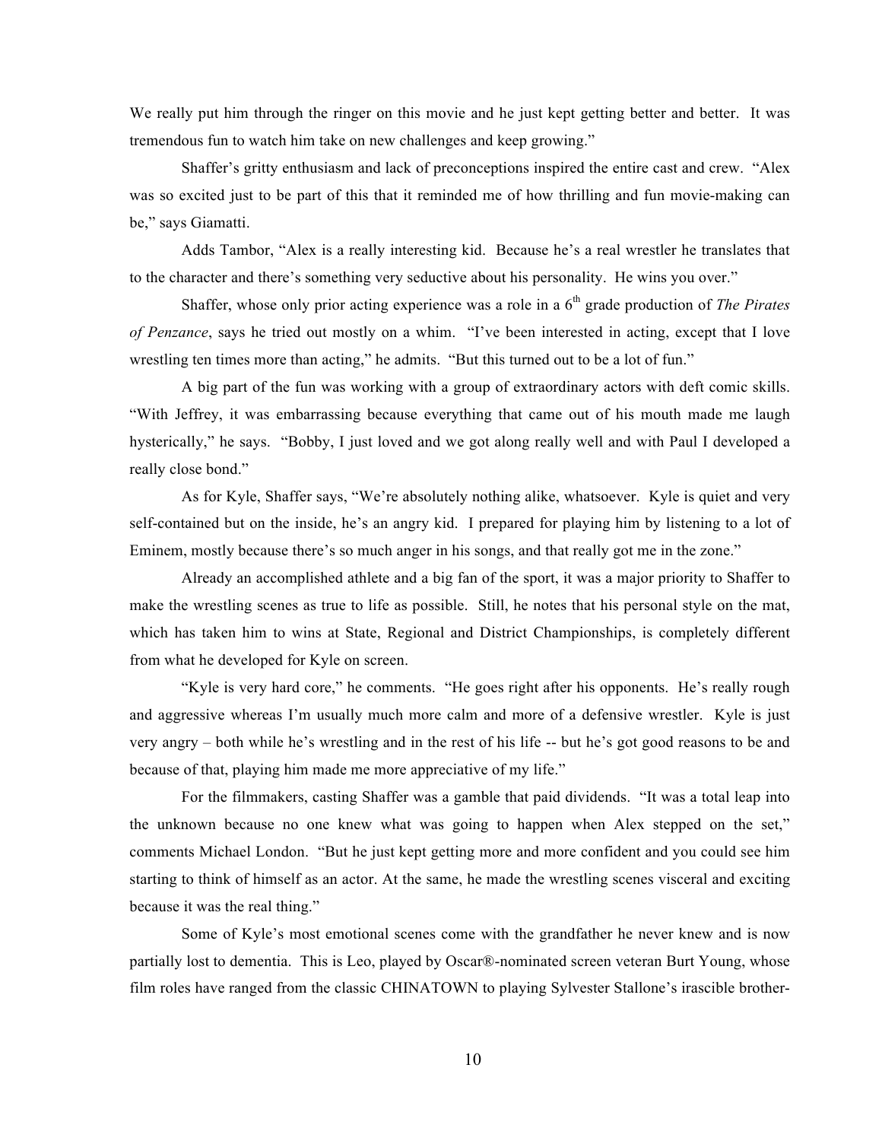We really put him through the ringer on this movie and he just kept getting better and better. It was tremendous fun to watch him take on new challenges and keep growing."

Shaffer's gritty enthusiasm and lack of preconceptions inspired the entire cast and crew. "Alex was so excited just to be part of this that it reminded me of how thrilling and fun movie-making can be," says Giamatti.

Adds Tambor, "Alex is a really interesting kid. Because he's a real wrestler he translates that to the character and there's something very seductive about his personality. He wins you over."

Shaffer, whose only prior acting experience was a role in a 6<sup>th</sup> grade production of *The Pirates of Penzance*, says he tried out mostly on a whim. "I've been interested in acting, except that I love wrestling ten times more than acting," he admits. "But this turned out to be a lot of fun."

A big part of the fun was working with a group of extraordinary actors with deft comic skills. "With Jeffrey, it was embarrassing because everything that came out of his mouth made me laugh hysterically," he says. "Bobby, I just loved and we got along really well and with Paul I developed a really close bond."

As for Kyle, Shaffer says, "We're absolutely nothing alike, whatsoever. Kyle is quiet and very self-contained but on the inside, he's an angry kid. I prepared for playing him by listening to a lot of Eminem, mostly because there's so much anger in his songs, and that really got me in the zone."

Already an accomplished athlete and a big fan of the sport, it was a major priority to Shaffer to make the wrestling scenes as true to life as possible. Still, he notes that his personal style on the mat, which has taken him to wins at State, Regional and District Championships, is completely different from what he developed for Kyle on screen.

"Kyle is very hard core," he comments. "He goes right after his opponents. He's really rough and aggressive whereas I'm usually much more calm and more of a defensive wrestler. Kyle is just very angry – both while he's wrestling and in the rest of his life -- but he's got good reasons to be and because of that, playing him made me more appreciative of my life."

For the filmmakers, casting Shaffer was a gamble that paid dividends. "It was a total leap into the unknown because no one knew what was going to happen when Alex stepped on the set," comments Michael London. "But he just kept getting more and more confident and you could see him starting to think of himself as an actor. At the same, he made the wrestling scenes visceral and exciting because it was the real thing."

Some of Kyle's most emotional scenes come with the grandfather he never knew and is now partially lost to dementia. This is Leo, played by Oscar®-nominated screen veteran Burt Young, whose film roles have ranged from the classic CHINATOWN to playing Sylvester Stallone's irascible brother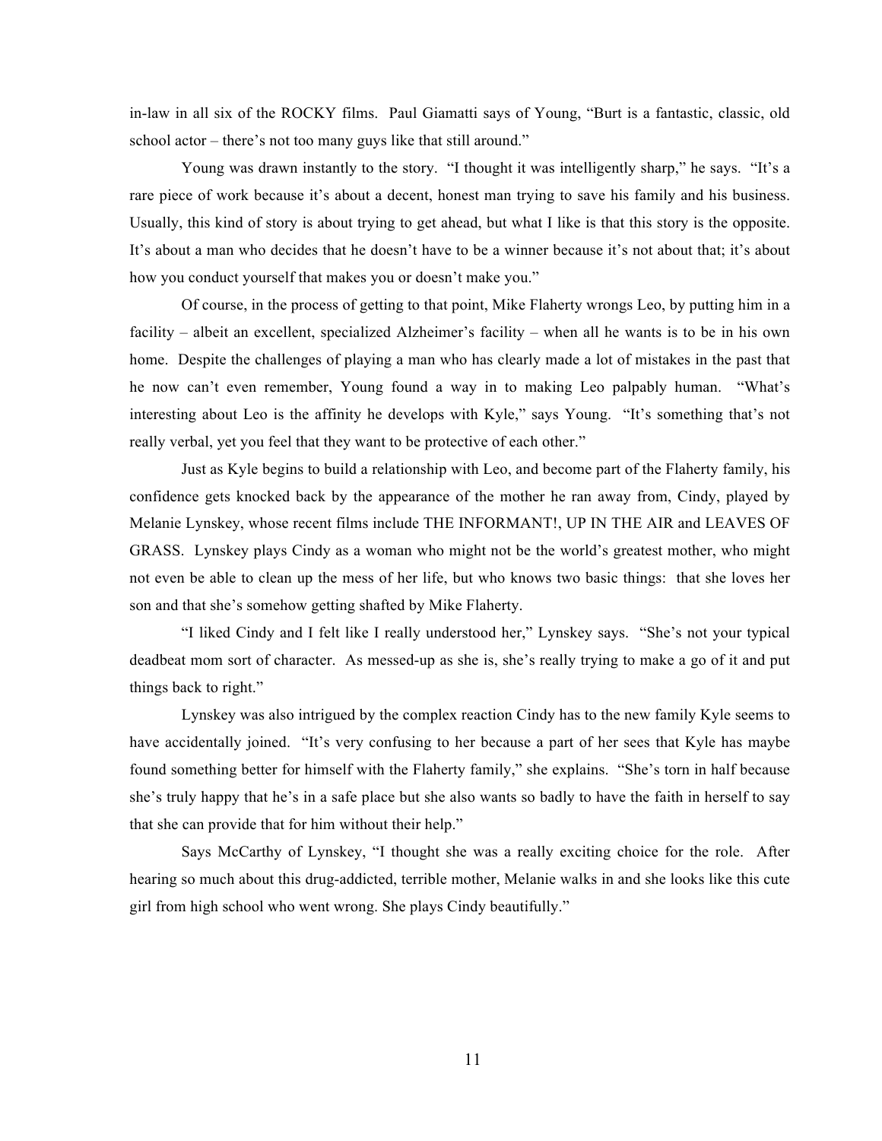in-law in all six of the ROCKY films. Paul Giamatti says of Young, "Burt is a fantastic, classic, old school actor – there's not too many guys like that still around."

Young was drawn instantly to the story. "I thought it was intelligently sharp," he says. "It's a rare piece of work because it's about a decent, honest man trying to save his family and his business. Usually, this kind of story is about trying to get ahead, but what I like is that this story is the opposite. It's about a man who decides that he doesn't have to be a winner because it's not about that; it's about how you conduct yourself that makes you or doesn't make you."

Of course, in the process of getting to that point, Mike Flaherty wrongs Leo, by putting him in a facility – albeit an excellent, specialized Alzheimer's facility – when all he wants is to be in his own home. Despite the challenges of playing a man who has clearly made a lot of mistakes in the past that he now can't even remember, Young found a way in to making Leo palpably human. "What's interesting about Leo is the affinity he develops with Kyle," says Young. "It's something that's not really verbal, yet you feel that they want to be protective of each other."

Just as Kyle begins to build a relationship with Leo, and become part of the Flaherty family, his confidence gets knocked back by the appearance of the mother he ran away from, Cindy, played by Melanie Lynskey, whose recent films include THE INFORMANT!, UP IN THE AIR and LEAVES OF GRASS. Lynskey plays Cindy as a woman who might not be the world's greatest mother, who might not even be able to clean up the mess of her life, but who knows two basic things: that she loves her son and that she's somehow getting shafted by Mike Flaherty.

"I liked Cindy and I felt like I really understood her," Lynskey says. "She's not your typical deadbeat mom sort of character. As messed-up as she is, she's really trying to make a go of it and put things back to right."

Lynskey was also intrigued by the complex reaction Cindy has to the new family Kyle seems to have accidentally joined. "It's very confusing to her because a part of her sees that Kyle has maybe found something better for himself with the Flaherty family," she explains. "She's torn in half because she's truly happy that he's in a safe place but she also wants so badly to have the faith in herself to say that she can provide that for him without their help."

Says McCarthy of Lynskey, "I thought she was a really exciting choice for the role. After hearing so much about this drug-addicted, terrible mother, Melanie walks in and she looks like this cute girl from high school who went wrong. She plays Cindy beautifully."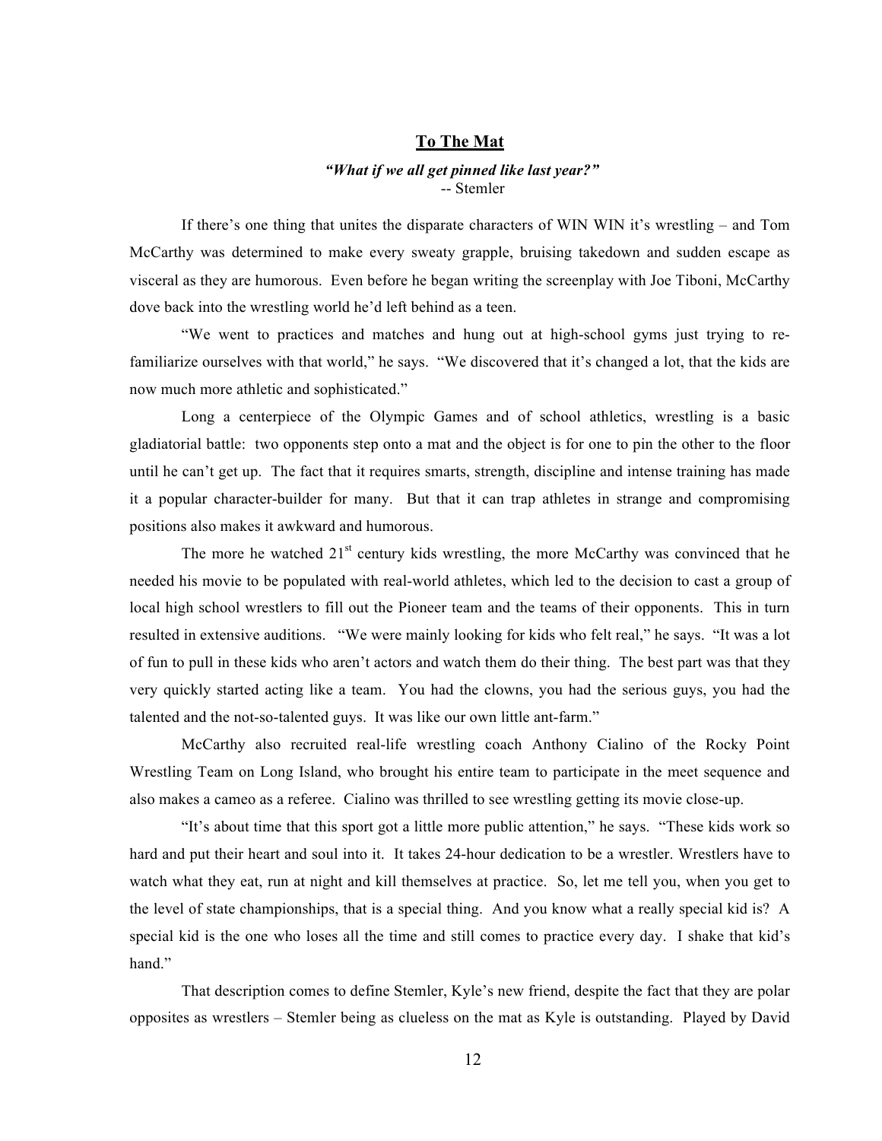## **To The Mat**

# *"What if we all get pinned like last year?"* -- Stemler

If there's one thing that unites the disparate characters of WIN WIN it's wrestling – and Tom McCarthy was determined to make every sweaty grapple, bruising takedown and sudden escape as visceral as they are humorous. Even before he began writing the screenplay with Joe Tiboni, McCarthy dove back into the wrestling world he'd left behind as a teen.

"We went to practices and matches and hung out at high-school gyms just trying to refamiliarize ourselves with that world," he says. "We discovered that it's changed a lot, that the kids are now much more athletic and sophisticated."

Long a centerpiece of the Olympic Games and of school athletics, wrestling is a basic gladiatorial battle: two opponents step onto a mat and the object is for one to pin the other to the floor until he can't get up. The fact that it requires smarts, strength, discipline and intense training has made it a popular character-builder for many. But that it can trap athletes in strange and compromising positions also makes it awkward and humorous.

The more he watched  $21<sup>st</sup>$  century kids wrestling, the more McCarthy was convinced that he needed his movie to be populated with real-world athletes, which led to the decision to cast a group of local high school wrestlers to fill out the Pioneer team and the teams of their opponents. This in turn resulted in extensive auditions. "We were mainly looking for kids who felt real," he says. "It was a lot of fun to pull in these kids who aren't actors and watch them do their thing. The best part was that they very quickly started acting like a team. You had the clowns, you had the serious guys, you had the talented and the not-so-talented guys. It was like our own little ant-farm."

McCarthy also recruited real-life wrestling coach Anthony Cialino of the Rocky Point Wrestling Team on Long Island, who brought his entire team to participate in the meet sequence and also makes a cameo as a referee. Cialino was thrilled to see wrestling getting its movie close-up.

"It's about time that this sport got a little more public attention," he says. "These kids work so hard and put their heart and soul into it. It takes 24-hour dedication to be a wrestler. Wrestlers have to watch what they eat, run at night and kill themselves at practice. So, let me tell you, when you get to the level of state championships, that is a special thing. And you know what a really special kid is? A special kid is the one who loses all the time and still comes to practice every day. I shake that kid's hand"

That description comes to define Stemler, Kyle's new friend, despite the fact that they are polar opposites as wrestlers – Stemler being as clueless on the mat as Kyle is outstanding. Played by David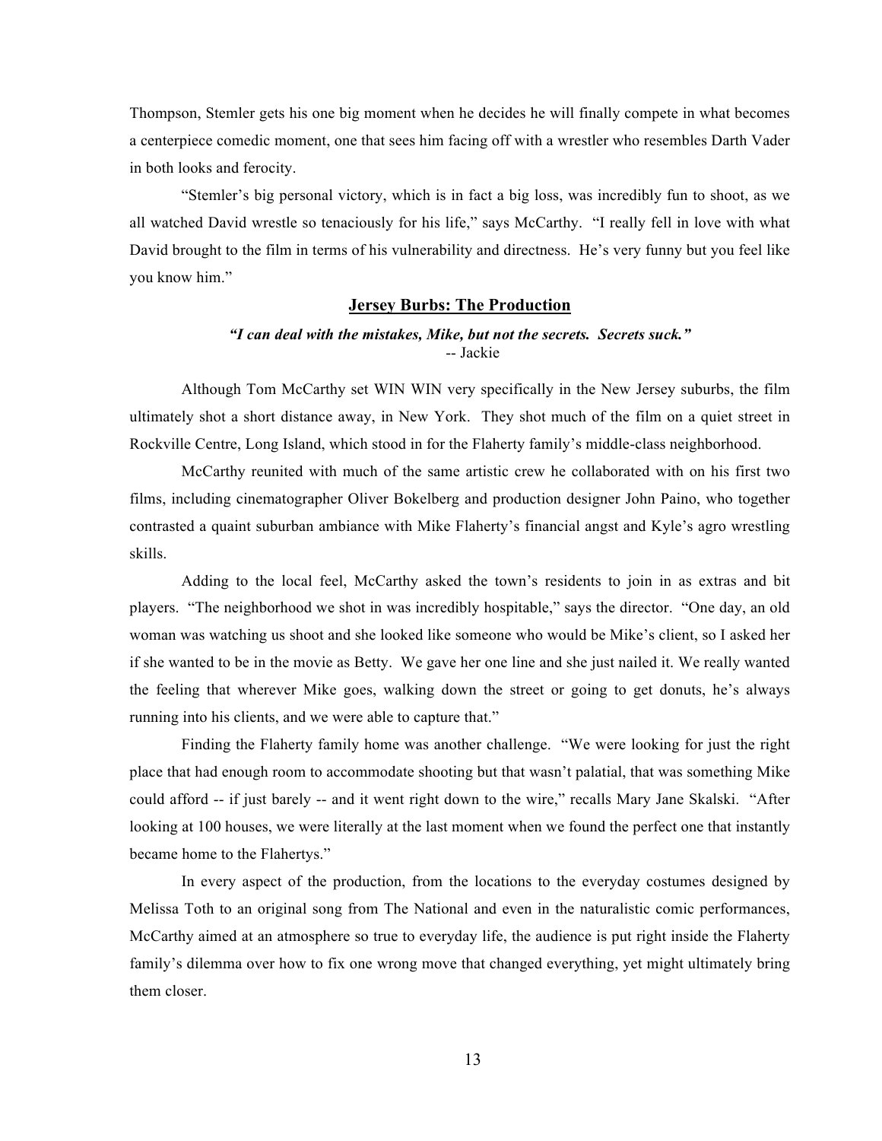Thompson, Stemler gets his one big moment when he decides he will finally compete in what becomes a centerpiece comedic moment, one that sees him facing off with a wrestler who resembles Darth Vader in both looks and ferocity.

"Stemler's big personal victory, which is in fact a big loss, was incredibly fun to shoot, as we all watched David wrestle so tenaciously for his life," says McCarthy. "I really fell in love with what David brought to the film in terms of his vulnerability and directness. He's very funny but you feel like you know him."

#### **Jersey Burbs: The Production**

# *"I can deal with the mistakes, Mike, but not the secrets. Secrets suck."* -- Jackie

Although Tom McCarthy set WIN WIN very specifically in the New Jersey suburbs, the film ultimately shot a short distance away, in New York. They shot much of the film on a quiet street in Rockville Centre, Long Island, which stood in for the Flaherty family's middle-class neighborhood.

McCarthy reunited with much of the same artistic crew he collaborated with on his first two films, including cinematographer Oliver Bokelberg and production designer John Paino, who together contrasted a quaint suburban ambiance with Mike Flaherty's financial angst and Kyle's agro wrestling skills.

Adding to the local feel, McCarthy asked the town's residents to join in as extras and bit players. "The neighborhood we shot in was incredibly hospitable," says the director. "One day, an old woman was watching us shoot and she looked like someone who would be Mike's client, so I asked her if she wanted to be in the movie as Betty. We gave her one line and she just nailed it. We really wanted the feeling that wherever Mike goes, walking down the street or going to get donuts, he's always running into his clients, and we were able to capture that."

Finding the Flaherty family home was another challenge. "We were looking for just the right place that had enough room to accommodate shooting but that wasn't palatial, that was something Mike could afford -- if just barely -- and it went right down to the wire," recalls Mary Jane Skalski. "After looking at 100 houses, we were literally at the last moment when we found the perfect one that instantly became home to the Flahertys."

In every aspect of the production, from the locations to the everyday costumes designed by Melissa Toth to an original song from The National and even in the naturalistic comic performances, McCarthy aimed at an atmosphere so true to everyday life, the audience is put right inside the Flaherty family's dilemma over how to fix one wrong move that changed everything, yet might ultimately bring them closer.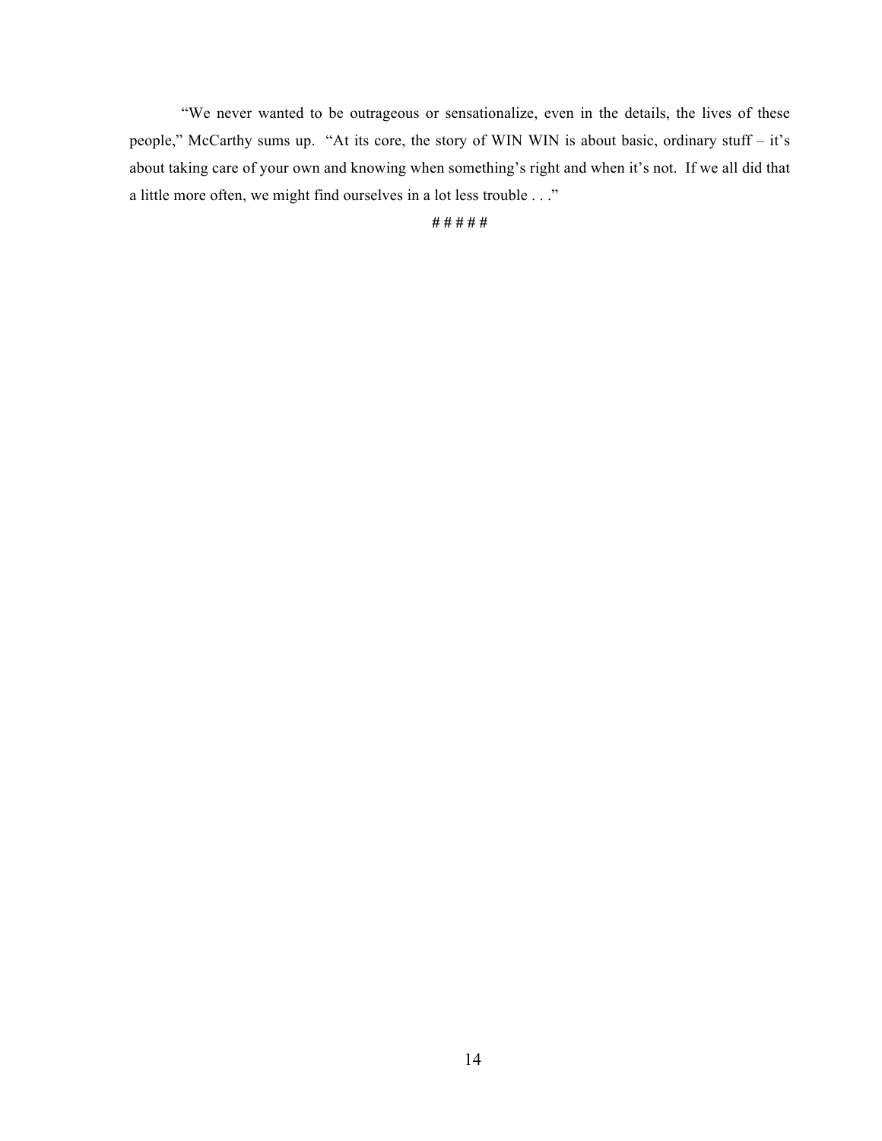"We never wanted to be outrageous or sensationalize, even in the details, the lives of these people," McCarthy sums up. "At its core, the story of WIN WIN is about basic, ordinary stuff – it's about taking care of your own and knowing when something's right and when it's not. If we all did that a little more often, we might find ourselves in a lot less trouble . . ."

**# # # # #**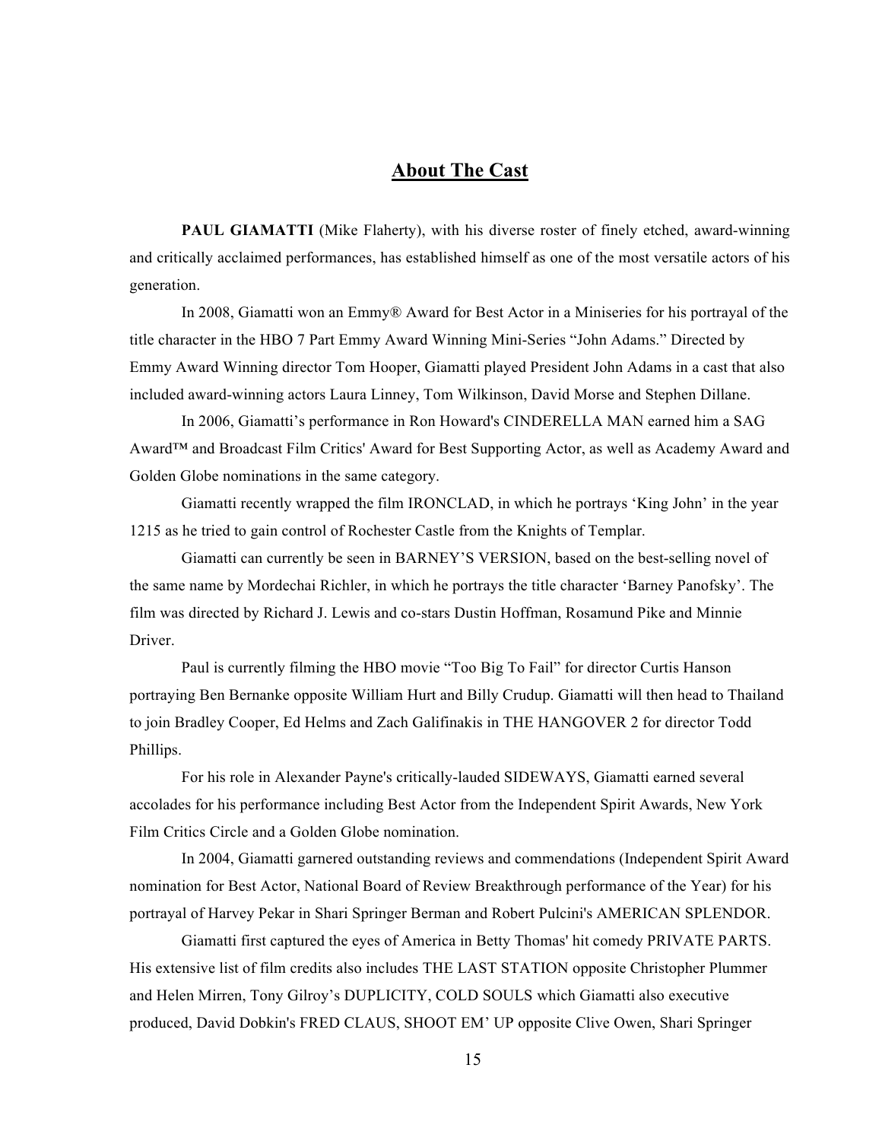# **About The Cast**

PAUL GIAMATTI (Mike Flaherty), with his diverse roster of finely etched, award-winning and critically acclaimed performances, has established himself as one of the most versatile actors of his generation.

In 2008, Giamatti won an Emmy® Award for Best Actor in a Miniseries for his portrayal of the title character in the HBO 7 Part Emmy Award Winning Mini-Series "John Adams." Directed by Emmy Award Winning director Tom Hooper, Giamatti played President John Adams in a cast that also included award-winning actors Laura Linney, Tom Wilkinson, David Morse and Stephen Dillane.

In 2006, Giamatti's performance in Ron Howard's CINDERELLA MAN earned him a SAG Award™ and Broadcast Film Critics' Award for Best Supporting Actor, as well as Academy Award and Golden Globe nominations in the same category.

Giamatti recently wrapped the film IRONCLAD, in which he portrays 'King John' in the year 1215 as he tried to gain control of Rochester Castle from the Knights of Templar.

Giamatti can currently be seen in BARNEY'S VERSION, based on the best-selling novel of the same name by Mordechai Richler, in which he portrays the title character 'Barney Panofsky'. The film was directed by Richard J. Lewis and co-stars Dustin Hoffman, Rosamund Pike and Minnie **Driver** 

Paul is currently filming the HBO movie "Too Big To Fail" for director Curtis Hanson portraying Ben Bernanke opposite William Hurt and Billy Crudup. Giamatti will then head to Thailand to join Bradley Cooper, Ed Helms and Zach Galifinakis in THE HANGOVER 2 for director Todd Phillips.

For his role in Alexander Payne's critically-lauded SIDEWAYS, Giamatti earned several accolades for his performance including Best Actor from the Independent Spirit Awards, New York Film Critics Circle and a Golden Globe nomination.

In 2004, Giamatti garnered outstanding reviews and commendations (Independent Spirit Award nomination for Best Actor, National Board of Review Breakthrough performance of the Year) for his portrayal of Harvey Pekar in Shari Springer Berman and Robert Pulcini's AMERICAN SPLENDOR.

Giamatti first captured the eyes of America in Betty Thomas' hit comedy PRIVATE PARTS. His extensive list of film credits also includes THE LAST STATION opposite Christopher Plummer and Helen Mirren, Tony Gilroy's DUPLICITY, COLD SOULS which Giamatti also executive produced, David Dobkin's FRED CLAUS, SHOOT EM' UP opposite Clive Owen, Shari Springer

15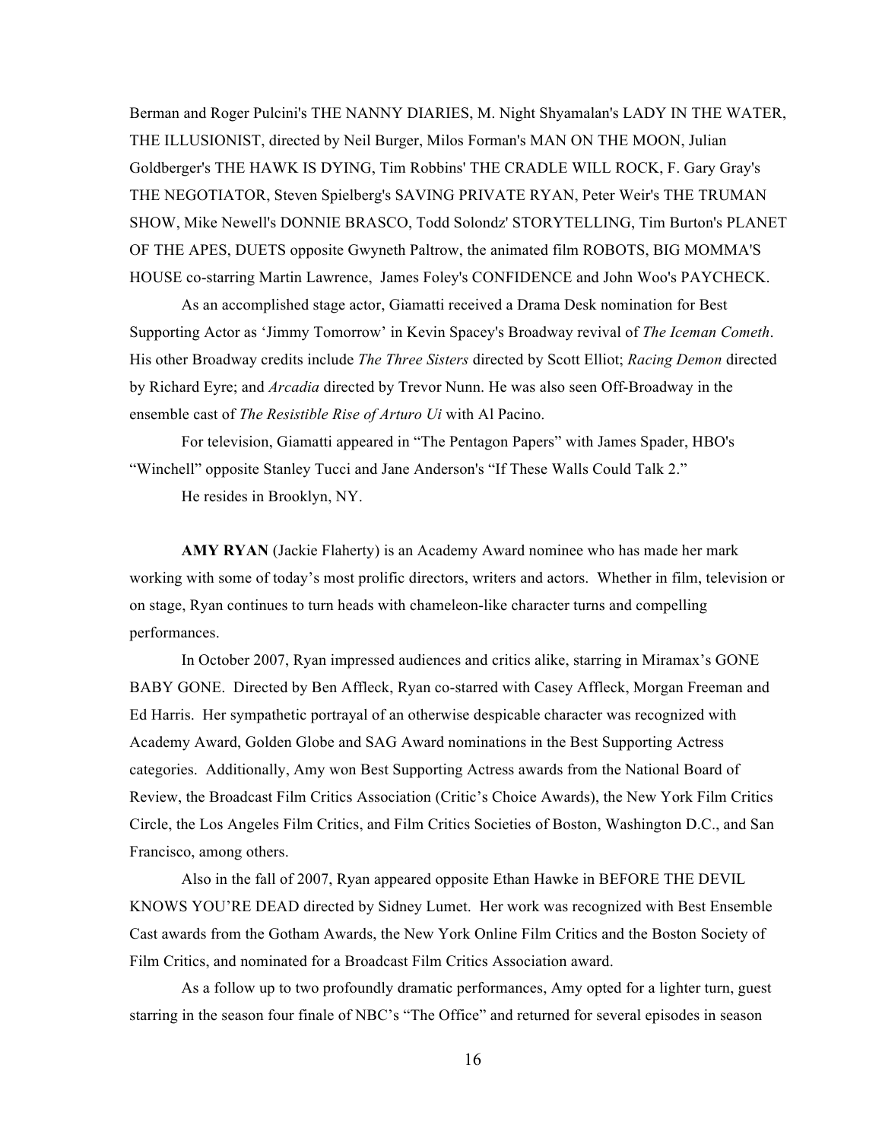Berman and Roger Pulcini's THE NANNY DIARIES, M. Night Shyamalan's LADY IN THE WATER, THE ILLUSIONIST, directed by Neil Burger, Milos Forman's MAN ON THE MOON, Julian Goldberger's THE HAWK IS DYING, Tim Robbins' THE CRADLE WILL ROCK, F. Gary Gray's THE NEGOTIATOR, Steven Spielberg's SAVING PRIVATE RYAN, Peter Weir's THE TRUMAN SHOW, Mike Newell's DONNIE BRASCO, Todd Solondz' STORYTELLING, Tim Burton's PLANET OF THE APES, DUETS opposite Gwyneth Paltrow, the animated film ROBOTS, BIG MOMMA'S HOUSE co-starring Martin Lawrence, James Foley's CONFIDENCE and John Woo's PAYCHECK.

As an accomplished stage actor, Giamatti received a Drama Desk nomination for Best Supporting Actor as 'Jimmy Tomorrow' in Kevin Spacey's Broadway revival of *The Iceman Cometh*. His other Broadway credits include *The Three Sisters* directed by Scott Elliot; *Racing Demon* directed by Richard Eyre; and *Arcadia* directed by Trevor Nunn. He was also seen Off-Broadway in the ensemble cast of *The Resistible Rise of Arturo Ui* with Al Pacino.

For television, Giamatti appeared in "The Pentagon Papers" with James Spader, HBO's "Winchell" opposite Stanley Tucci and Jane Anderson's "If These Walls Could Talk 2."

He resides in Brooklyn, NY.

**AMY RYAN** (Jackie Flaherty) is an Academy Award nominee who has made her mark working with some of today's most prolific directors, writers and actors. Whether in film, television or on stage, Ryan continues to turn heads with chameleon-like character turns and compelling performances.

In October 2007, Ryan impressed audiences and critics alike, starring in Miramax's GONE BABY GONE. Directed by Ben Affleck, Ryan co-starred with Casey Affleck, Morgan Freeman and Ed Harris. Her sympathetic portrayal of an otherwise despicable character was recognized with Academy Award, Golden Globe and SAG Award nominations in the Best Supporting Actress categories. Additionally, Amy won Best Supporting Actress awards from the National Board of Review, the Broadcast Film Critics Association (Critic's Choice Awards), the New York Film Critics Circle, the Los Angeles Film Critics, and Film Critics Societies of Boston, Washington D.C., and San Francisco, among others.

Also in the fall of 2007, Ryan appeared opposite Ethan Hawke in BEFORE THE DEVIL KNOWS YOU'RE DEAD directed by Sidney Lumet. Her work was recognized with Best Ensemble Cast awards from the Gotham Awards, the New York Online Film Critics and the Boston Society of Film Critics, and nominated for a Broadcast Film Critics Association award.

As a follow up to two profoundly dramatic performances, Amy opted for a lighter turn, guest starring in the season four finale of NBC's "The Office" and returned for several episodes in season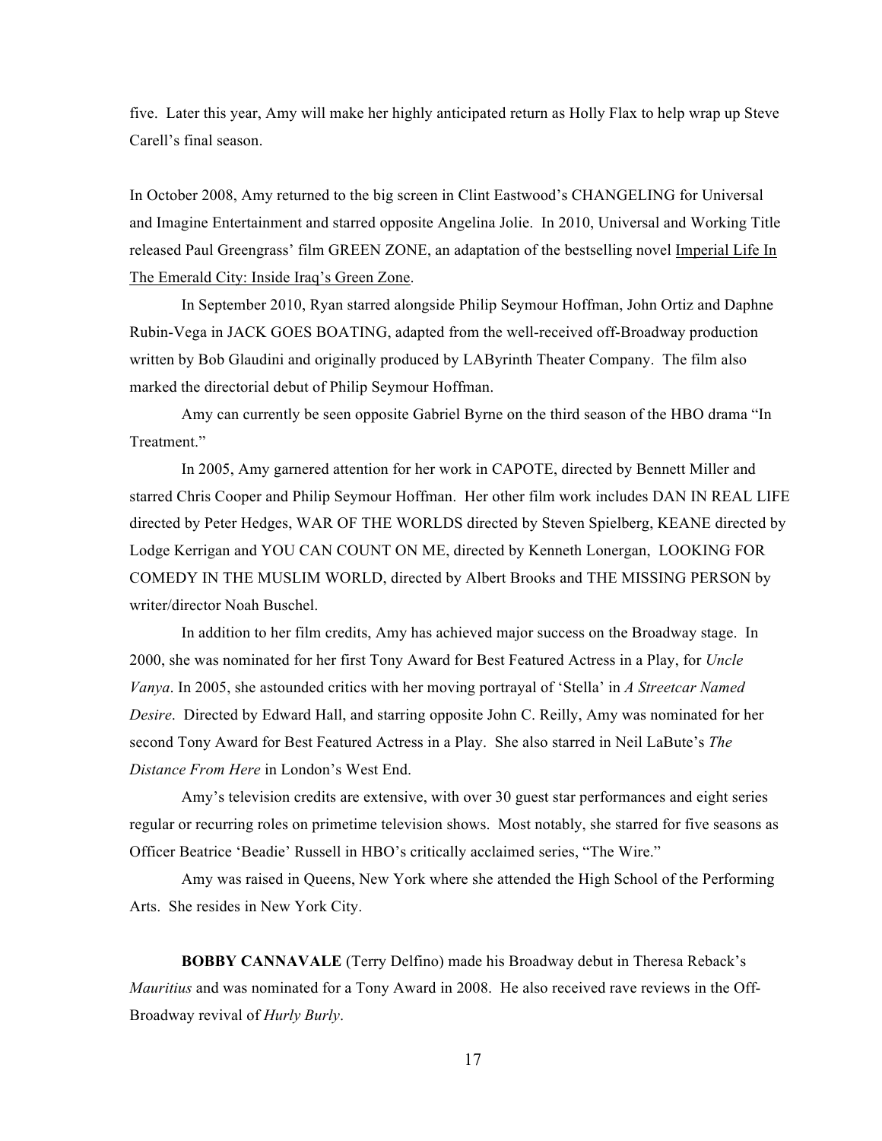five. Later this year, Amy will make her highly anticipated return as Holly Flax to help wrap up Steve Carell's final season.

In October 2008, Amy returned to the big screen in Clint Eastwood's CHANGELING for Universal and Imagine Entertainment and starred opposite Angelina Jolie. In 2010, Universal and Working Title released Paul Greengrass' film GREEN ZONE, an adaptation of the bestselling novel Imperial Life In The Emerald City: Inside Iraq's Green Zone.

In September 2010, Ryan starred alongside Philip Seymour Hoffman, John Ortiz and Daphne Rubin-Vega in JACK GOES BOATING, adapted from the well-received off-Broadway production written by Bob Glaudini and originally produced by LAByrinth Theater Company. The film also marked the directorial debut of Philip Seymour Hoffman.

Amy can currently be seen opposite Gabriel Byrne on the third season of the HBO drama "In Treatment."

In 2005, Amy garnered attention for her work in CAPOTE, directed by Bennett Miller and starred Chris Cooper and Philip Seymour Hoffman. Her other film work includes DAN IN REAL LIFE directed by Peter Hedges, WAR OF THE WORLDS directed by Steven Spielberg, KEANE directed by Lodge Kerrigan and YOU CAN COUNT ON ME, directed by Kenneth Lonergan, LOOKING FOR COMEDY IN THE MUSLIM WORLD, directed by Albert Brooks and THE MISSING PERSON by writer/director Noah Buschel.

In addition to her film credits, Amy has achieved major success on the Broadway stage. In 2000, she was nominated for her first Tony Award for Best Featured Actress in a Play, for *Uncle Vanya*. In 2005, she astounded critics with her moving portrayal of 'Stella' in *A Streetcar Named Desire*. Directed by Edward Hall, and starring opposite John C. Reilly, Amy was nominated for her second Tony Award for Best Featured Actress in a Play. She also starred in Neil LaBute's *The Distance From Here* in London's West End.

Amy's television credits are extensive, with over 30 guest star performances and eight series regular or recurring roles on primetime television shows. Most notably, she starred for five seasons as Officer Beatrice 'Beadie' Russell in HBO's critically acclaimed series, "The Wire."

Amy was raised in Queens, New York where she attended the High School of the Performing Arts. She resides in New York City.

**BOBBY CANNAVALE** (Terry Delfino) made his Broadway debut in Theresa Reback's *Mauritius* and was nominated for a Tony Award in 2008. He also received rave reviews in the Off-Broadway revival of *Hurly Burly*.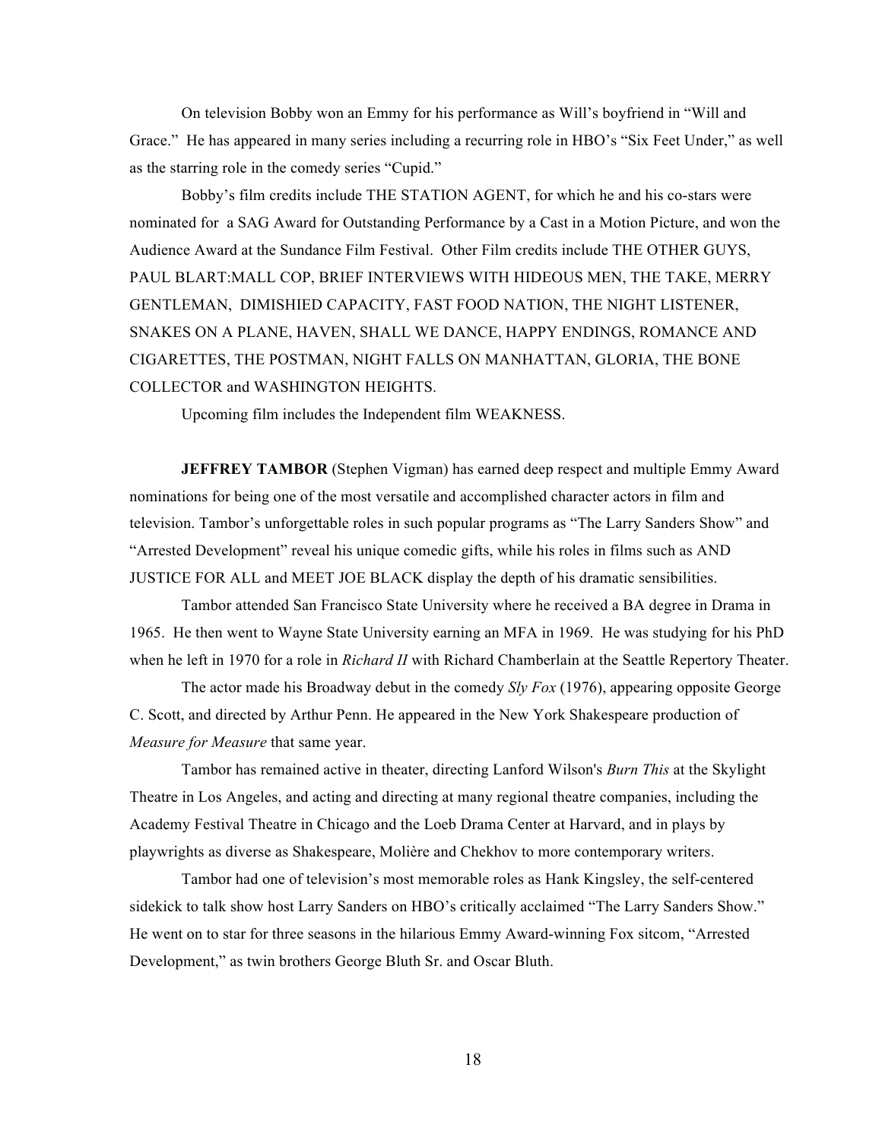On television Bobby won an Emmy for his performance as Will's boyfriend in "Will and Grace." He has appeared in many series including a recurring role in HBO's "Six Feet Under," as well as the starring role in the comedy series "Cupid."

Bobby's film credits include THE STATION AGENT, for which he and his co-stars were nominated for a SAG Award for Outstanding Performance by a Cast in a Motion Picture, and won the Audience Award at the Sundance Film Festival. Other Film credits include THE OTHER GUYS, PAUL BLART:MALL COP, BRIEF INTERVIEWS WITH HIDEOUS MEN, THE TAKE, MERRY GENTLEMAN, DIMISHIED CAPACITY, FAST FOOD NATION, THE NIGHT LISTENER, SNAKES ON A PLANE, HAVEN, SHALL WE DANCE, HAPPY ENDINGS, ROMANCE AND CIGARETTES, THE POSTMAN, NIGHT FALLS ON MANHATTAN, GLORIA, THE BONE COLLECTOR and WASHINGTON HEIGHTS.

Upcoming film includes the Independent film WEAKNESS.

**JEFFREY TAMBOR** (Stephen Vigman) has earned deep respect and multiple Emmy Award nominations for being one of the most versatile and accomplished character actors in film and television. Tambor's unforgettable roles in such popular programs as "The Larry Sanders Show" and "Arrested Development" reveal his unique comedic gifts, while his roles in films such as AND JUSTICE FOR ALL and MEET JOE BLACK display the depth of his dramatic sensibilities.

Tambor attended San Francisco State University where he received a BA degree in Drama in 1965. He then went to Wayne State University earning an MFA in 1969. He was studying for his PhD when he left in 1970 for a role in *Richard II* with Richard Chamberlain at the Seattle Repertory Theater.

The actor made his Broadway debut in the comedy *Sly Fox* (1976), appearing opposite George C. Scott, and directed by Arthur Penn. He appeared in the New York Shakespeare production of *Measure for Measure* that same year.

Tambor has remained active in theater, directing Lanford Wilson's *Burn This* at the Skylight Theatre in Los Angeles, and acting and directing at many regional theatre companies, including the Academy Festival Theatre in Chicago and the Loeb Drama Center at Harvard, and in plays by playwrights as diverse as Shakespeare, Molière and Chekhov to more contemporary writers.

Tambor had one of television's most memorable roles as Hank Kingsley, the self-centered sidekick to talk show host Larry Sanders on HBO's critically acclaimed "The Larry Sanders Show." He went on to star for three seasons in the hilarious Emmy Award-winning Fox sitcom, "Arrested Development," as twin brothers George Bluth Sr. and Oscar Bluth.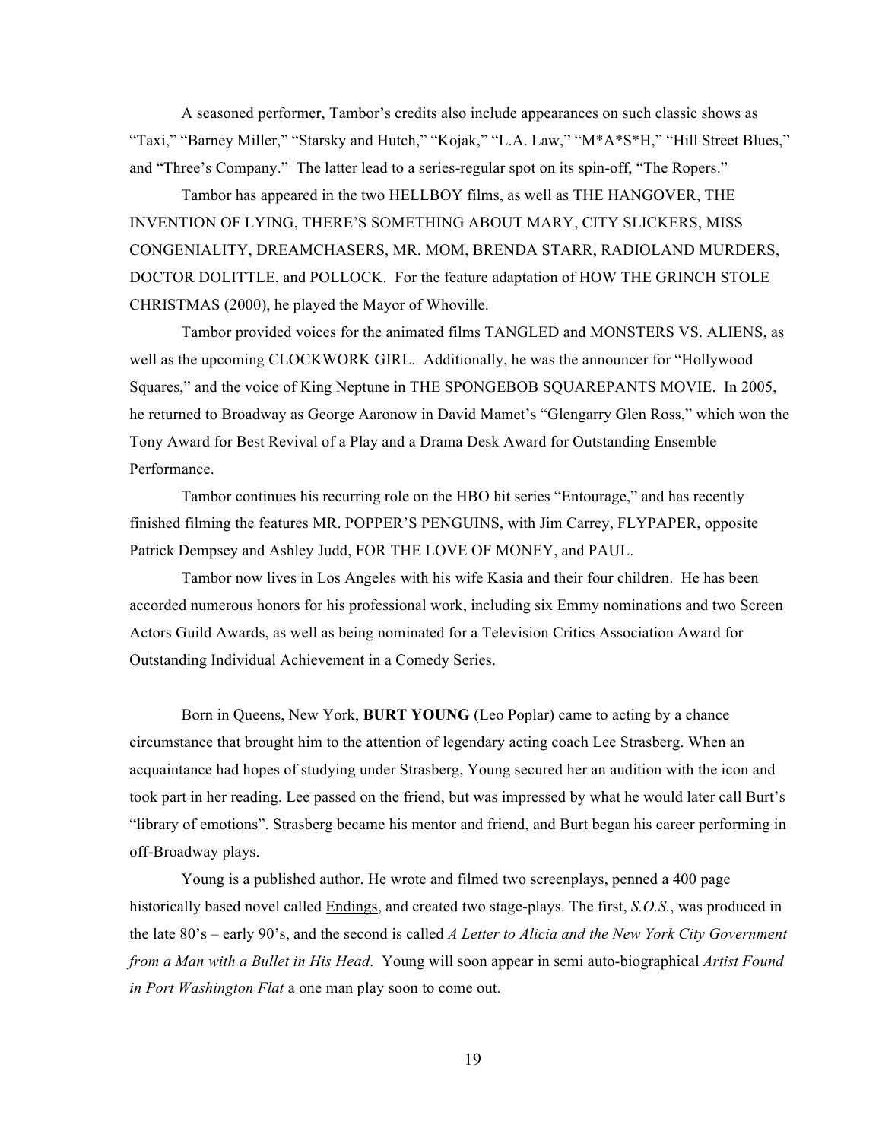A seasoned performer, Tambor's credits also include appearances on such classic shows as "Taxi," "Barney Miller," "Starsky and Hutch," "Kojak," "L.A. Law," "M\*A\*S\*H," "Hill Street Blues," and "Three's Company." The latter lead to a series-regular spot on its spin-off, "The Ropers."

Tambor has appeared in the two HELLBOY films, as well as THE HANGOVER, THE INVENTION OF LYING, THERE'S SOMETHING ABOUT MARY, CITY SLICKERS, MISS CONGENIALITY, DREAMCHASERS, MR. MOM, BRENDA STARR, RADIOLAND MURDERS, DOCTOR DOLITTLE, and POLLOCK. For the feature adaptation of HOW THE GRINCH STOLE CHRISTMAS (2000), he played the Mayor of Whoville.

Tambor provided voices for the animated films TANGLED and MONSTERS VS. ALIENS, as well as the upcoming CLOCKWORK GIRL. Additionally, he was the announcer for "Hollywood Squares," and the voice of King Neptune in THE SPONGEBOB SQUAREPANTS MOVIE. In 2005, he returned to Broadway as George Aaronow in David Mamet's "Glengarry Glen Ross," which won the Tony Award for Best Revival of a Play and a Drama Desk Award for Outstanding Ensemble Performance.

Tambor continues his recurring role on the HBO hit series "Entourage," and has recently finished filming the features MR. POPPER'S PENGUINS, with Jim Carrey, FLYPAPER, opposite Patrick Dempsey and Ashley Judd, FOR THE LOVE OF MONEY, and PAUL.

Tambor now lives in Los Angeles with his wife Kasia and their four children. He has been accorded numerous honors for his professional work, including six Emmy nominations and two Screen Actors Guild Awards, as well as being nominated for a Television Critics Association Award for Outstanding Individual Achievement in a Comedy Series.

Born in Queens, New York, **BURT YOUNG** (Leo Poplar) came to acting by a chance circumstance that brought him to the attention of legendary acting coach Lee Strasberg. When an acquaintance had hopes of studying under Strasberg, Young secured her an audition with the icon and took part in her reading. Lee passed on the friend, but was impressed by what he would later call Burt's "library of emotions". Strasberg became his mentor and friend, and Burt began his career performing in off-Broadway plays.

Young is a published author. He wrote and filmed two screenplays, penned a 400 page historically based novel called Endings, and created two stage-plays. The first, *S.O.S.*, was produced in the late 80's – early 90's, and the second is called *A Letter to Alicia and the New York City Government from a Man with a Bullet in His Head*. Young will soon appear in semi auto-biographical *Artist Found in Port Washington Flat* a one man play soon to come out.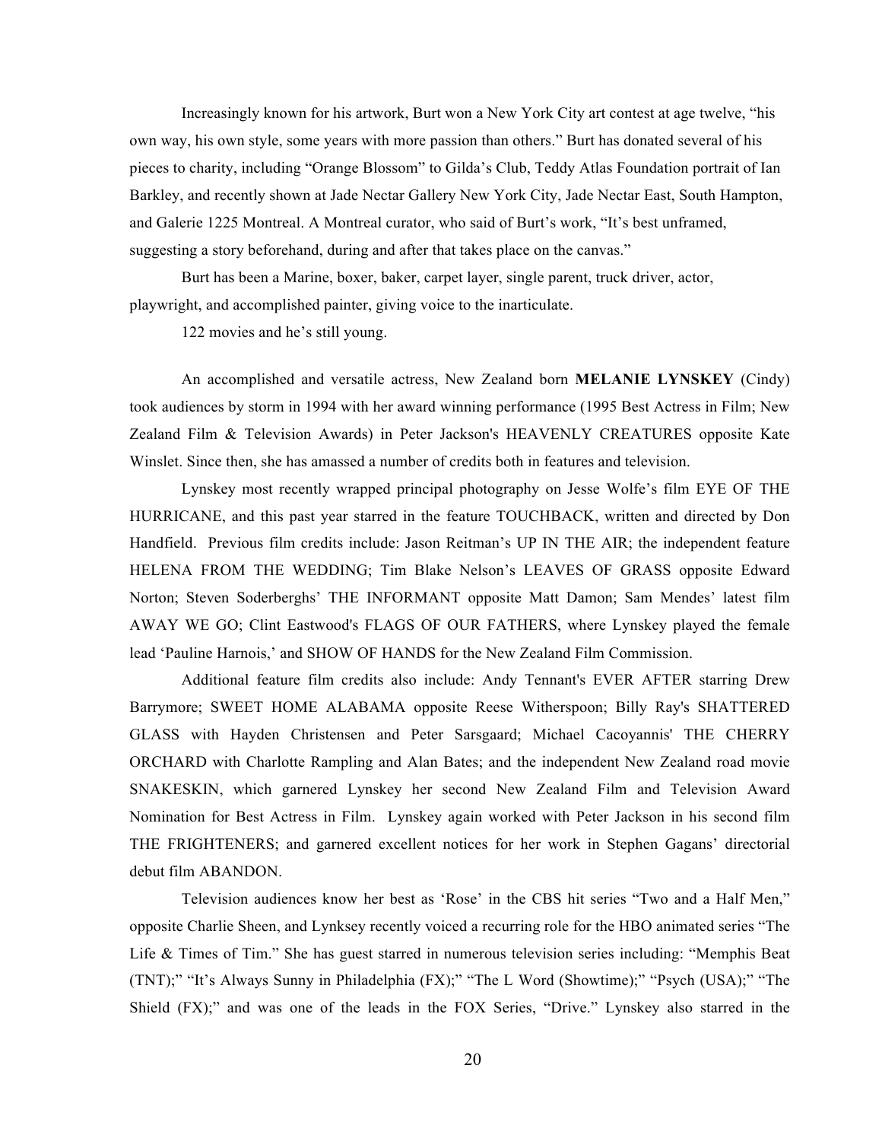Increasingly known for his artwork, Burt won a New York City art contest at age twelve, "his own way, his own style, some years with more passion than others." Burt has donated several of his pieces to charity, including "Orange Blossom" to Gilda's Club, Teddy Atlas Foundation portrait of Ian Barkley, and recently shown at Jade Nectar Gallery New York City, Jade Nectar East, South Hampton, and Galerie 1225 Montreal. A Montreal curator, who said of Burt's work, "It's best unframed, suggesting a story beforehand, during and after that takes place on the canvas."

Burt has been a Marine, boxer, baker, carpet layer, single parent, truck driver, actor, playwright, and accomplished painter, giving voice to the inarticulate.

122 movies and he's still young.

An accomplished and versatile actress, New Zealand born **MELANIE LYNSKEY** (Cindy) took audiences by storm in 1994 with her award winning performance (1995 Best Actress in Film; New Zealand Film & Television Awards) in Peter Jackson's HEAVENLY CREATURES opposite Kate Winslet. Since then, she has amassed a number of credits both in features and television.

Lynskey most recently wrapped principal photography on Jesse Wolfe's film EYE OF THE HURRICANE, and this past year starred in the feature TOUCHBACK, written and directed by Don Handfield. Previous film credits include: Jason Reitman's UP IN THE AIR; the independent feature HELENA FROM THE WEDDING; Tim Blake Nelson's LEAVES OF GRASS opposite Edward Norton; Steven Soderberghs' THE INFORMANT opposite Matt Damon; Sam Mendes' latest film AWAY WE GO; Clint Eastwood's FLAGS OF OUR FATHERS, where Lynskey played the female lead 'Pauline Harnois,' and SHOW OF HANDS for the New Zealand Film Commission.

Additional feature film credits also include: Andy Tennant's EVER AFTER starring Drew Barrymore; SWEET HOME ALABAMA opposite Reese Witherspoon; Billy Ray's SHATTERED GLASS with Hayden Christensen and Peter Sarsgaard; Michael Cacoyannis' THE CHERRY ORCHARD with Charlotte Rampling and Alan Bates; and the independent New Zealand road movie SNAKESKIN, which garnered Lynskey her second New Zealand Film and Television Award Nomination for Best Actress in Film. Lynskey again worked with Peter Jackson in his second film THE FRIGHTENERS; and garnered excellent notices for her work in Stephen Gagans' directorial debut film ABANDON.

Television audiences know her best as 'Rose' in the CBS hit series "Two and a Half Men," opposite Charlie Sheen, and Lynksey recently voiced a recurring role for the HBO animated series "The Life & Times of Tim." She has guest starred in numerous television series including: "Memphis Beat (TNT);" "It's Always Sunny in Philadelphia (FX);" "The L Word (Showtime);" "Psych (USA);" "The Shield (FX);" and was one of the leads in the FOX Series, "Drive." Lynskey also starred in the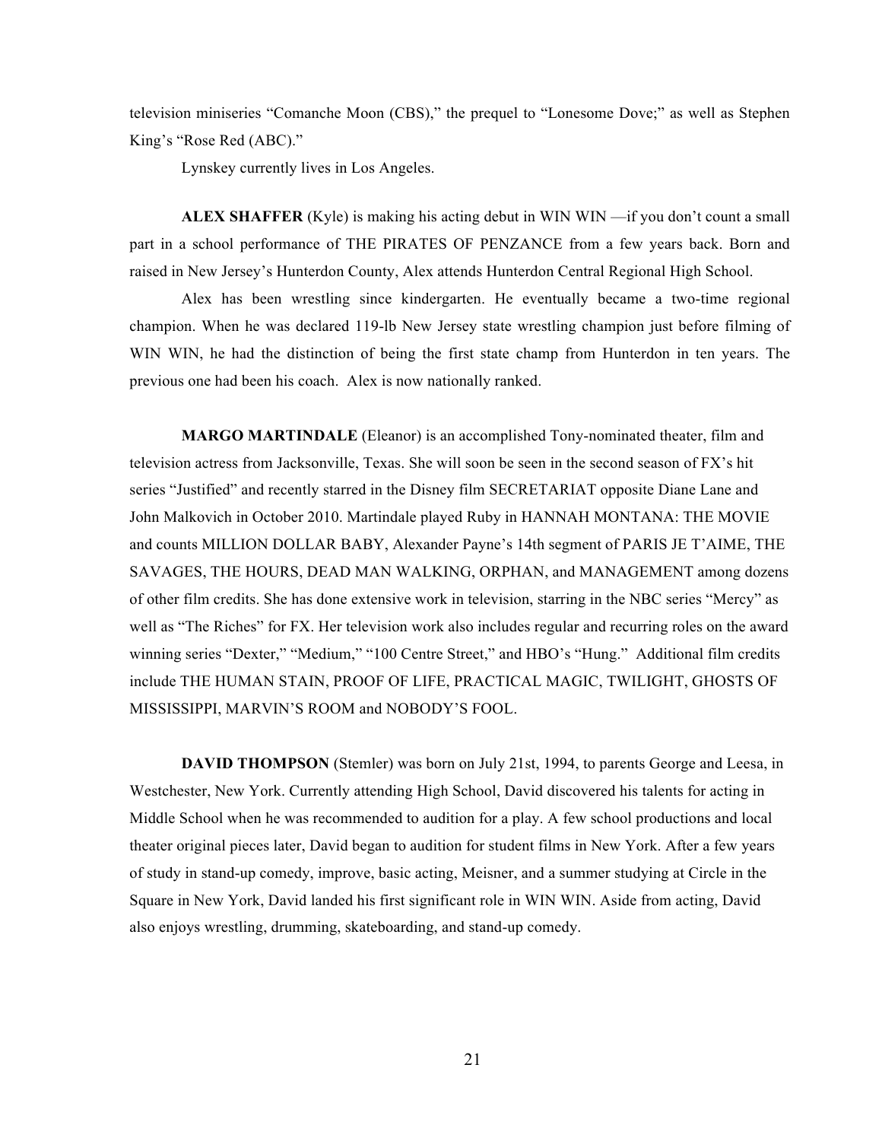television miniseries "Comanche Moon (CBS)," the prequel to "Lonesome Dove;" as well as Stephen King's "Rose Red (ABC)."

Lynskey currently lives in Los Angeles.

**ALEX SHAFFER** (Kyle) is making his acting debut in WIN WIN —if you don't count a small part in a school performance of THE PIRATES OF PENZANCE from a few years back. Born and raised in New Jersey's Hunterdon County, Alex attends Hunterdon Central Regional High School.

Alex has been wrestling since kindergarten. He eventually became a two-time regional champion. When he was declared 119-lb New Jersey state wrestling champion just before filming of WIN WIN, he had the distinction of being the first state champ from Hunterdon in ten years. The previous one had been his coach. Alex is now nationally ranked.

**MARGO MARTINDALE** (Eleanor) is an accomplished Tony-nominated theater, film and television actress from Jacksonville, Texas. She will soon be seen in the second season of FX's hit series "Justified" and recently starred in the Disney film SECRETARIAT opposite Diane Lane and John Malkovich in October 2010. Martindale played Ruby in HANNAH MONTANA: THE MOVIE and counts MILLION DOLLAR BABY, Alexander Payne's 14th segment of PARIS JE T'AIME, THE SAVAGES, THE HOURS, DEAD MAN WALKING, ORPHAN, and MANAGEMENT among dozens of other film credits. She has done extensive work in television, starring in the NBC series "Mercy" as well as "The Riches" for FX. Her television work also includes regular and recurring roles on the award winning series "Dexter," "Medium," "100 Centre Street," and HBO's "Hung." Additional film credits include THE HUMAN STAIN, PROOF OF LIFE, PRACTICAL MAGIC, TWILIGHT, GHOSTS OF MISSISSIPPI, MARVIN'S ROOM and NOBODY'S FOOL.

**DAVID THOMPSON** (Stemler) was born on July 21st, 1994, to parents George and Leesa, in Westchester, New York. Currently attending High School, David discovered his talents for acting in Middle School when he was recommended to audition for a play. A few school productions and local theater original pieces later, David began to audition for student films in New York. After a few years of study in stand-up comedy, improve, basic acting, Meisner, and a summer studying at Circle in the Square in New York, David landed his first significant role in WIN WIN. Aside from acting, David also enjoys wrestling, drumming, skateboarding, and stand-up comedy.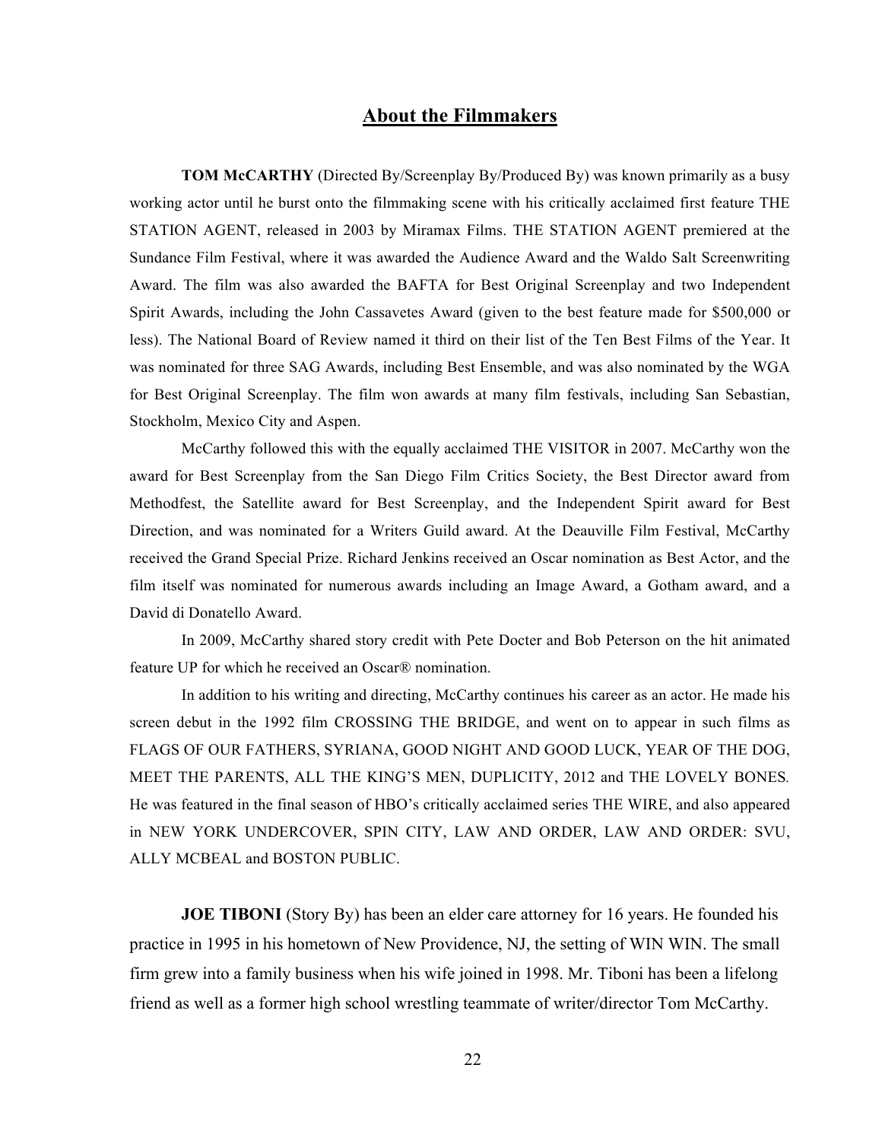# **About the Filmmakers**

**TOM McCARTHY** (Directed By/Screenplay By/Produced By) was known primarily as a busy working actor until he burst onto the filmmaking scene with his critically acclaimed first feature THE STATION AGENT, released in 2003 by Miramax Films. THE STATION AGENT premiered at the Sundance Film Festival, where it was awarded the Audience Award and the Waldo Salt Screenwriting Award. The film was also awarded the BAFTA for Best Original Screenplay and two Independent Spirit Awards, including the John Cassavetes Award (given to the best feature made for \$500,000 or less). The National Board of Review named it third on their list of the Ten Best Films of the Year. It was nominated for three SAG Awards, including Best Ensemble, and was also nominated by the WGA for Best Original Screenplay. The film won awards at many film festivals, including San Sebastian, Stockholm, Mexico City and Aspen.

McCarthy followed this with the equally acclaimed THE VISITOR in 2007. McCarthy won the award for Best Screenplay from the San Diego Film Critics Society, the Best Director award from Methodfest, the Satellite award for Best Screenplay, and the Independent Spirit award for Best Direction, and was nominated for a Writers Guild award. At the Deauville Film Festival, McCarthy received the Grand Special Prize. Richard Jenkins received an Oscar nomination as Best Actor, and the film itself was nominated for numerous awards including an Image Award, a Gotham award, and a David di Donatello Award.

In 2009, McCarthy shared story credit with Pete Docter and Bob Peterson on the hit animated feature UP for which he received an Oscar® nomination.

In addition to his writing and directing, McCarthy continues his career as an actor. He made his screen debut in the 1992 film CROSSING THE BRIDGE, and went on to appear in such films as FLAGS OF OUR FATHERS, SYRIANA, GOOD NIGHT AND GOOD LUCK, YEAR OF THE DOG, MEET THE PARENTS, ALL THE KING'S MEN, DUPLICITY, 2012 and THE LOVELY BONES*.*  He was featured in the final season of HBO's critically acclaimed series THE WIRE, and also appeared in NEW YORK UNDERCOVER, SPIN CITY, LAW AND ORDER, LAW AND ORDER: SVU, ALLY MCBEAL and BOSTON PUBLIC.

**JOE TIBONI** (Story By) has been an elder care attorney for 16 years. He founded his practice in 1995 in his hometown of New Providence, NJ, the setting of WIN WIN. The small firm grew into a family business when his wife joined in 1998. Mr. Tiboni has been a lifelong friend as well as a former high school wrestling teammate of writer/director Tom McCarthy.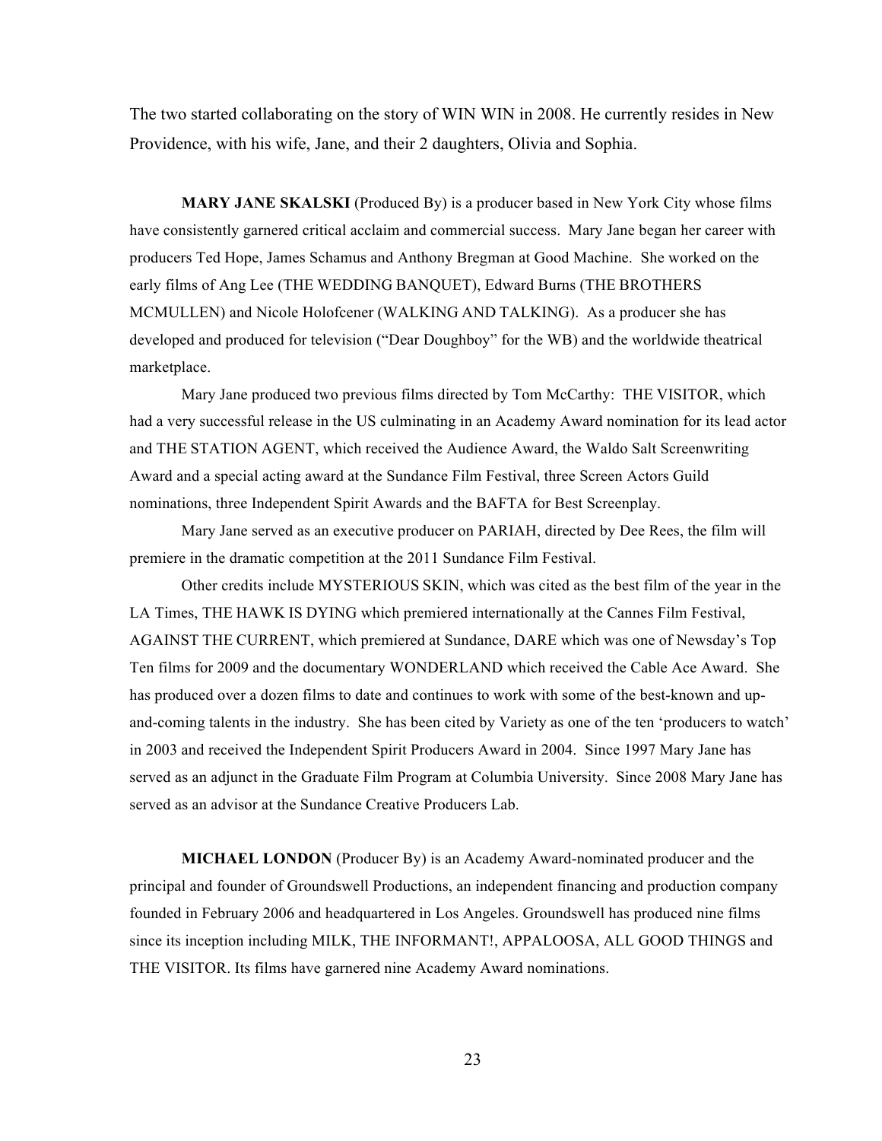The two started collaborating on the story of WIN WIN in 2008. He currently resides in New Providence, with his wife, Jane, and their 2 daughters, Olivia and Sophia.

**MARY JANE SKALSKI** (Produced By) is a producer based in New York City whose films have consistently garnered critical acclaim and commercial success. Mary Jane began her career with producers Ted Hope, James Schamus and Anthony Bregman at Good Machine. She worked on the early films of Ang Lee (THE WEDDING BANQUET), Edward Burns (THE BROTHERS MCMULLEN) and Nicole Holofcener (WALKING AND TALKING). As a producer she has developed and produced for television ("Dear Doughboy" for the WB) and the worldwide theatrical marketplace.

Mary Jane produced two previous films directed by Tom McCarthy: THE VISITOR, which had a very successful release in the US culminating in an Academy Award nomination for its lead actor and THE STATION AGENT, which received the Audience Award, the Waldo Salt Screenwriting Award and a special acting award at the Sundance Film Festival, three Screen Actors Guild nominations, three Independent Spirit Awards and the BAFTA for Best Screenplay.

Mary Jane served as an executive producer on PARIAH, directed by Dee Rees, the film will premiere in the dramatic competition at the 2011 Sundance Film Festival.

Other credits include MYSTERIOUS SKIN, which was cited as the best film of the year in the LA Times, THE HAWK IS DYING which premiered internationally at the Cannes Film Festival, AGAINST THE CURRENT, which premiered at Sundance, DARE which was one of Newsday's Top Ten films for 2009 and the documentary WONDERLAND which received the Cable Ace Award. She has produced over a dozen films to date and continues to work with some of the best-known and upand-coming talents in the industry. She has been cited by Variety as one of the ten 'producers to watch' in 2003 and received the Independent Spirit Producers Award in 2004. Since 1997 Mary Jane has served as an adjunct in the Graduate Film Program at Columbia University. Since 2008 Mary Jane has served as an advisor at the Sundance Creative Producers Lab.

**MICHAEL LONDON** (Producer By) is an Academy Award-nominated producer and the principal and founder of Groundswell Productions, an independent financing and production company founded in February 2006 and headquartered in Los Angeles. Groundswell has produced nine films since its inception including MILK, THE INFORMANT!, APPALOOSA, ALL GOOD THINGS and THE VISITOR. Its films have garnered nine Academy Award nominations.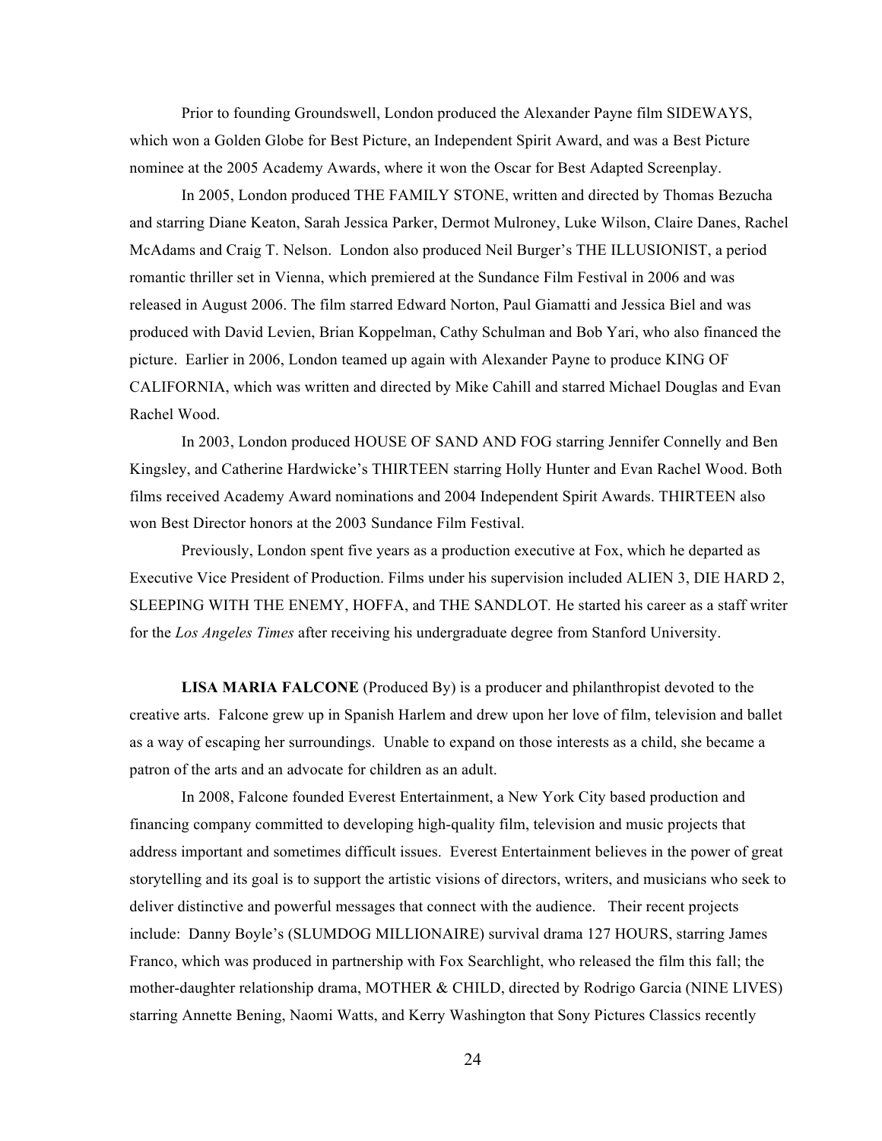Prior to founding Groundswell, London produced the Alexander Payne film SIDEWAYS, which won a Golden Globe for Best Picture, an Independent Spirit Award, and was a Best Picture nominee at the 2005 Academy Awards, where it won the Oscar for Best Adapted Screenplay.

In 2005, London produced THE FAMILY STONE, written and directed by Thomas Bezucha and starring Diane Keaton, Sarah Jessica Parker, Dermot Mulroney, Luke Wilson, Claire Danes, Rachel McAdams and Craig T. Nelson. London also produced Neil Burger's THE ILLUSIONIST, a period romantic thriller set in Vienna, which premiered at the Sundance Film Festival in 2006 and was released in August 2006. The film starred Edward Norton, Paul Giamatti and Jessica Biel and was produced with David Levien, Brian Koppelman, Cathy Schulman and Bob Yari, who also financed the picture. Earlier in 2006, London teamed up again with Alexander Payne to produce KING OF CALIFORNIA, which was written and directed by Mike Cahill and starred Michael Douglas and Evan Rachel Wood.

In 2003, London produced HOUSE OF SAND AND FOG starring Jennifer Connelly and Ben Kingsley, and Catherine Hardwicke's THIRTEEN starring Holly Hunter and Evan Rachel Wood. Both films received Academy Award nominations and 2004 Independent Spirit Awards. THIRTEEN also won Best Director honors at the 2003 Sundance Film Festival.

Previously, London spent five years as a production executive at Fox, which he departed as Executive Vice President of Production. Films under his supervision included ALIEN 3, DIE HARD 2, SLEEPING WITH THE ENEMY, HOFFA, and THE SANDLOT*.* He started his career as a staff writer for the *Los Angeles Times* after receiving his undergraduate degree from Stanford University.

**LISA MARIA FALCONE** (Produced By) is a producer and philanthropist devoted to the creative arts. Falcone grew up in Spanish Harlem and drew upon her love of film, television and ballet as a way of escaping her surroundings. Unable to expand on those interests as a child, she became a patron of the arts and an advocate for children as an adult.

In 2008, Falcone founded Everest Entertainment, a New York City based production and financing company committed to developing high-quality film, television and music projects that address important and sometimes difficult issues. Everest Entertainment believes in the power of great storytelling and its goal is to support the artistic visions of directors, writers, and musicians who seek to deliver distinctive and powerful messages that connect with the audience. Their recent projects include: Danny Boyle's (SLUMDOG MILLIONAIRE) survival drama 127 HOURS, starring James Franco, which was produced in partnership with Fox Searchlight, who released the film this fall; the mother-daughter relationship drama, MOTHER & CHILD, directed by Rodrigo Garcia (NINE LIVES) starring Annette Bening, Naomi Watts, and Kerry Washington that Sony Pictures Classics recently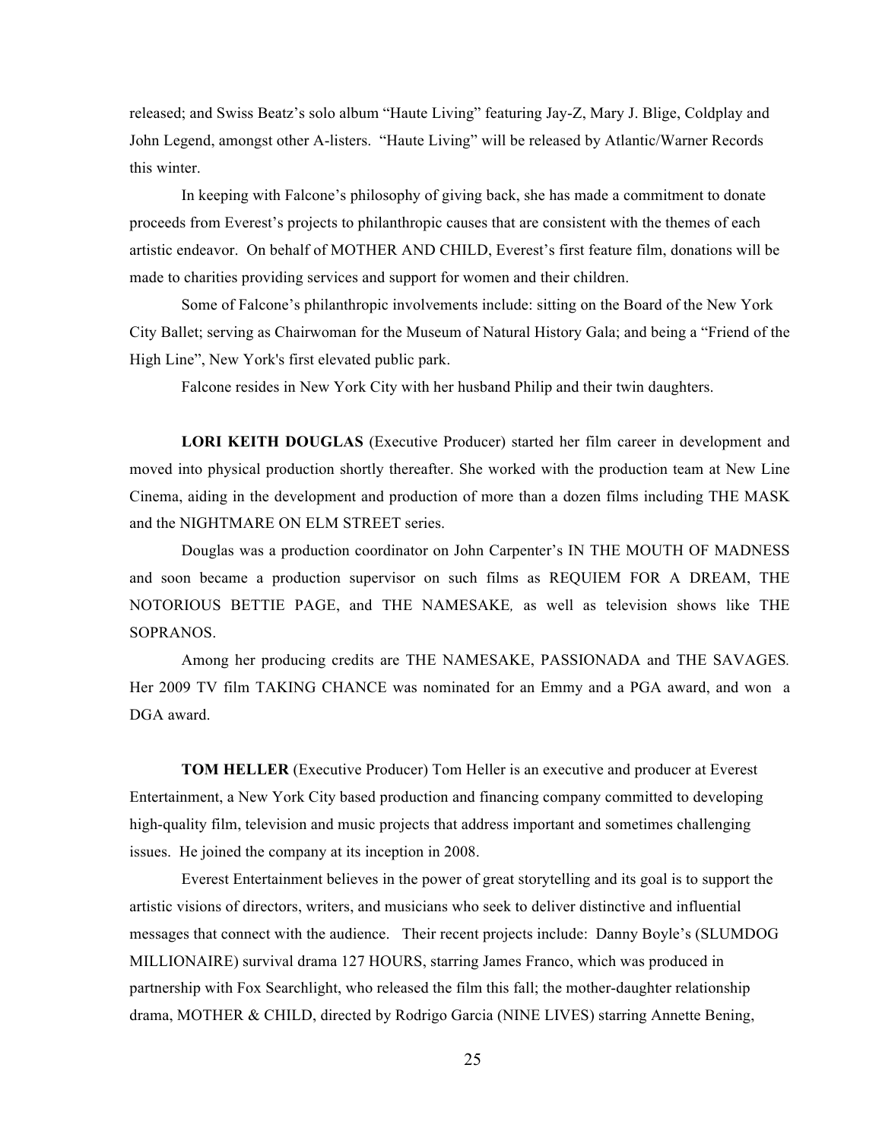released; and Swiss Beatz's solo album "Haute Living" featuring Jay-Z, Mary J. Blige, Coldplay and John Legend, amongst other A-listers. "Haute Living" will be released by Atlantic/Warner Records this winter.

In keeping with Falcone's philosophy of giving back, she has made a commitment to donate proceeds from Everest's projects to philanthropic causes that are consistent with the themes of each artistic endeavor. On behalf of MOTHER AND CHILD, Everest's first feature film, donations will be made to charities providing services and support for women and their children.

Some of Falcone's philanthropic involvements include: sitting on the Board of the New York City Ballet; serving as Chairwoman for the Museum of Natural History Gala; and being a "Friend of the High Line", New York's first elevated public park.

Falcone resides in New York City with her husband Philip and their twin daughters.

**LORI KEITH DOUGLAS** (Executive Producer) started her film career in development and moved into physical production shortly thereafter. She worked with the production team at New Line Cinema, aiding in the development and production of more than a dozen films including THE MASK and the NIGHTMARE ON ELM STREET series.

Douglas was a production coordinator on John Carpenter's IN THE MOUTH OF MADNESS and soon became a production supervisor on such films as REQUIEM FOR A DREAM, THE NOTORIOUS BETTIE PAGE, and THE NAMESAKE*,* as well as television shows like THE SOPRANOS.

Among her producing credits are THE NAMESAKE, PASSIONADA and THE SAVAGES*.*  Her 2009 TV film TAKING CHANCE was nominated for an Emmy and a PGA award, and won a DGA award.

**TOM HELLER** (Executive Producer) Tom Heller is an executive and producer at Everest Entertainment, a New York City based production and financing company committed to developing high-quality film, television and music projects that address important and sometimes challenging issues. He joined the company at its inception in 2008.

Everest Entertainment believes in the power of great storytelling and its goal is to support the artistic visions of directors, writers, and musicians who seek to deliver distinctive and influential messages that connect with the audience. Their recent projects include: Danny Boyle's (SLUMDOG MILLIONAIRE) survival drama 127 HOURS, starring James Franco, which was produced in partnership with Fox Searchlight, who released the film this fall; the mother-daughter relationship drama, MOTHER & CHILD, directed by Rodrigo Garcia (NINE LIVES) starring Annette Bening,

25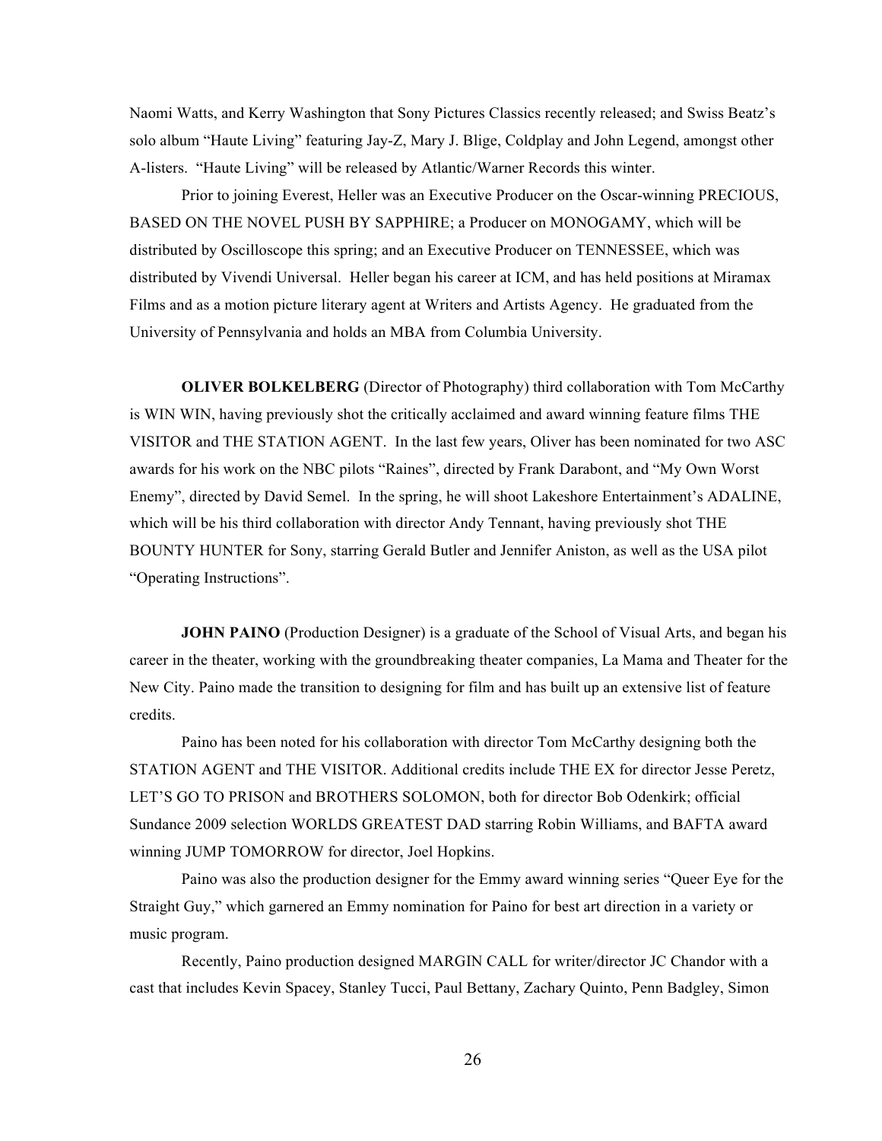Naomi Watts, and Kerry Washington that Sony Pictures Classics recently released; and Swiss Beatz's solo album "Haute Living" featuring Jay-Z, Mary J. Blige, Coldplay and John Legend, amongst other A-listers. "Haute Living" will be released by Atlantic/Warner Records this winter.

Prior to joining Everest, Heller was an Executive Producer on the Oscar-winning PRECIOUS, BASED ON THE NOVEL PUSH BY SAPPHIRE; a Producer on MONOGAMY, which will be distributed by Oscilloscope this spring; and an Executive Producer on TENNESSEE, which was distributed by Vivendi Universal. Heller began his career at ICM, and has held positions at Miramax Films and as a motion picture literary agent at Writers and Artists Agency. He graduated from the University of Pennsylvania and holds an MBA from Columbia University.

**OLIVER BOLKELBERG** (Director of Photography) third collaboration with Tom McCarthy is WIN WIN, having previously shot the critically acclaimed and award winning feature films THE VISITOR and THE STATION AGENT. In the last few years, Oliver has been nominated for two ASC awards for his work on the NBC pilots "Raines", directed by Frank Darabont, and "My Own Worst Enemy", directed by David Semel. In the spring, he will shoot Lakeshore Entertainment's ADALINE, which will be his third collaboration with director Andy Tennant, having previously shot THE BOUNTY HUNTER for Sony, starring Gerald Butler and Jennifer Aniston, as well as the USA pilot "Operating Instructions".

**JOHN PAINO** (Production Designer) is a graduate of the School of Visual Arts, and began his career in the theater, working with the groundbreaking theater companies, La Mama and Theater for the New City. Paino made the transition to designing for film and has built up an extensive list of feature credits.

Paino has been noted for his collaboration with director Tom McCarthy designing both the STATION AGENT and THE VISITOR. Additional credits include THE EX for director Jesse Peretz, LET'S GO TO PRISON and BROTHERS SOLOMON, both for director Bob Odenkirk; official Sundance 2009 selection WORLDS GREATEST DAD starring Robin Williams, and BAFTA award winning JUMP TOMORROW for director, Joel Hopkins.

Paino was also the production designer for the Emmy award winning series "Queer Eye for the Straight Guy," which garnered an Emmy nomination for Paino for best art direction in a variety or music program.

Recently, Paino production designed MARGIN CALL for writer/director JC Chandor with a cast that includes Kevin Spacey, Stanley Tucci, Paul Bettany, Zachary Quinto, Penn Badgley, Simon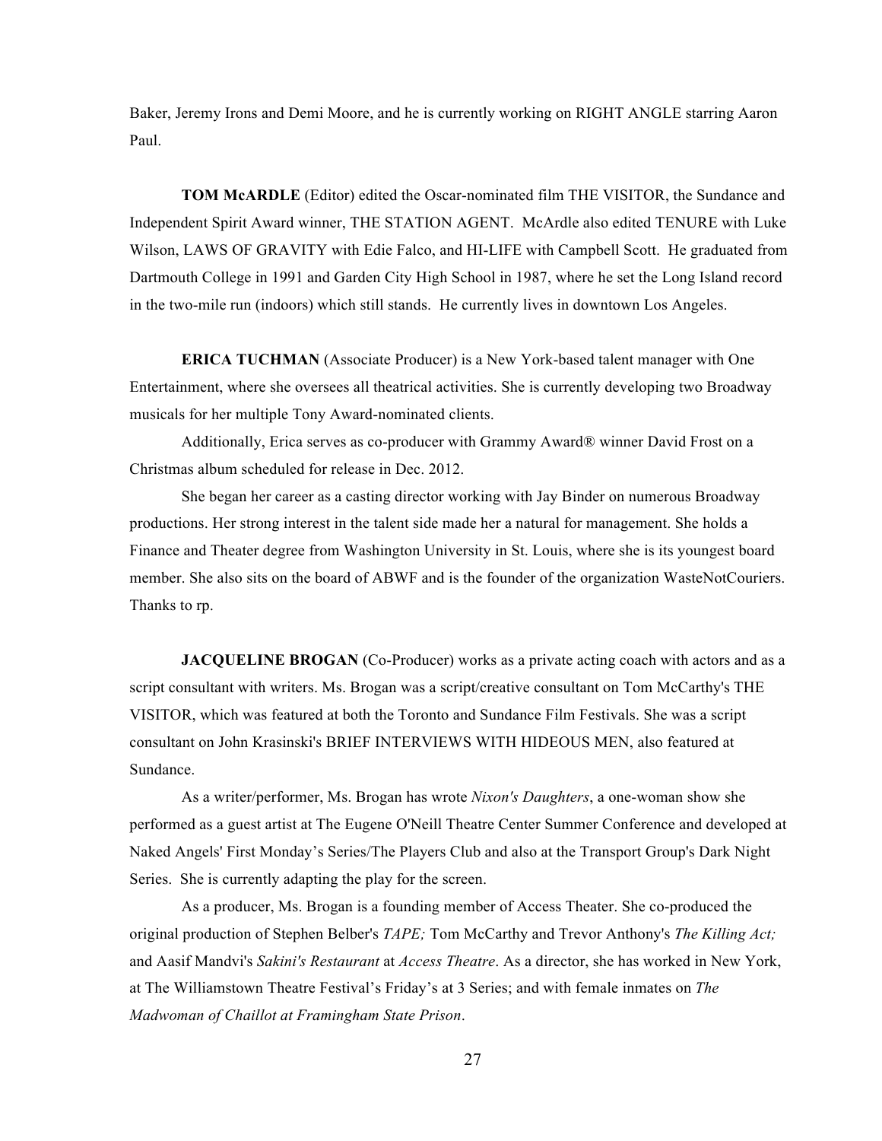Baker, Jeremy Irons and Demi Moore, and he is currently working on RIGHT ANGLE starring Aaron Paul.

**TOM McARDLE** (Editor) edited the Oscar-nominated film THE VISITOR, the Sundance and Independent Spirit Award winner, THE STATION AGENT. McArdle also edited TENURE with Luke Wilson, LAWS OF GRAVITY with Edie Falco, and HI-LIFE with Campbell Scott. He graduated from Dartmouth College in 1991 and Garden City High School in 1987, where he set the Long Island record in the two-mile run (indoors) which still stands. He currently lives in downtown Los Angeles.

**ERICA TUCHMAN** (Associate Producer) is a New York-based talent manager with One Entertainment, where she oversees all theatrical activities. She is currently developing two Broadway musicals for her multiple Tony Award-nominated clients.

Additionally, Erica serves as co-producer with Grammy Award® winner David Frost on a Christmas album scheduled for release in Dec. 2012.

She began her career as a casting director working with Jay Binder on numerous Broadway productions. Her strong interest in the talent side made her a natural for management. She holds a Finance and Theater degree from Washington University in St. Louis, where she is its youngest board member. She also sits on the board of ABWF and is the founder of the organization WasteNotCouriers. Thanks to rp.

**JACQUELINE BROGAN** (Co-Producer) works as a private acting coach with actors and as a script consultant with writers. Ms. Brogan was a script/creative consultant on Tom McCarthy's THE VISITOR, which was featured at both the Toronto and Sundance Film Festivals. She was a script consultant on John Krasinski's BRIEF INTERVIEWS WITH HIDEOUS MEN, also featured at Sundance.

As a writer/performer, Ms. Brogan has wrote *Nixon's Daughters*, a one-woman show she performed as a guest artist at The Eugene O'Neill Theatre Center Summer Conference and developed at Naked Angels' First Monday's Series/The Players Club and also at the Transport Group's Dark Night Series. She is currently adapting the play for the screen.

As a producer, Ms. Brogan is a founding member of Access Theater. She co-produced the original production of Stephen Belber's *TAPE;* Tom McCarthy and Trevor Anthony's *The Killing Act;* and Aasif Mandvi's *Sakini's Restaurant* at *Access Theatre*. As a director, she has worked in New York, at The Williamstown Theatre Festival's Friday's at 3 Series; and with female inmates on *The Madwoman of Chaillot at Framingham State Prison*.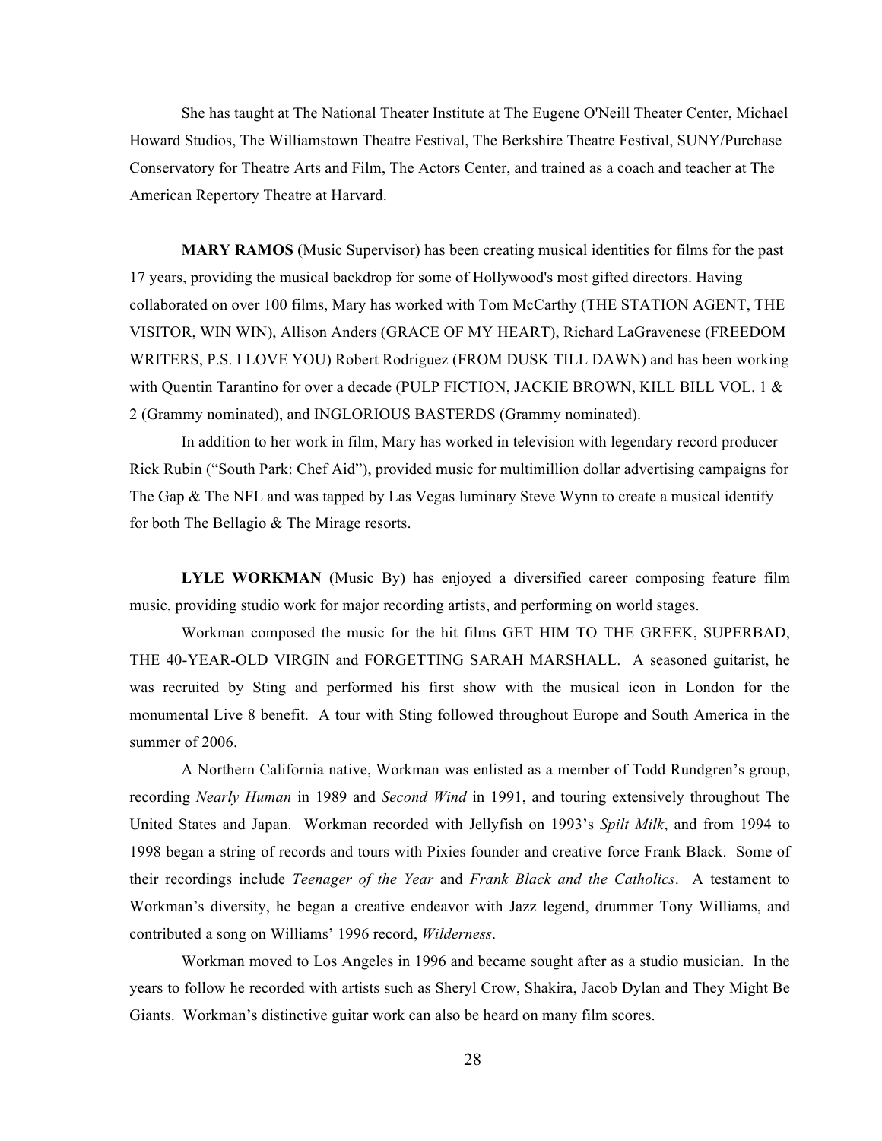She has taught at The National Theater Institute at The Eugene O'Neill Theater Center, Michael Howard Studios, The Williamstown Theatre Festival, The Berkshire Theatre Festival, SUNY/Purchase Conservatory for Theatre Arts and Film, The Actors Center, and trained as a coach and teacher at The American Repertory Theatre at Harvard.

**MARY RAMOS** (Music Supervisor) has been creating musical identities for films for the past 17 years, providing the musical backdrop for some of Hollywood's most gifted directors. Having collaborated on over 100 films, Mary has worked with Tom McCarthy (THE STATION AGENT, THE VISITOR, WIN WIN), Allison Anders (GRACE OF MY HEART), Richard LaGravenese (FREEDOM WRITERS, P.S. I LOVE YOU) Robert Rodriguez (FROM DUSK TILL DAWN) and has been working with Quentin Tarantino for over a decade (PULP FICTION, JACKIE BROWN, KILL BILL VOL. 1 & 2 (Grammy nominated), and INGLORIOUS BASTERDS (Grammy nominated).

In addition to her work in film, Mary has worked in television with legendary record producer Rick Rubin ("South Park: Chef Aid"), provided music for multimillion dollar advertising campaigns for The Gap  $\&$  The NFL and was tapped by Las Vegas luminary Steve Wynn to create a musical identify for both The Bellagio & The Mirage resorts.

**LYLE WORKMAN** (Music By) has enjoyed a diversified career composing feature film music, providing studio work for major recording artists, and performing on world stages.

Workman composed the music for the hit films GET HIM TO THE GREEK, SUPERBAD, THE 40-YEAR-OLD VIRGIN and FORGETTING SARAH MARSHALL. A seasoned guitarist, he was recruited by Sting and performed his first show with the musical icon in London for the monumental Live 8 benefit. A tour with Sting followed throughout Europe and South America in the summer of 2006.

A Northern California native, Workman was enlisted as a member of Todd Rundgren's group, recording *Nearly Human* in 1989 and *Second Wind* in 1991, and touring extensively throughout The United States and Japan. Workman recorded with Jellyfish on 1993's *Spilt Milk*, and from 1994 to 1998 began a string of records and tours with Pixies founder and creative force Frank Black. Some of their recordings include *Teenager of the Year* and *Frank Black and the Catholics*. A testament to Workman's diversity, he began a creative endeavor with Jazz legend, drummer Tony Williams, and contributed a song on Williams' 1996 record, *Wilderness*.

Workman moved to Los Angeles in 1996 and became sought after as a studio musician. In the years to follow he recorded with artists such as Sheryl Crow, Shakira, Jacob Dylan and They Might Be Giants. Workman's distinctive guitar work can also be heard on many film scores.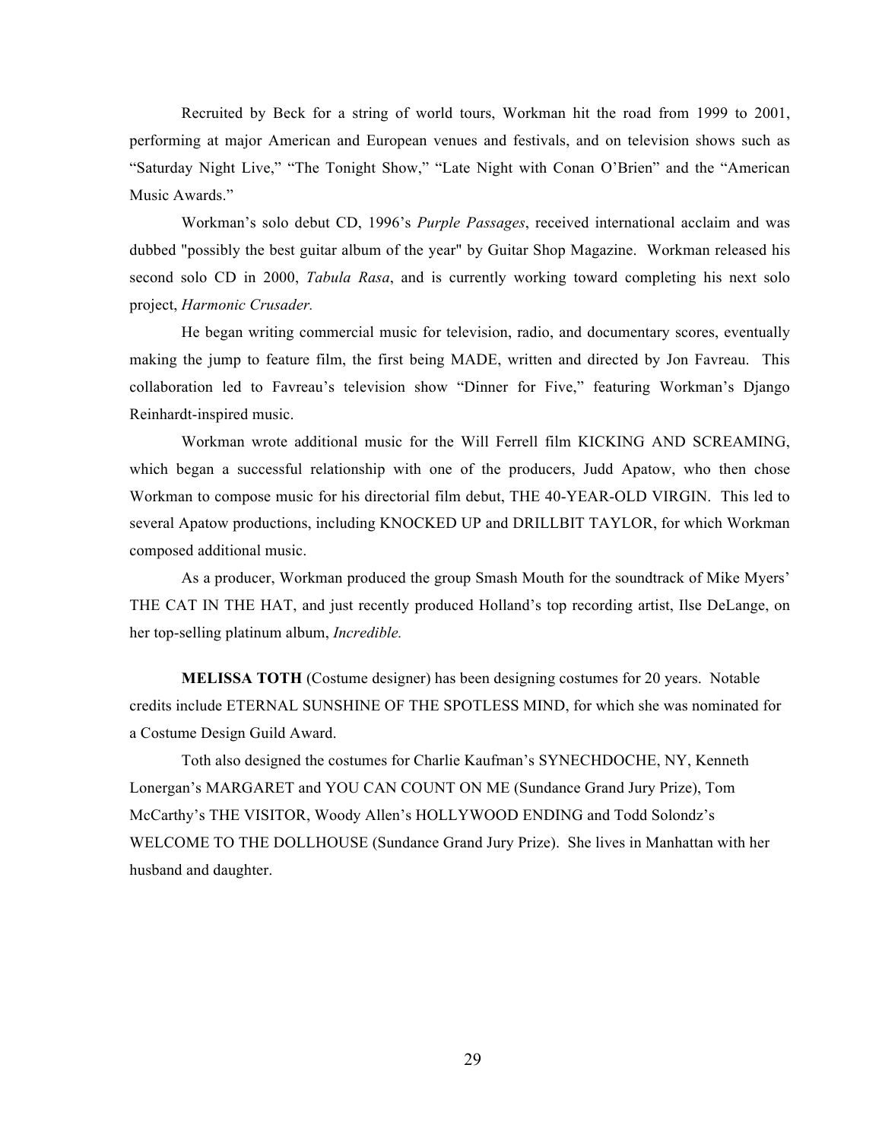Recruited by Beck for a string of world tours, Workman hit the road from 1999 to 2001, performing at major American and European venues and festivals, and on television shows such as "Saturday Night Live," "The Tonight Show," "Late Night with Conan O'Brien" and the "American Music Awards."

Workman's solo debut CD, 1996's *Purple Passages*, received international acclaim and was dubbed "possibly the best guitar album of the year" by Guitar Shop Magazine. Workman released his second solo CD in 2000, *Tabula Rasa*, and is currently working toward completing his next solo project, *Harmonic Crusader.*

He began writing commercial music for television, radio, and documentary scores, eventually making the jump to feature film, the first being MADE, written and directed by Jon Favreau. This collaboration led to Favreau's television show "Dinner for Five," featuring Workman's Django Reinhardt-inspired music.

Workman wrote additional music for the Will Ferrell film KICKING AND SCREAMING, which began a successful relationship with one of the producers, Judd Apatow, who then chose Workman to compose music for his directorial film debut, THE 40-YEAR-OLD VIRGIN. This led to several Apatow productions, including KNOCKED UP and DRILLBIT TAYLOR, for which Workman composed additional music.

As a producer, Workman produced the group Smash Mouth for the soundtrack of Mike Myers' THE CAT IN THE HAT, and just recently produced Holland's top recording artist, Ilse DeLange, on her top-selling platinum album, *Incredible.*

**MELISSA TOTH** (Costume designer) has been designing costumes for 20 years. Notable credits include ETERNAL SUNSHINE OF THE SPOTLESS MIND, for which she was nominated for a Costume Design Guild Award.

Toth also designed the costumes for Charlie Kaufman's SYNECHDOCHE, NY, Kenneth Lonergan's MARGARET and YOU CAN COUNT ON ME (Sundance Grand Jury Prize), Tom McCarthy's THE VISITOR, Woody Allen's HOLLYWOOD ENDING and Todd Solondz's WELCOME TO THE DOLLHOUSE (Sundance Grand Jury Prize). She lives in Manhattan with her husband and daughter.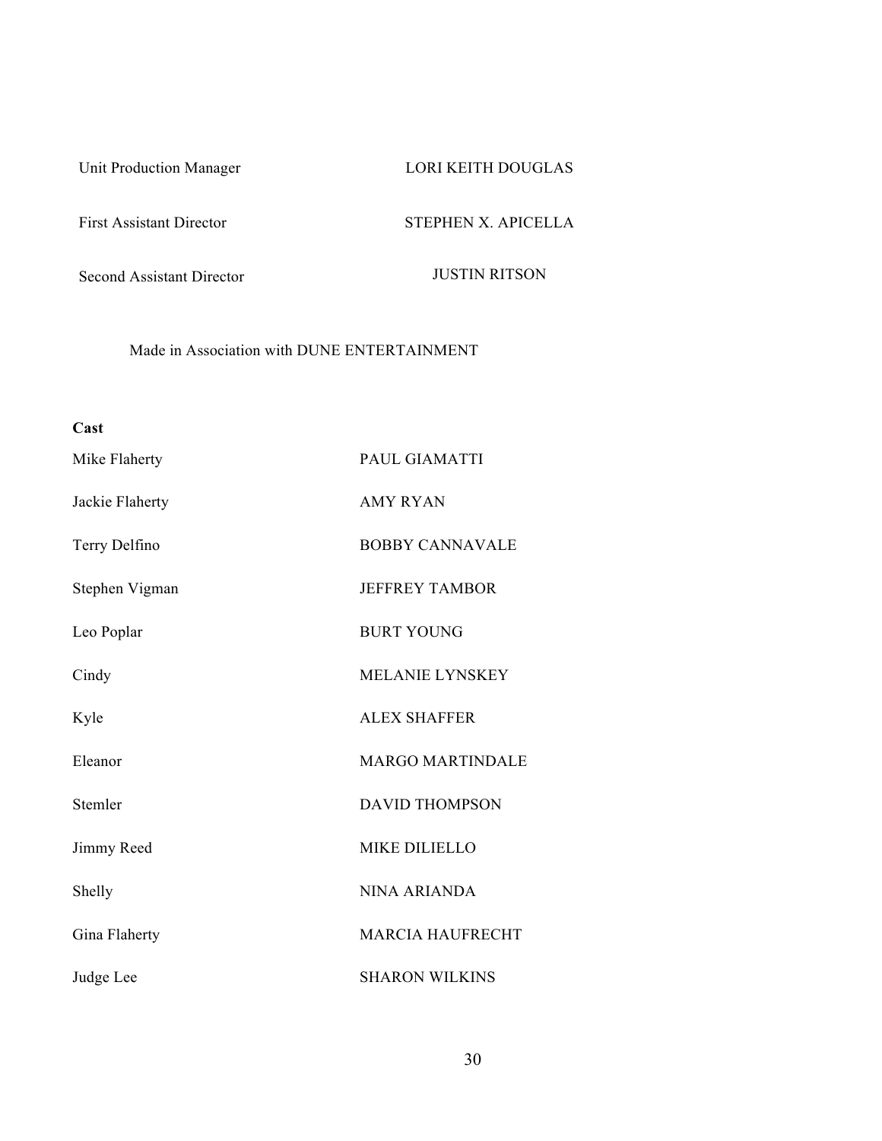Unit Production Manager LORI KEITH DOUGLAS

First Assistant Director STEPHEN X. APICELLA

Second Assistant Director JUSTIN RITSON

Made in Association with DUNE ENTERTAINMENT

| Cast            |                         |
|-----------------|-------------------------|
| Mike Flaherty   | PAUL GIAMATTI           |
| Jackie Flaherty | <b>AMY RYAN</b>         |
| Terry Delfino   | <b>BOBBY CANNAVALE</b>  |
| Stephen Vigman  | <b>JEFFREY TAMBOR</b>   |
| Leo Poplar      | <b>BURT YOUNG</b>       |
| Cindy           | <b>MELANIE LYNSKEY</b>  |
| Kyle            | <b>ALEX SHAFFER</b>     |
| Eleanor         | <b>MARGO MARTINDALE</b> |
| Stemler         | <b>DAVID THOMPSON</b>   |
| Jimmy Reed      | <b>MIKE DILIELLO</b>    |
| Shelly          | <b>NINA ARIANDA</b>     |
| Gina Flaherty   | <b>MARCIA HAUFRECHT</b> |
| Judge Lee       | <b>SHARON WILKINS</b>   |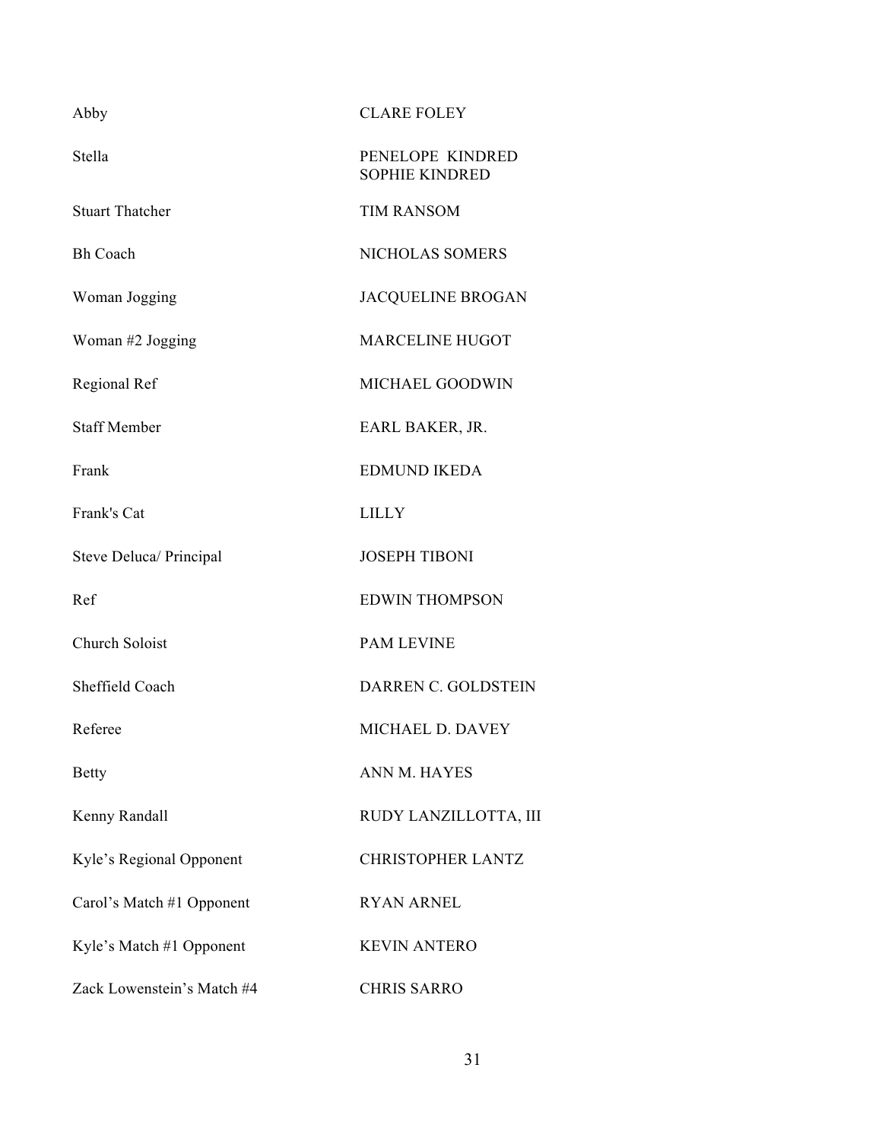| Abby                       | <b>CLARE FOLEY</b>                        |
|----------------------------|-------------------------------------------|
| Stella                     | PENELOPE KINDRED<br><b>SOPHIE KINDRED</b> |
| <b>Stuart Thatcher</b>     | <b>TIM RANSOM</b>                         |
| <b>Bh Coach</b>            | NICHOLAS SOMERS                           |
| Woman Jogging              | <b>JACQUELINE BROGAN</b>                  |
| Woman #2 Jogging           | <b>MARCELINE HUGOT</b>                    |
| Regional Ref               | MICHAEL GOODWIN                           |
| <b>Staff Member</b>        | EARL BAKER, JR.                           |
| Frank                      | <b>EDMUND IKEDA</b>                       |
| Frank's Cat                | <b>LILLY</b>                              |
| Steve Deluca/ Principal    | <b>JOSEPH TIBONI</b>                      |
| Ref                        | <b>EDWIN THOMPSON</b>                     |
| Church Soloist             | <b>PAM LEVINE</b>                         |
| Sheffield Coach            | DARREN C. GOLDSTEIN                       |
| Referee                    | MICHAEL D. DAVEY                          |
| <b>Betty</b>               | ANN M. HAYES                              |
| Kenny Randall              | RUDY LANZILLOTTA, III                     |
| Kyle's Regional Opponent   | <b>CHRISTOPHER LANTZ</b>                  |
| Carol's Match #1 Opponent  | <b>RYAN ARNEL</b>                         |
| Kyle's Match #1 Opponent   | <b>KEVIN ANTERO</b>                       |
| Zack Lowenstein's Match #4 | <b>CHRIS SARRO</b>                        |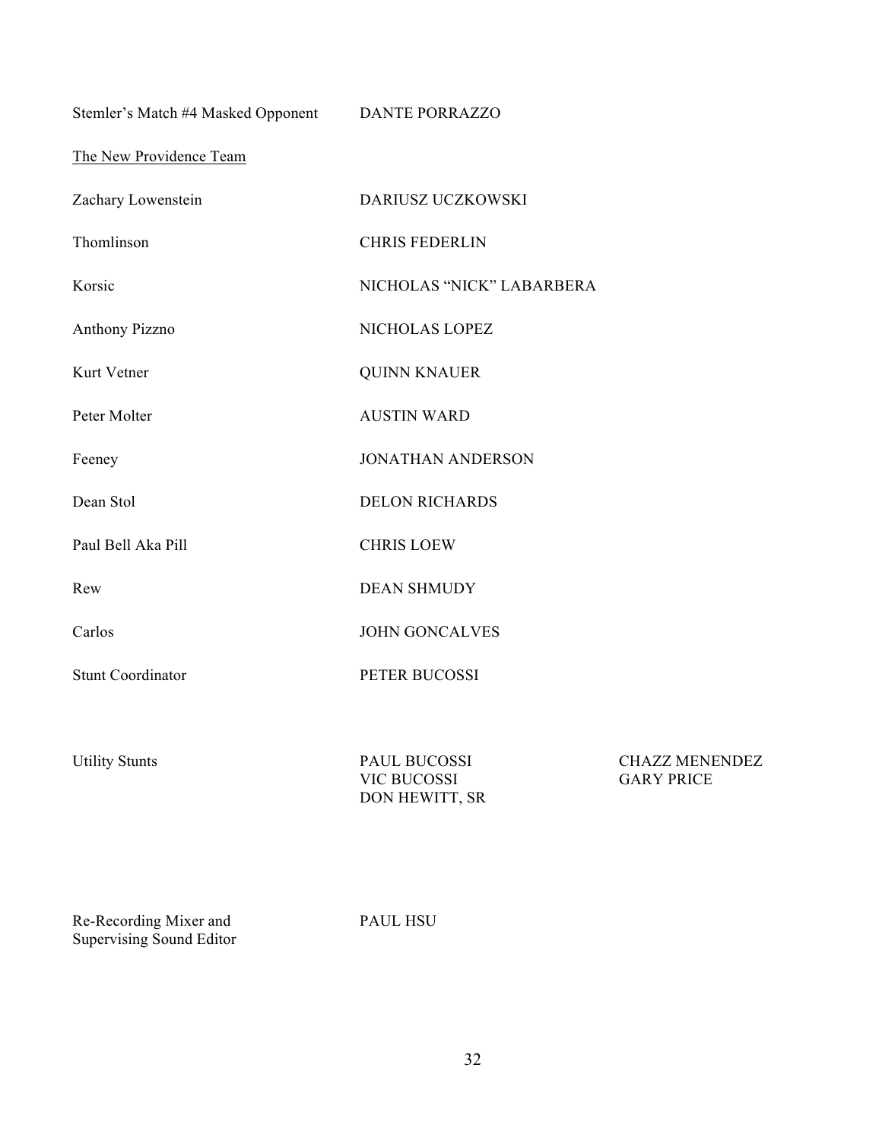Stemler's Match #4 Masked Opponent DANTE PORRAZZO

The New Providence Team

| Zachary Lowenstein       | DARIUSZ UCZKOWSKI         |
|--------------------------|---------------------------|
| Thomlinson               | <b>CHRIS FEDERLIN</b>     |
| Korsic                   | NICHOLAS "NICK" LABARBERA |
| <b>Anthony Pizzno</b>    | NICHOLAS LOPEZ            |
| Kurt Vetner              | <b>QUINN KNAUER</b>       |
| Peter Molter             | <b>AUSTIN WARD</b>        |
| Feeney                   | <b>JONATHAN ANDERSON</b>  |
| Dean Stol                | <b>DELON RICHARDS</b>     |
| Paul Bell Aka Pill       | <b>CHRIS LOEW</b>         |
| Rew                      | <b>DEAN SHMUDY</b>        |
| Carlos                   | <b>JOHN GONCALVES</b>     |
| <b>Stunt Coordinator</b> | PETER BUCOSSI             |
|                          |                           |
|                          |                           |

| PAUL BUCOSSI   | <b>CHAZZ MENENDEZ</b> |
|----------------|-----------------------|
| VIC BUCOSSI    | <b>GARY PRICE</b>     |
| DON HEWITT, SR |                       |

Re-Recording Mixer and Supervising Sound Editor

Utility Stunts

PAUL HSU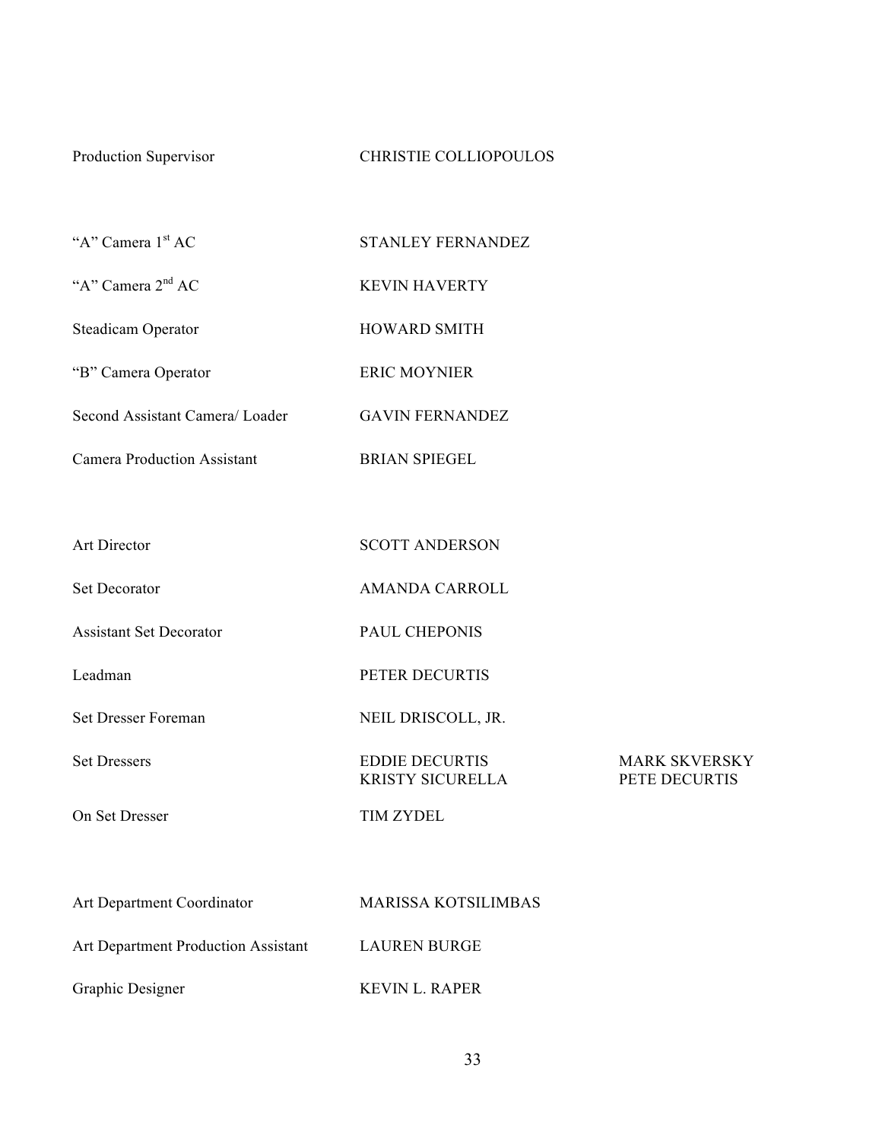# Production Supervisor CHRISTIE COLLIOPOULOS

"A" Camera 1<sup>st</sup> AC STANLEY FERNANDEZ

"A" Camera 2<sup>nd</sup> AC KEVIN HAVERTY

Steadicam Operator **HOWARD SMITH** 

"B" Camera Operator ERIC MOYNIER

Second Assistant Camera/ Loader GAVIN FERNANDEZ

Camera Production Assistant BRIAN SPIEGEL

| Art Director                        | <b>SCOTT ANDERSON</b>                            |                                       |
|-------------------------------------|--------------------------------------------------|---------------------------------------|
| <b>Set Decorator</b>                | <b>AMANDA CARROLL</b>                            |                                       |
| <b>Assistant Set Decorator</b>      | PAUL CHEPONIS                                    |                                       |
| Leadman                             | PETER DECURTIS                                   |                                       |
| <b>Set Dresser Foreman</b>          | NEIL DRISCOLL, JR.                               |                                       |
| <b>Set Dressers</b>                 | <b>EDDIE DECURTIS</b><br><b>KRISTY SICURELLA</b> | <b>MARK SKVERSKY</b><br>PETE DECURTIS |
| On Set Dresser                      | <b>TIM ZYDEL</b>                                 |                                       |
|                                     |                                                  |                                       |
| Art Department Coordinator          | <b>MARISSA KOTSILIMBAS</b>                       |                                       |
| Art Department Production Assistant | <b>LAUREN BURGE</b>                              |                                       |

Graphic Designer KEVIN L. RAPER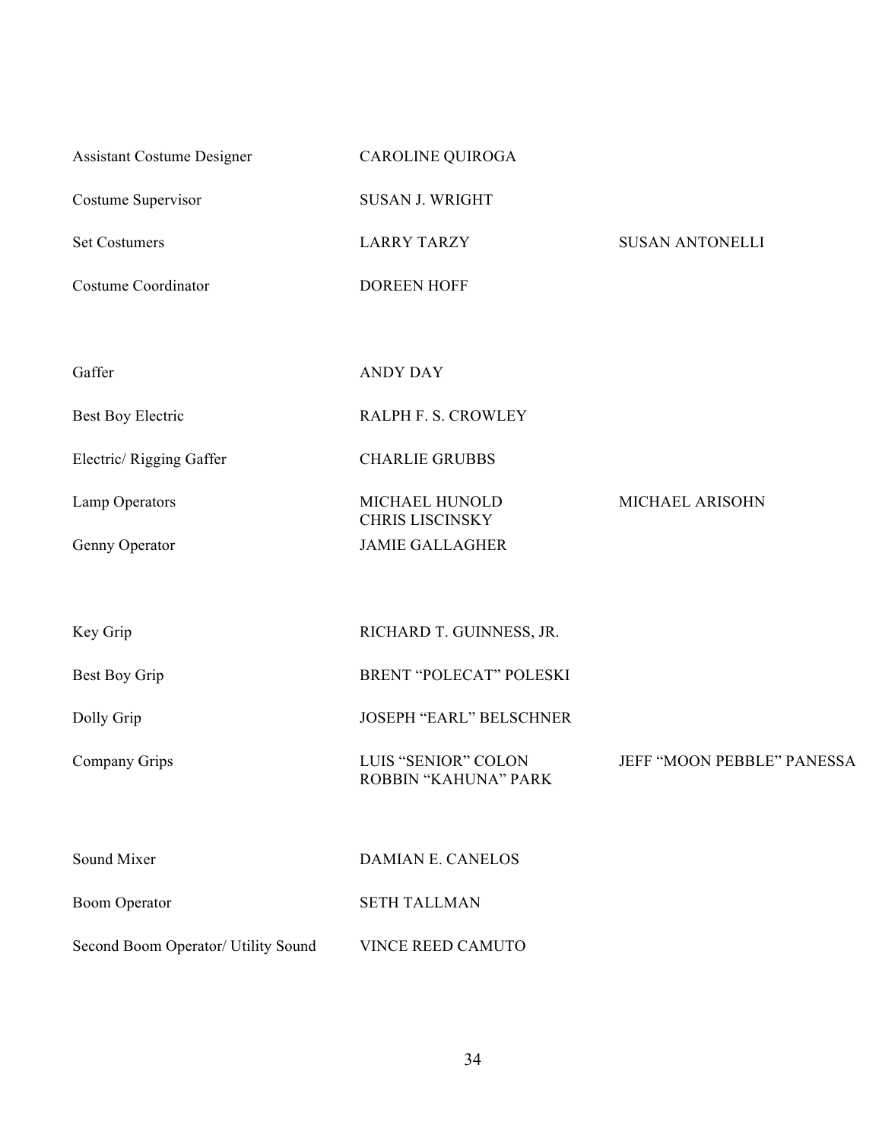Assistant Costume Designer CAROLINE QUIROGA

Costume Supervisor SUSAN J. WRIGHT

Set Costumers **EXECUTE:** LARRY TARZY SUSAN ANTONELLI

Costume Coordinator **DOREEN HOFF** 

Gaffer ANDY DAY

Best Boy Electric RALPH F. S. CROWLEY

Electric/ Rigging Gaffer CHARLIE GRUBBS

Lamp Operators MICHAEL HUNOLD

Genny Operator JAMIE GALLAGHER

Key Grip RICHARD T. GUINNESS, JR.

Best Boy Grip BRENT "POLECAT" POLESKI

Dolly Grip JOSEPH "EARL" BELSCHNER

Company Grips LUIS "SENIOR" COLON

Sound Mixer DAMIAN E. CANELOS

ROBBIN "KAHUNA" PARK

CHRIS LISCINSKY

MICHAEL ARISOHN

JEFF "MOON PEBBLE" PANESSA

Boom Operator SETH TALLMAN

Second Boom Operator/ Utility Sound VINCE REED CAMUTO

34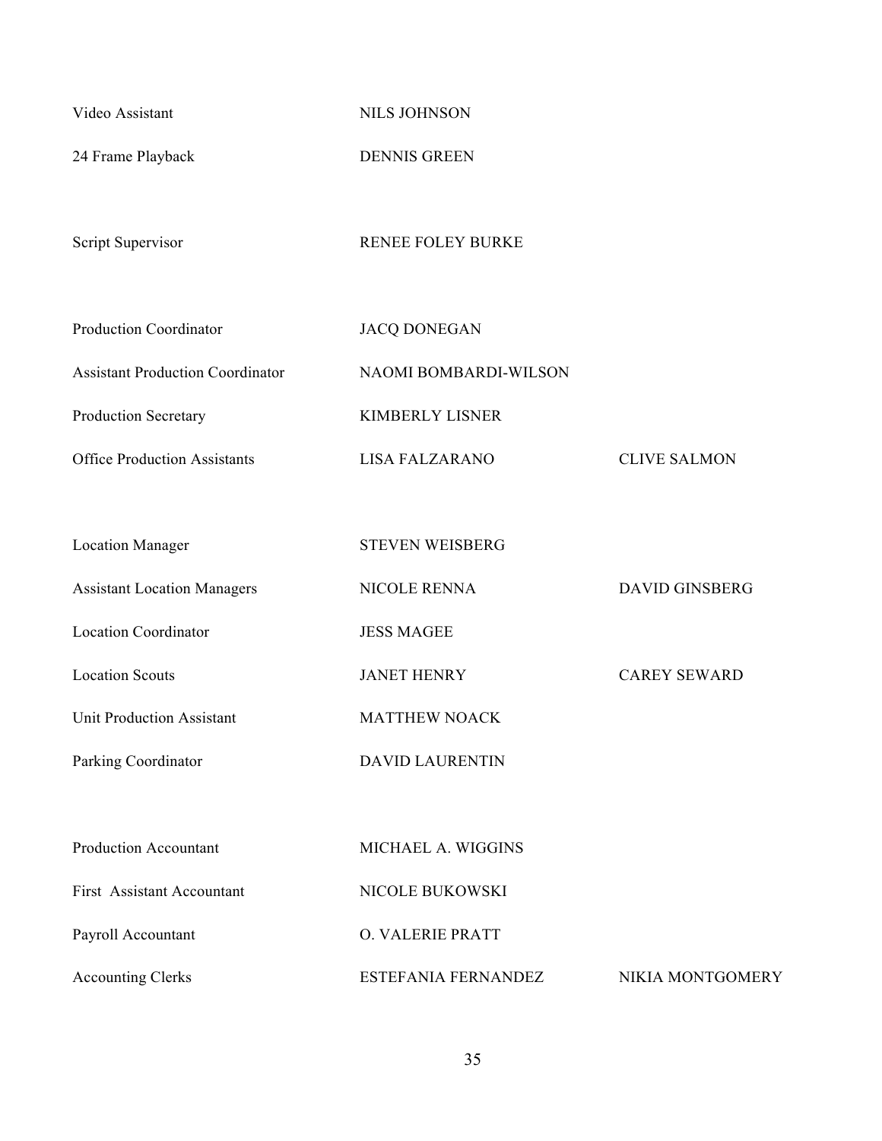Video Assistant NILS JOHNSON

24 Frame Playback DENNIS GREEN

Script Supervisor RENEE FOLEY BURKE

| <b>Production Coordinator</b>           | <b>JACQ DONEGAN</b>   |                     |
|-----------------------------------------|-----------------------|---------------------|
| <b>Assistant Production Coordinator</b> | NAOMI BOMBARDI-WILSON |                     |
| <b>Production Secretary</b>             | KIMBERLY LISNER       |                     |
| <b>Office Production Assistants</b>     | LISA FALZARANO        | <b>CLIVE SALMON</b> |

| <b>Location Manager</b>            | <b>STEVEN WEISBERG</b> |                       |
|------------------------------------|------------------------|-----------------------|
| <b>Assistant Location Managers</b> | <b>NICOLE RENNA</b>    | <b>DAVID GINSBERG</b> |
| <b>Location Coordinator</b>        | <b>JESS MAGEE</b>      |                       |
| <b>Location Scouts</b>             | <b>JANET HENRY</b>     | <b>CAREY SEWARD</b>   |
| <b>Unit Production Assistant</b>   | <b>MATTHEW NOACK</b>   |                       |
| Parking Coordinator                | <b>DAVID LAURENTIN</b> |                       |
|                                    |                        |                       |
| <b>Production Accountant</b>       | MICHAEL A. WIGGINS     |                       |
| First Assistant Accountant         | NICOLE BUKOWSKI        |                       |
| Payroll Accountant                 | O. VALERIE PRATT       |                       |
| <b>Accounting Clerks</b>           | ESTEFANIA FERNANDEZ    | NIKIA MONTGOMERY      |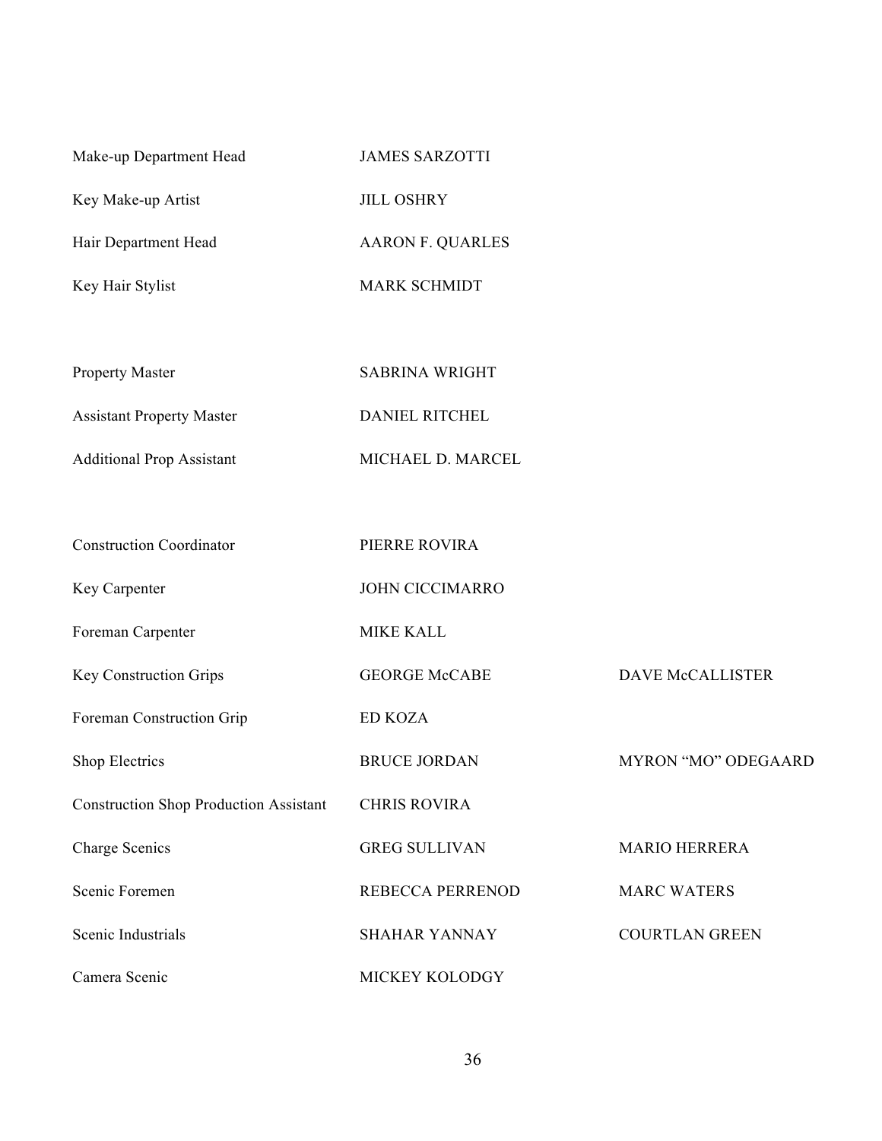| Make-up Department Head          | <b>JAMES SARZOTTI</b>   |
|----------------------------------|-------------------------|
| Key Make-up Artist               | <b>JILL OSHRY</b>       |
| Hair Department Head             | <b>AARON F. QUARLES</b> |
| Key Hair Stylist                 | <b>MARK SCHMIDT</b>     |
|                                  |                         |
| <b>Property Master</b>           | <b>SABRINA WRIGHT</b>   |
| <b>Assistant Property Master</b> | <b>DANIEL RITCHEL</b>   |
|                                  |                         |

Additional Prop Assistant MICHAEL D. MARCEL

| <b>Construction Coordinator</b>               | PIERRE ROVIRA           |                         |
|-----------------------------------------------|-------------------------|-------------------------|
| Key Carpenter                                 | <b>JOHN CICCIMARRO</b>  |                         |
| Foreman Carpenter                             | <b>MIKE KALL</b>        |                         |
| <b>Key Construction Grips</b>                 | <b>GEORGE McCABE</b>    | <b>DAVE McCALLISTER</b> |
| Foreman Construction Grip                     | <b>ED KOZA</b>          |                         |
| Shop Electrics                                | <b>BRUCE JORDAN</b>     | MYRON "MO" ODEGAARD     |
| <b>Construction Shop Production Assistant</b> | <b>CHRIS ROVIRA</b>     |                         |
| Charge Scenics                                | <b>GREG SULLIVAN</b>    | <b>MARIO HERRERA</b>    |
| Scenic Foremen                                | <b>REBECCA PERRENOD</b> | <b>MARC WATERS</b>      |
| Scenic Industrials                            | <b>SHAHAR YANNAY</b>    | <b>COURTLAN GREEN</b>   |
| Camera Scenic                                 | MICKEY KOLODGY          |                         |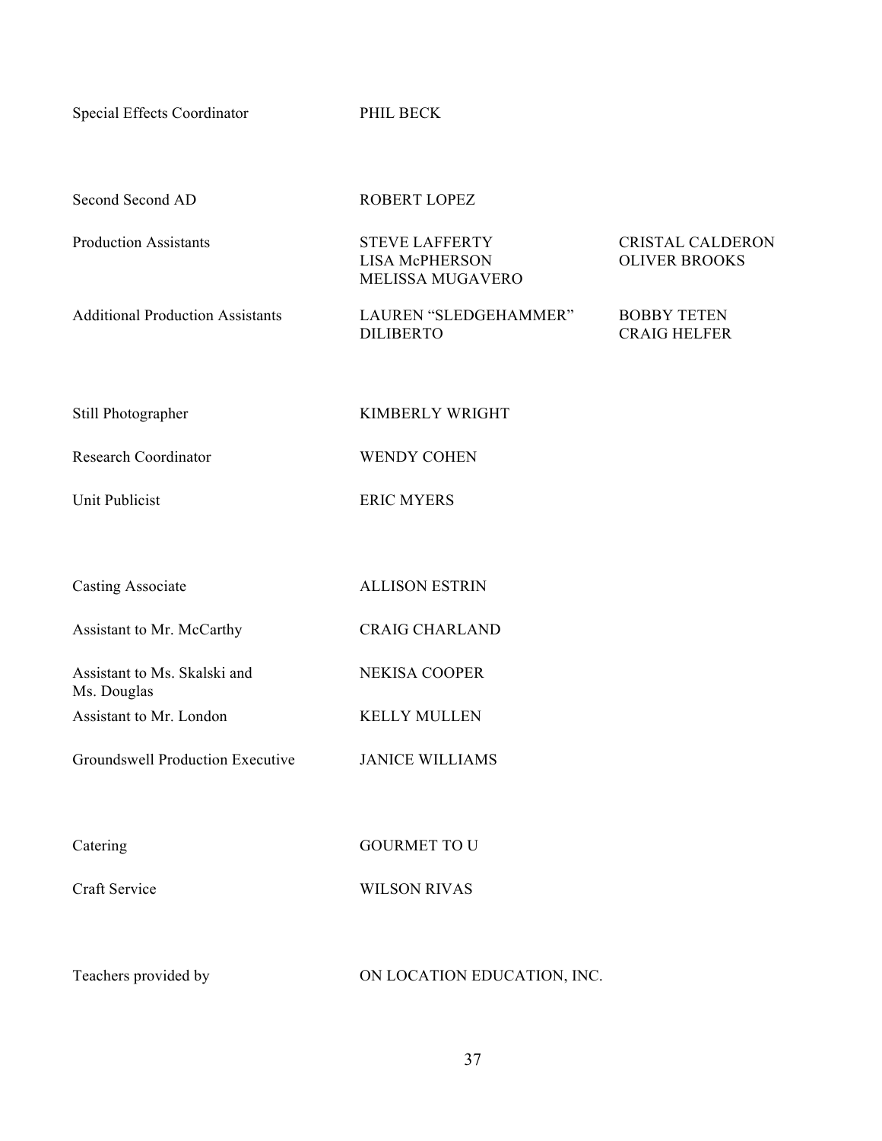Special Effects Coordinator PHIL BECK

| Second Second AD                            | ROBERT LOPEZ                                                       |                                                 |
|---------------------------------------------|--------------------------------------------------------------------|-------------------------------------------------|
| <b>Production Assistants</b>                | <b>STEVE LAFFERTY</b><br><b>LISA McPHERSON</b><br>MELISSA MUGAVERO | <b>CRISTAL CALDERON</b><br><b>OLIVER BROOKS</b> |
| <b>Additional Production Assistants</b>     | LAUREN "SLEDGEHAMMER"<br><b>DILIBERTO</b>                          | <b>BOBBY TETEN</b><br><b>CRAIG HELFER</b>       |
| Still Photographer                          | KIMBERLY WRIGHT                                                    |                                                 |
| <b>Research Coordinator</b>                 | <b>WENDY COHEN</b>                                                 |                                                 |
| <b>Unit Publicist</b>                       | <b>ERIC MYERS</b>                                                  |                                                 |
|                                             |                                                                    |                                                 |
| <b>Casting Associate</b>                    | <b>ALLISON ESTRIN</b>                                              |                                                 |
| Assistant to Mr. McCarthy                   | <b>CRAIG CHARLAND</b>                                              |                                                 |
| Assistant to Ms. Skalski and<br>Ms. Douglas | NEKISA COOPER                                                      |                                                 |
| Assistant to Mr. London                     | <b>KELLY MULLEN</b>                                                |                                                 |
| Groundswell Production Executive            | <b>JANICE WILLIAMS</b>                                             |                                                 |
|                                             |                                                                    |                                                 |
| Catering                                    | <b>GOURMET TO U</b>                                                |                                                 |
| Craft Service                               | <b>WILSON RIVAS</b>                                                |                                                 |
|                                             |                                                                    |                                                 |
| Teachers provided by                        | ON LOCATION EDUCATION, INC.                                        |                                                 |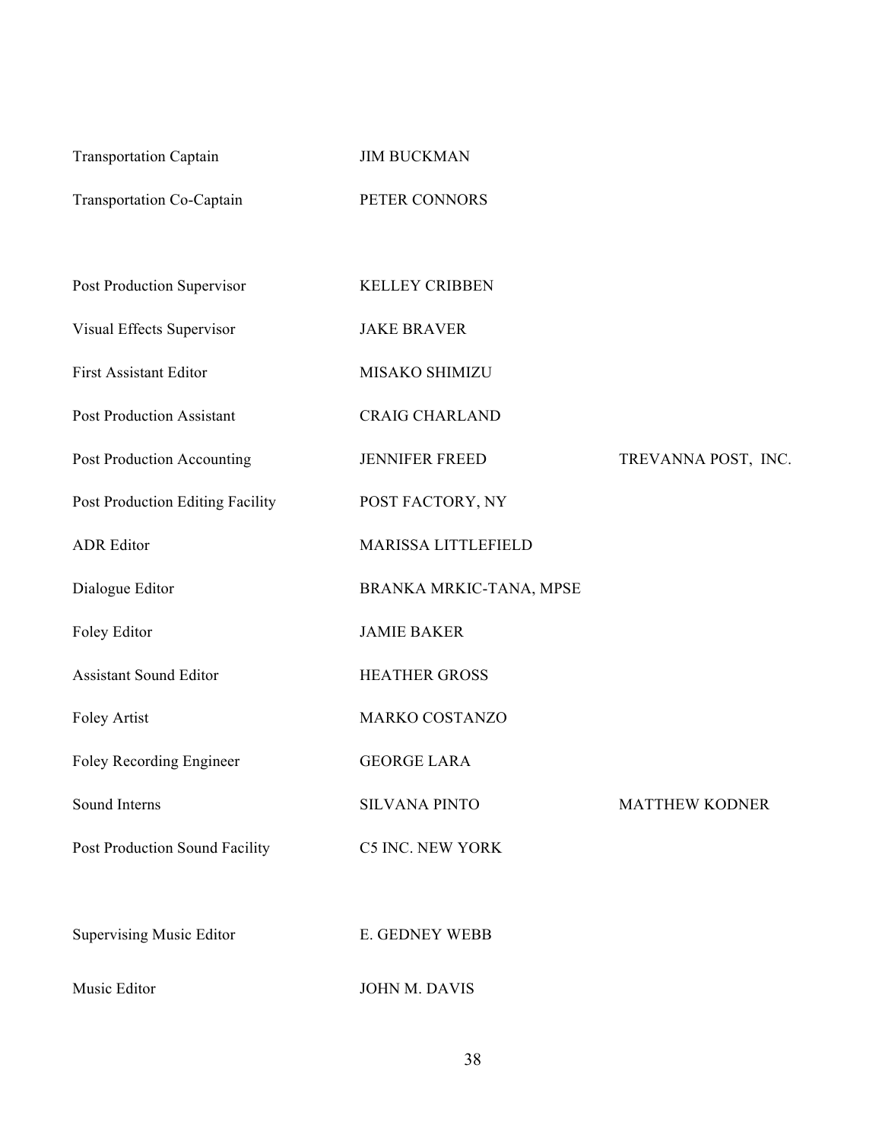| <b>Transportation Captain</b>    | <b>JIM BUCKMAN</b>      |                       |
|----------------------------------|-------------------------|-----------------------|
| Transportation Co-Captain        | PETER CONNORS           |                       |
|                                  |                         |                       |
| Post Production Supervisor       | <b>KELLEY CRIBBEN</b>   |                       |
| Visual Effects Supervisor        | <b>JAKE BRAVER</b>      |                       |
| <b>First Assistant Editor</b>    | MISAKO SHIMIZU          |                       |
| <b>Post Production Assistant</b> | <b>CRAIG CHARLAND</b>   |                       |
| Post Production Accounting       | <b>JENNIFER FREED</b>   | TREVANNA POST, INC.   |
| Post Production Editing Facility | POST FACTORY, NY        |                       |
| <b>ADR</b> Editor                | MARISSA LITTLEFIELD     |                       |
| Dialogue Editor                  | BRANKA MRKIC-TANA, MPSE |                       |
| Foley Editor                     | <b>JAMIE BAKER</b>      |                       |
| <b>Assistant Sound Editor</b>    | <b>HEATHER GROSS</b>    |                       |
| Foley Artist                     | MARKO COSTANZO          |                       |
| Foley Recording Engineer         | <b>GEORGE LARA</b>      |                       |
| Sound Interns                    | <b>SILVANA PINTO</b>    | <b>MATTHEW KODNER</b> |
| Post Production Sound Facility   | <b>C5 INC. NEW YORK</b> |                       |
|                                  |                         |                       |
| <b>Supervising Music Editor</b>  | E. GEDNEY WEBB          |                       |
| Music Editor                     | JOHN M. DAVIS           |                       |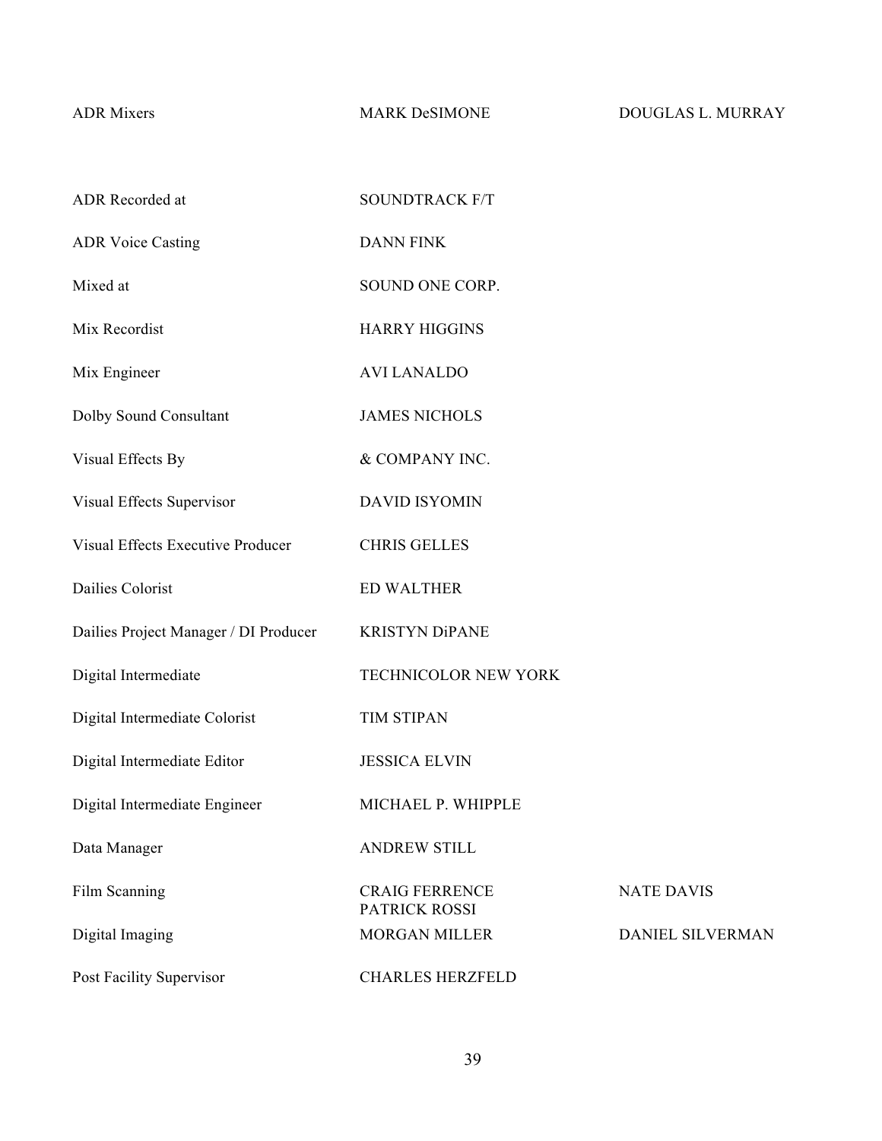ADR Mixers MARK DeSIMONE DOUGLAS L. MURRAY

| ADR Recorded at                          | <b>SOUNDTRACK F/T</b>                  |                   |
|------------------------------------------|----------------------------------------|-------------------|
| <b>ADR Voice Casting</b>                 | <b>DANN FINK</b>                       |                   |
| Mixed at                                 | SOUND ONE CORP.                        |                   |
| Mix Recordist                            | <b>HARRY HIGGINS</b>                   |                   |
| Mix Engineer                             | <b>AVI LANALDO</b>                     |                   |
| Dolby Sound Consultant                   | <b>JAMES NICHOLS</b>                   |                   |
| Visual Effects By                        | & COMPANY INC.                         |                   |
| Visual Effects Supervisor                | <b>DAVID ISYOMIN</b>                   |                   |
| <b>Visual Effects Executive Producer</b> | <b>CHRIS GELLES</b>                    |                   |
| Dailies Colorist                         | <b>ED WALTHER</b>                      |                   |
| Dailies Project Manager / DI Producer    | <b>KRISTYN DiPANE</b>                  |                   |
| Digital Intermediate                     | TECHNICOLOR NEW YORK                   |                   |
| Digital Intermediate Colorist            | <b>TIM STIPAN</b>                      |                   |
| Digital Intermediate Editor              | <b>JESSICA ELVIN</b>                   |                   |
| Digital Intermediate Engineer            | MICHAEL P. WHIPPLE                     |                   |
| Data Manager                             | <b>ANDREW STILL</b>                    |                   |
| Film Scanning                            | <b>CRAIG FERRENCE</b><br>PATRICK ROSSI | <b>NATE DAVIS</b> |
| Digital Imaging                          | <b>MORGAN MILLER</b>                   | DANIEL SILVERMAN  |
| Post Facility Supervisor                 | <b>CHARLES HERZFELD</b>                |                   |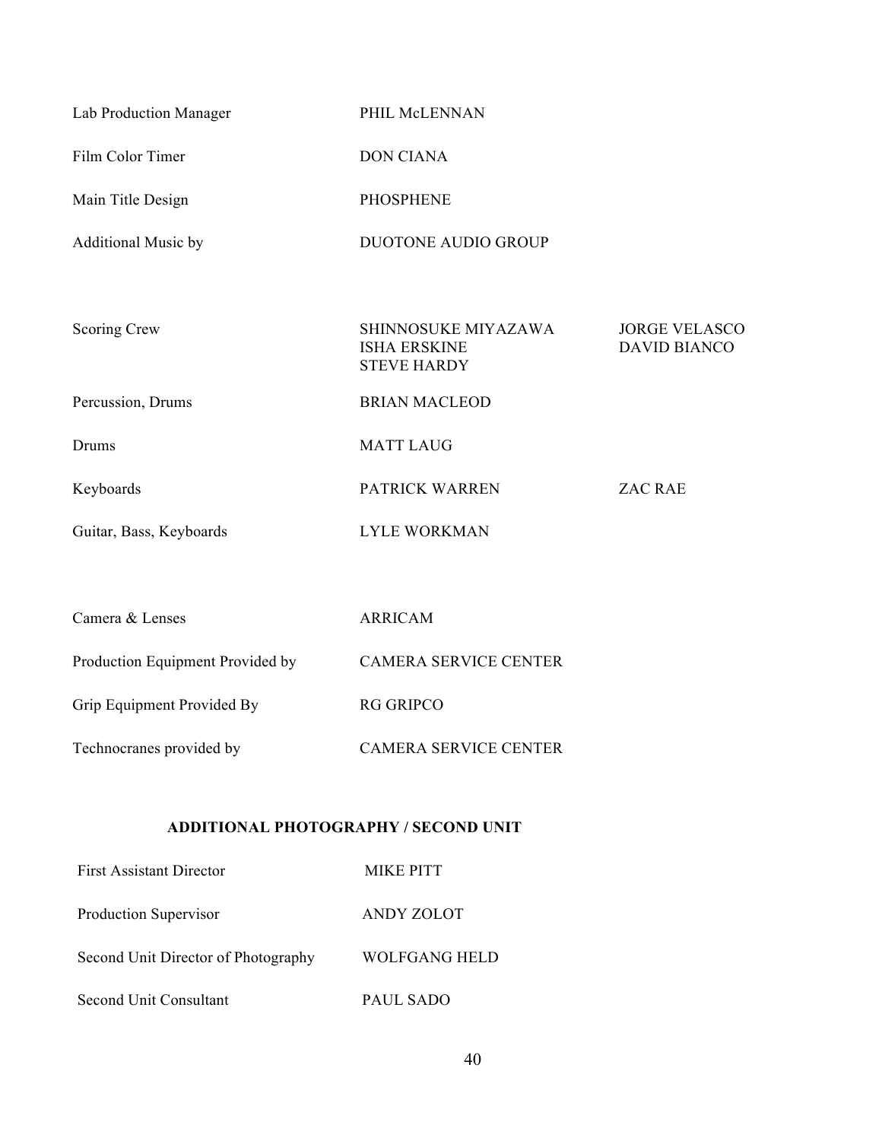| Lab Production Manager     | PHIL McLENNAN                                                    |                                             |
|----------------------------|------------------------------------------------------------------|---------------------------------------------|
| Film Color Timer           | <b>DON CIANA</b>                                                 |                                             |
| Main Title Design          | <b>PHOSPHENE</b>                                                 |                                             |
| <b>Additional Music by</b> | <b>DUOTONE AUDIO GROUP</b>                                       |                                             |
|                            |                                                                  |                                             |
| Scoring Crew               | SHINNOSUKE MIYAZAWA<br><b>ISHA ERSKINE</b><br><b>STEVE HARDY</b> | <b>JORGE VELASCO</b><br><b>DAVID BIANCO</b> |
| Percussion, Drums          | <b>BRIAN MACLEOD</b>                                             |                                             |
| Drums                      | <b>MATT LAUG</b>                                                 |                                             |
| Keyboards                  | PATRICK WARREN                                                   | <b>ZAC RAE</b>                              |
| Guitar, Bass, Keyboards    | <b>LYLE WORKMAN</b>                                              |                                             |
|                            |                                                                  |                                             |

| Camera & Lenses                  | ARRICAM                      |
|----------------------------------|------------------------------|
| Production Equipment Provided by | <b>CAMERA SERVICE CENTER</b> |
| Grip Equipment Provided By       | <b>RG GRIPCO</b>             |
| Technocranes provided by         | <b>CAMERA SERVICE CENTER</b> |

# **ADDITIONAL PHOTOGRAPHY / SECOND UNIT**

| <b>First Assistant Director</b>     | <b>MIKE PITT</b> |
|-------------------------------------|------------------|
| Production Supervisor               | ANDY ZOLOT       |
| Second Unit Director of Photography | WOLFGANG HELD    |
| Second Unit Consultant              | PAUL SADO        |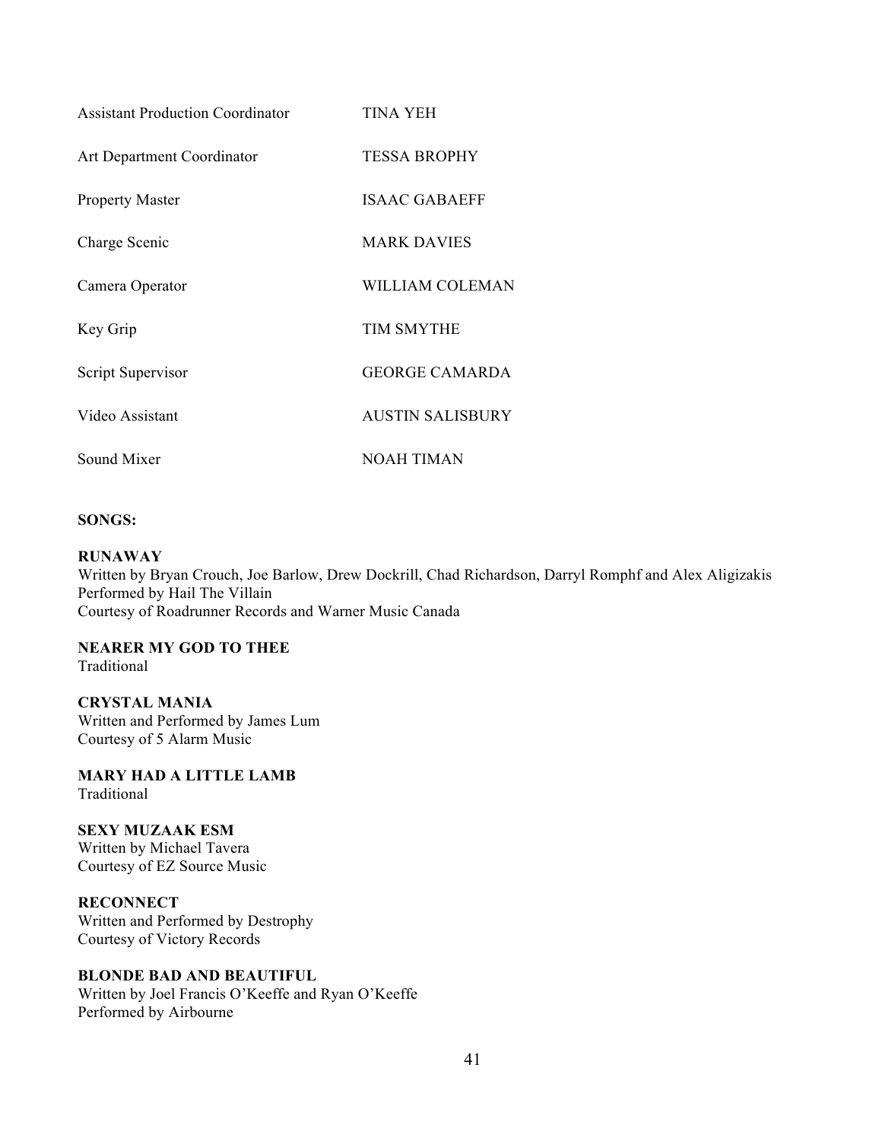| <b>Assistant Production Coordinator</b> | TINA YEH                |
|-----------------------------------------|-------------------------|
| <b>Art Department Coordinator</b>       | <b>TESSA BROPHY</b>     |
| <b>Property Master</b>                  | <b>ISAAC GABAEFF</b>    |
| Charge Scenic                           | <b>MARK DAVIES</b>      |
| Camera Operator                         | WILLIAM COLEMAN         |
| Key Grip                                | <b>TIM SMYTHE</b>       |
| Script Supervisor                       | <b>GEORGE CAMARDA</b>   |
| Video Assistant                         | <b>AUSTIN SALISBURY</b> |
| Sound Mixer                             | NOAH TIMAN              |

## **SONGS:**

## **RUNAWAY**

Written by Bryan Crouch, Joe Barlow, Drew Dockrill, Chad Richardson, Darryl Romphf and Alex Aligizakis Performed by Hail The Villain Courtesy of Roadrunner Records and Warner Music Canada

**NEARER MY GOD TO THEE** Traditional

**CRYSTAL MANIA** Written and Performed by James Lum Courtesy of 5 Alarm Music

**MARY HAD A LITTLE LAMB** Traditional

**SEXY MUZAAK ESM** Written by Michael Tavera Courtesy of EZ Source Music

**RECONNECT**

Written and Performed by Destrophy Courtesy of Victory Records

# **BLONDE BAD AND BEAUTIFUL**

Written by Joel Francis O'Keeffe and Ryan O'Keeffe Performed by Airbourne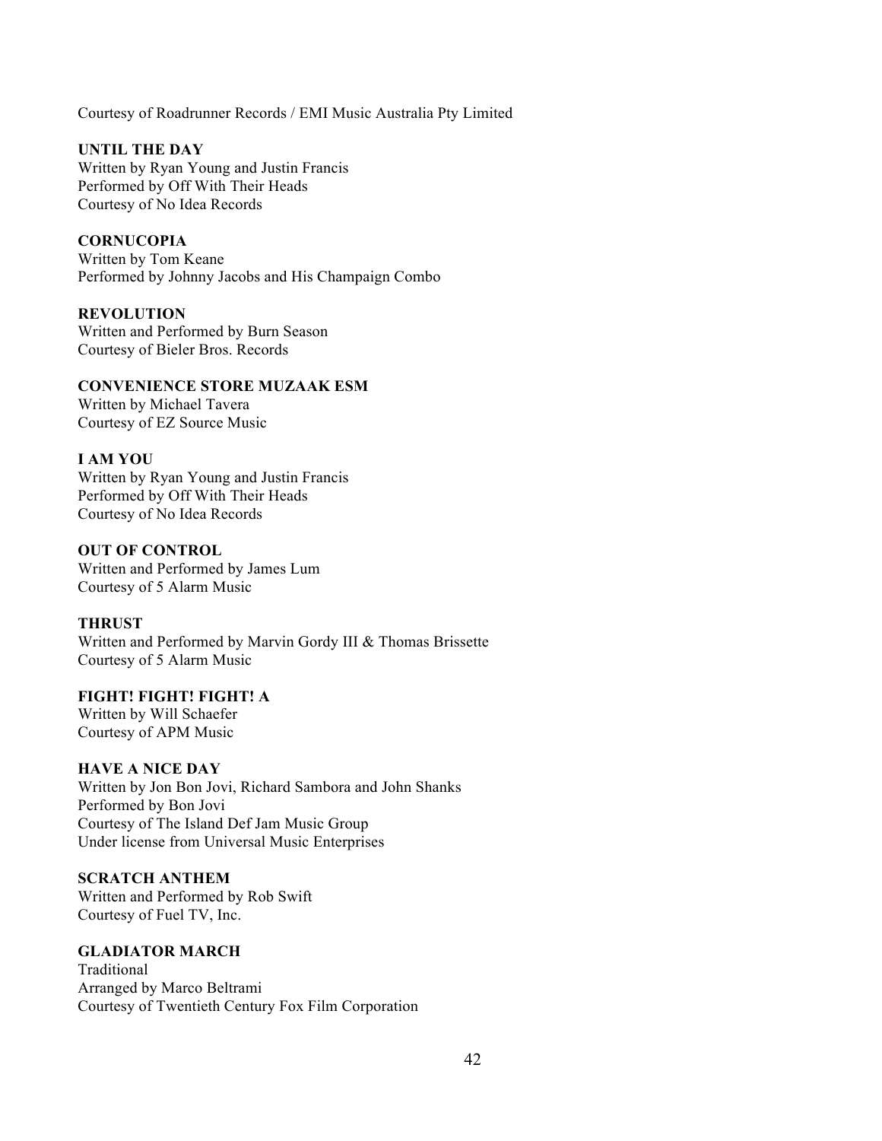Courtesy of Roadrunner Records / EMI Music Australia Pty Limited

**UNTIL THE DAY**  Written by Ryan Young and Justin Francis Performed by Off With Their Heads Courtesy of No Idea Records

**CORNUCOPIA** Written by Tom Keane Performed by Johnny Jacobs and His Champaign Combo

**REVOLUTION** Written and Performed by Burn Season Courtesy of Bieler Bros. Records

## **CONVENIENCE STORE MUZAAK ESM**

Written by Michael Tavera Courtesy of EZ Source Music

## **I AM YOU**

Written by Ryan Young and Justin Francis Performed by Off With Their Heads Courtesy of No Idea Records

**OUT OF CONTROL**

Written and Performed by James Lum Courtesy of 5 Alarm Music

## **THRUST**

Written and Performed by Marvin Gordy III & Thomas Brissette Courtesy of 5 Alarm Music

**FIGHT! FIGHT! FIGHT! A**

Written by Will Schaefer Courtesy of APM Music

## **HAVE A NICE DAY**

Written by Jon Bon Jovi, Richard Sambora and John Shanks Performed by Bon Jovi Courtesy of The Island Def Jam Music Group Under license from Universal Music Enterprises

# **SCRATCH ANTHEM**

Written and Performed by Rob Swift Courtesy of Fuel TV, Inc.

# **GLADIATOR MARCH**

Traditional Arranged by Marco Beltrami Courtesy of Twentieth Century Fox Film Corporation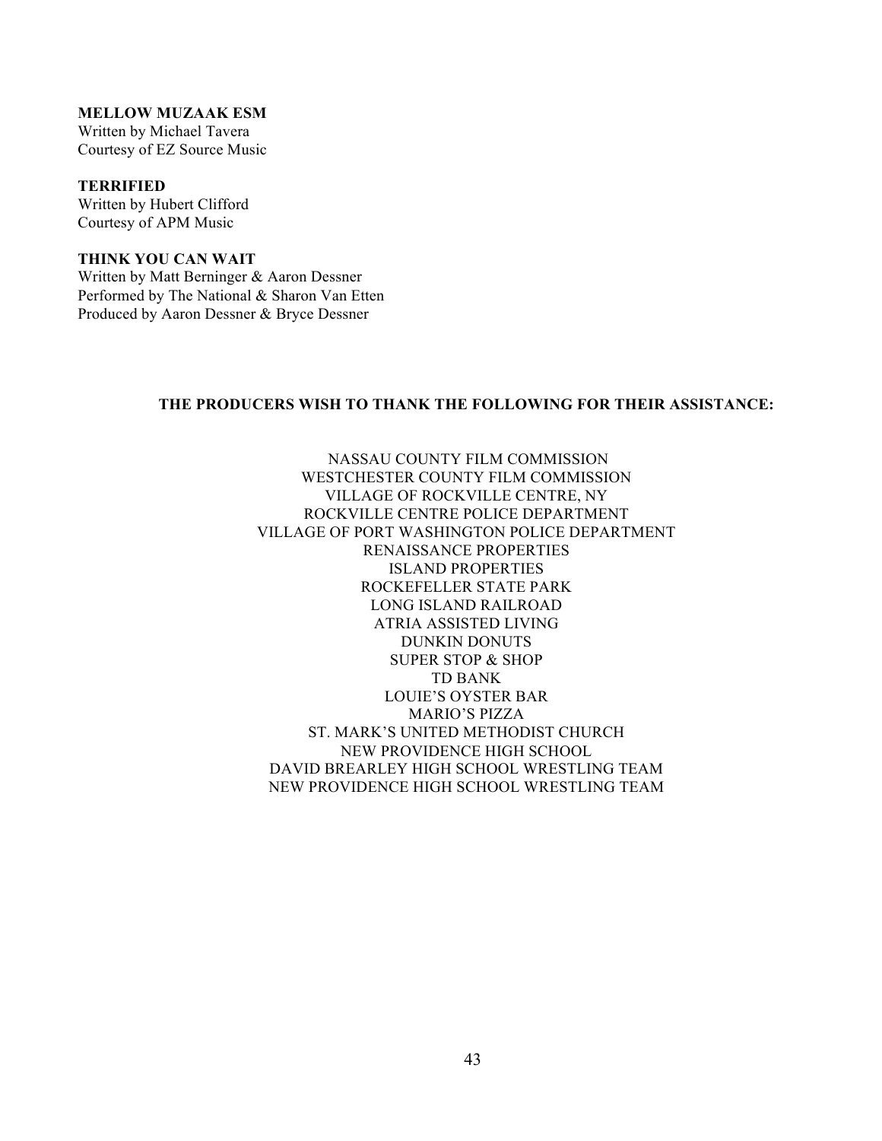## **MELLOW MUZAAK ESM**

Written by Michael Tavera Courtesy of EZ Source Music

**TERRIFIED** Written by Hubert Clifford Courtesy of APM Music

**THINK YOU CAN WAIT** Written by Matt Berninger & Aaron Dessner Performed by The National & Sharon Van Etten Produced by Aaron Dessner & Bryce Dessner

## **THE PRODUCERS WISH TO THANK THE FOLLOWING FOR THEIR ASSISTANCE:**

 NASSAU COUNTY FILM COMMISSION WESTCHESTER COUNTY FILM COMMISSION VILLAGE OF ROCKVILLE CENTRE, NY ROCKVILLE CENTRE POLICE DEPARTMENT VILLAGE OF PORT WASHINGTON POLICE DEPARTMENT RENAISSANCE PROPERTIES ISLAND PROPERTIES ROCKEFELLER STATE PARK LONG ISLAND RAILROAD ATRIA ASSISTED LIVING DUNKIN DONUTS SUPER STOP & SHOP TD BANK LOUIE'S OYSTER BAR MARIO'S PIZZA ST. MARK'S UNITED METHODIST CHURCH NEW PROVIDENCE HIGH SCHOOL DAVID BREARLEY HIGH SCHOOL WRESTLING TEAM NEW PROVIDENCE HIGH SCHOOL WRESTLING TEAM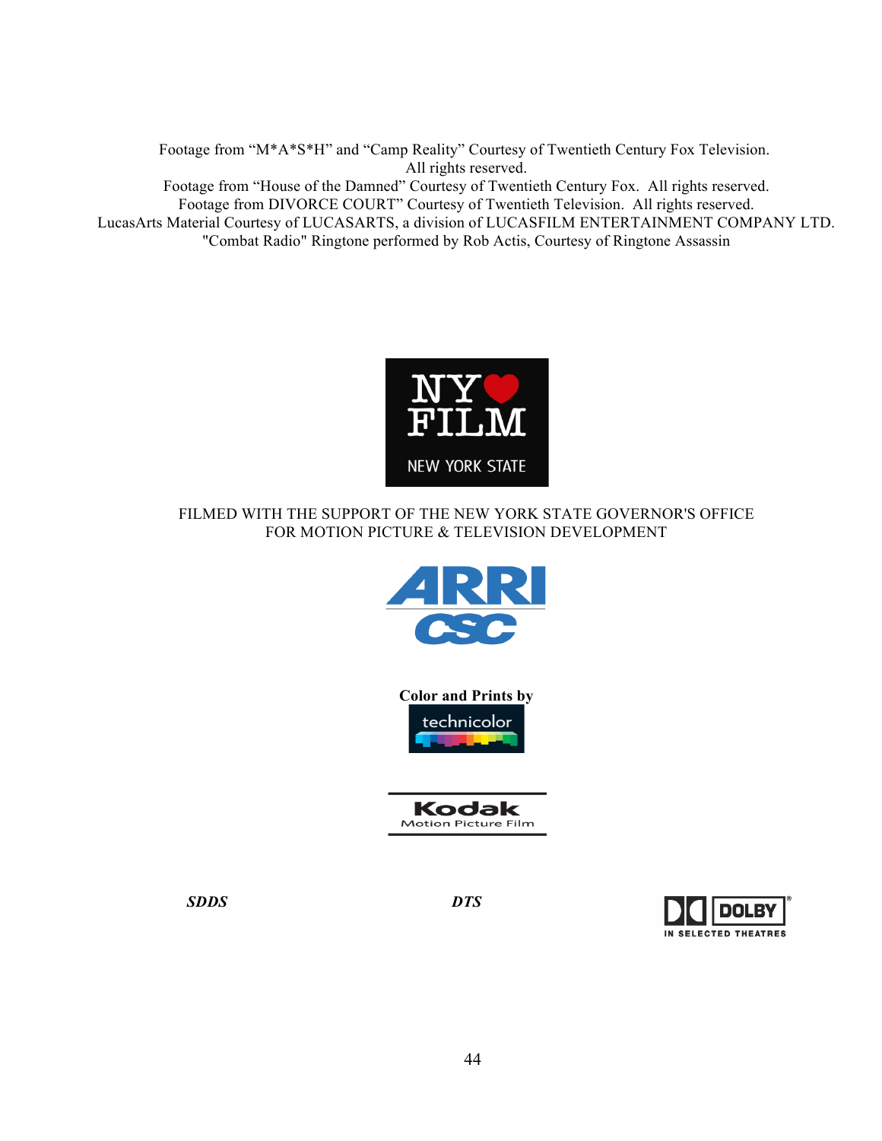Footage from "M\*A\*S\*H" and "Camp Reality" Courtesy of Twentieth Century Fox Television. All rights reserved. Footage from "House of the Damned" Courtesy of Twentieth Century Fox. All rights reserved. Footage from DIVORCE COURT" Courtesy of Twentieth Television. All rights reserved. LucasArts Material Courtesy of LUCASARTS, a division of LUCASFILM ENTERTAINMENT COMPANY LTD. "Combat Radio" Ringtone performed by Rob Actis, Courtesy of Ringtone Assassin



# FILMED WITH THE SUPPORT OF THE NEW YORK STATE GOVERNOR'S OFFICE FOR MOTION PICTURE & TELEVISION DEVELOPMENT



**Color and Prints by**  technicolor

| Kodak                      |  |
|----------------------------|--|
| <b>Motion Picture Film</b> |  |

*SDDS DTS*